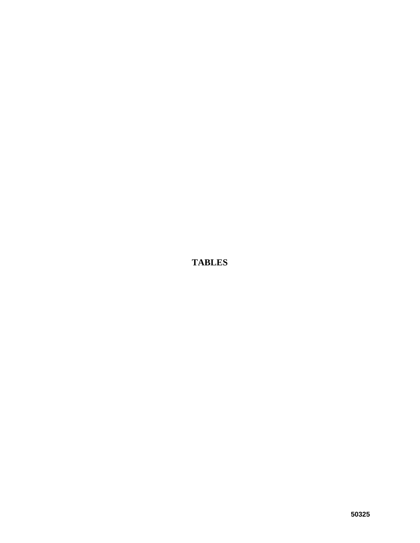**TABLES**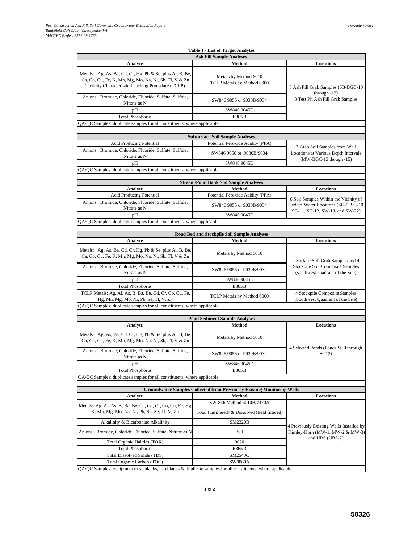|                                                                                                                                                                              | <b>Table 1 - List of Target Analytes</b>                                       |                                                                                |  |  |  |  |
|------------------------------------------------------------------------------------------------------------------------------------------------------------------------------|--------------------------------------------------------------------------------|--------------------------------------------------------------------------------|--|--|--|--|
|                                                                                                                                                                              | <b>Ash Fill Sample Analyses</b>                                                |                                                                                |  |  |  |  |
| Analyte                                                                                                                                                                      | Method                                                                         | Locations                                                                      |  |  |  |  |
| Metals: Ag, As, Ba, Cd, Cr, Hg, Pb & Se plus Al, B, Be,<br>Ca, Co, Cu, Fe, K, Mn, Mg, Mo, Na, Ni, Sb, Tl, V & Zn<br>Toxicity Characteristic Leaching Procedure (TCLP)        | Metals by Method 6010<br>TCLP Metals by Method 6000                            | 3 Ash Fill Grab Samples (SB-BGC-10                                             |  |  |  |  |
| Anions: Bromide, Chloride, Fluoride, Sulfate, Sulfide,<br>Nitrate as N                                                                                                       | SW846 9056 or 9030B/9034                                                       | through $-12$ )<br>3 Test Pit Ash Fill Grab Samples                            |  |  |  |  |
| pH                                                                                                                                                                           | SW846 9045D                                                                    |                                                                                |  |  |  |  |
| <b>Total Phosphorus</b>                                                                                                                                                      | E365.3                                                                         |                                                                                |  |  |  |  |
| QA/QC Samples: duplicate samples for all constituents, where applicable.                                                                                                     |                                                                                |                                                                                |  |  |  |  |
|                                                                                                                                                                              |                                                                                |                                                                                |  |  |  |  |
|                                                                                                                                                                              | <b>Subsurface Soil Sample Analyses</b><br>Potential Peroxide Acidity (PPA)     |                                                                                |  |  |  |  |
| <b>Acid Producing Potential</b><br>Anions: Bromide, Chloride, Fluoride, Sulfate, Sulfide,                                                                                    |                                                                                | 3 Grab Soil Samples from Well                                                  |  |  |  |  |
| Nitrate as N                                                                                                                                                                 | SW846 9056 or 9030B/9034                                                       | Locations at Various Depth Intervals                                           |  |  |  |  |
| pH                                                                                                                                                                           | SW846 9045D                                                                    | (MW-BGC-13 though -15)                                                         |  |  |  |  |
| QA/QC Samples: duplicate samples for all constituents, where applicable.                                                                                                     |                                                                                |                                                                                |  |  |  |  |
|                                                                                                                                                                              |                                                                                |                                                                                |  |  |  |  |
|                                                                                                                                                                              | <b>Stream/Pond Bank Soil Sample Analyses</b><br>Method                         |                                                                                |  |  |  |  |
| Analyte<br><b>Acid Producing Potential</b>                                                                                                                                   | Potential Peroxide Acidity (PPA)                                               | Locations                                                                      |  |  |  |  |
| Anions: Bromide, Chloride, Fluoride, Sulfate, Sulfide,<br>Nitrate as N                                                                                                       | SW846 9056 or 9030B/9034                                                       | 6 Soil Samples Within the Vicinity of<br>Surface Water Locations (SG-9, SG-10, |  |  |  |  |
| pH                                                                                                                                                                           | SW846 9045D                                                                    | SG-11, SG-12, SW-13, and SW-22)                                                |  |  |  |  |
| QA/QC Samples: duplicate samples for all constituents, where applicable.                                                                                                     |                                                                                |                                                                                |  |  |  |  |
|                                                                                                                                                                              |                                                                                |                                                                                |  |  |  |  |
|                                                                                                                                                                              | Road Bed and Stockpile Soil Sample Analyses                                    |                                                                                |  |  |  |  |
| Analyte                                                                                                                                                                      | Method                                                                         | Locations                                                                      |  |  |  |  |
| Metals: Ag, As, Ba, Cd, Cr, Hg, Pb & Se plus Al, B, Be,<br>Ca, Co, Cu, Fe, K, Mn, Mg, Mo, Na, Ni, Sb, Tl, V & Zn                                                             | Metals by Method 6010                                                          | 4 Surface Soil Grab Samples and 4                                              |  |  |  |  |
| Anions: Bromide, Chloride, Fluoride, Sulfate, Sulfide,<br>Nitrate as N                                                                                                       | SW846 9056 or 9030B/9034                                                       | <b>Stockpile Soil Composite Samples</b><br>(southwest quadrant of the Site)    |  |  |  |  |
| pH                                                                                                                                                                           | SW846 9045D                                                                    |                                                                                |  |  |  |  |
| <b>Total Phosphorus</b>                                                                                                                                                      | E365.3                                                                         |                                                                                |  |  |  |  |
| TCLP Metals: Ag, Al, As, B, Ba, Be, Cd, Cr, Co, Cu, Fe,<br>Hg, Mn, Mg, Mo, Ni, Pb, Se, Tl, V, Zn<br>QA/QC Samples: duplicate samples for all constituents, where applicable. | TCLP Metals by Method 6000                                                     | 4 Stockpile Composite Samples<br>(Southwest Quadrant of the Site)              |  |  |  |  |
|                                                                                                                                                                              |                                                                                |                                                                                |  |  |  |  |
|                                                                                                                                                                              | <b>Pond Sediment Sample Analyses</b>                                           |                                                                                |  |  |  |  |
| Analyte                                                                                                                                                                      | Method                                                                         | Locations                                                                      |  |  |  |  |
| Metals: Ag, As, Ba, Cd, Cr, Hg, Pb & Se plus Al, B, Be,<br>Ca, Co, Cu, Fe, K, Mn, Mg, Mo, Na, Ni, Sb, Tl, V & Zn                                                             | Metals by Method 6010                                                          |                                                                                |  |  |  |  |
| Anions: Bromide, Chloride, Fluoride, Sulfate, Sulfide,<br>Nitrate as N                                                                                                       | SW846 9056 or 9030B/9034                                                       | 4 Selected Ponds (Ponds SG9 through<br>SG12)                                   |  |  |  |  |
| pН                                                                                                                                                                           | SW846 9045D                                                                    |                                                                                |  |  |  |  |
| <b>Total Phosphorus</b>                                                                                                                                                      | E365.3                                                                         |                                                                                |  |  |  |  |
| QA/QC Samples: duplicate samples for all constituents, where applicable.                                                                                                     |                                                                                |                                                                                |  |  |  |  |
|                                                                                                                                                                              | <b>Groundwater Samples Collected from Previously Existing Monitoring Wells</b> |                                                                                |  |  |  |  |
| Analyte                                                                                                                                                                      | <b>Method</b>                                                                  | Locations                                                                      |  |  |  |  |
|                                                                                                                                                                              | SW-846 Method 6010B/7470A                                                      |                                                                                |  |  |  |  |
| Metals: Ag, Al, As, B, Ba, Be, Ca, Cd, Cr, Co, Cu, Fe, Hg,<br>K, Mn, Mg, Mo, Na, Ni, Pb, Sb, Se, Tl, V, Zn                                                                   | Total (unfiltered) & Dissolved (field filtered)                                |                                                                                |  |  |  |  |
| Alkalinity & Bicarbonate Alkalinity                                                                                                                                          | SM2320B                                                                        |                                                                                |  |  |  |  |
| Anions: Bromide, Chloride, Fluoride, Sulfate, Nitrate as N                                                                                                                   | 300                                                                            | 4 Previously Existing Wells Installed by<br>Kimley-Horn (MW-1, MW-2 & MW-3)    |  |  |  |  |
| Total Organic Halides (TOX)                                                                                                                                                  | 9020                                                                           | and URS (URS-2)                                                                |  |  |  |  |
| <b>Total Phosphorus</b>                                                                                                                                                      | E365.3                                                                         |                                                                                |  |  |  |  |
| <b>Total Dissolved Solids (TDS)</b>                                                                                                                                          | SM2540C                                                                        |                                                                                |  |  |  |  |
| Total Organic Carbon (TOC)                                                                                                                                                   | SW9060A                                                                        |                                                                                |  |  |  |  |
| $QA/QC$ Samples: equipment rinse blanks, trip blanks & duplicate samples for all constituents, where applicable.                                                             |                                                                                |                                                                                |  |  |  |  |

QA/QC Samples: equipment rinse blanks, trip blanks & duplicate samples for all constituents, where applicable.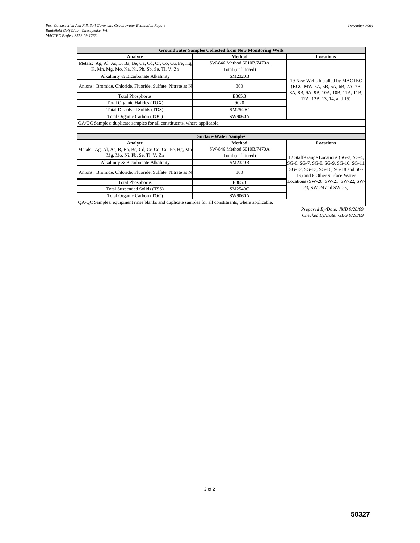| <b>Groundwater Samples Collected from New Monitoring Wells</b>                                      |                              |                                                                     |  |  |  |  |  |  |  |  |  |  |
|-----------------------------------------------------------------------------------------------------|------------------------------|---------------------------------------------------------------------|--|--|--|--|--|--|--|--|--|--|
| <b>Analyte</b>                                                                                      | Method                       | Locations                                                           |  |  |  |  |  |  |  |  |  |  |
| Metals: Ag, Al, As, B, Ba, Be, Ca, Cd, Cr, Co, Cu, Fe, Hg,                                          | SW-846 Method 6010B/7470A    |                                                                     |  |  |  |  |  |  |  |  |  |  |
| K, Mn, Mg, Mo, Na, Ni, Pb, Sb, Se, Tl, V, Zn                                                        | Total (unfiltered)           |                                                                     |  |  |  |  |  |  |  |  |  |  |
| Alkalinity & Bicarbonate Alkalinity                                                                 | <b>SM2320B</b>               |                                                                     |  |  |  |  |  |  |  |  |  |  |
| Anions: Bromide, Chloride, Fluoride, Sulfate, Nitrate as N                                          | 300                          | 19 New Wells Installed by MACTEC<br>(BGC-MW-5A, 5B, 6A, 6B, 7A, 7B, |  |  |  |  |  |  |  |  |  |  |
| <b>Total Phosphorus</b>                                                                             | E365.3                       | 8A, 8B, 9A, 9B, 10A, 10B, 11A, 11B,<br>12A, 12B, 13, 14, and 15)    |  |  |  |  |  |  |  |  |  |  |
| Total Organic Halides (TOX)                                                                         | 9020                         |                                                                     |  |  |  |  |  |  |  |  |  |  |
| <b>Total Dissolved Solids (TDS)</b>                                                                 | SM2540C                      |                                                                     |  |  |  |  |  |  |  |  |  |  |
| Total Organic Carbon (TOC)                                                                          | SW9060A                      |                                                                     |  |  |  |  |  |  |  |  |  |  |
| QA/QC Samples: duplicate samples for all constituents, where applicable.                            |                              |                                                                     |  |  |  |  |  |  |  |  |  |  |
|                                                                                                     |                              |                                                                     |  |  |  |  |  |  |  |  |  |  |
|                                                                                                     | <b>Surface-Water Samples</b> |                                                                     |  |  |  |  |  |  |  |  |  |  |
| Analyte                                                                                             | Method                       | Locations                                                           |  |  |  |  |  |  |  |  |  |  |
| Metals: Ag, Al, As, B, Ba, Be, Cd, Cr, Co, Cu, Fe, Hg, Mn                                           | SW-846 Method 6010B/7470A    |                                                                     |  |  |  |  |  |  |  |  |  |  |
| Mg, Mo, Ni, Pb, Se, Tl, V, Zn                                                                       | Total (unfiltered)           | 12 Staff-Gauge Locations (SG-3, SG-4,                               |  |  |  |  |  |  |  |  |  |  |
| Alkalinity & Bicarbonate Alkalinity                                                                 | <b>SM2320B</b>               | SG-6, SG-7, SG-8, SG-9, SG-10, SG-11.                               |  |  |  |  |  |  |  |  |  |  |
| Anions: Bromide, Chloride, Fluoride, Sulfate, Nitrate as N                                          | 300                          | SG-12, SG-13, SG-16, SG-18 and SG-<br>19) and 6 Other Surface-Water |  |  |  |  |  |  |  |  |  |  |
| <b>Total Phosphorus</b>                                                                             | E365.3                       | Locations (SW-20, SW-21, SW-22, SW-                                 |  |  |  |  |  |  |  |  |  |  |
| Total Suspended Solids (TSS)                                                                        | <b>SM2540C</b>               | 23, SW-24 and SW-25)                                                |  |  |  |  |  |  |  |  |  |  |
| Total Organic Carbon (TOC)                                                                          | SW9060A                      |                                                                     |  |  |  |  |  |  |  |  |  |  |
| QA/QC Samples: equipment rinse blanks and duplicate samples for all constituents, where applicable. |                              |                                                                     |  |  |  |  |  |  |  |  |  |  |

*Prepared By/Date: JMB 9/28/09 Checked By/Date: GBG 9/28/09*

2 of 2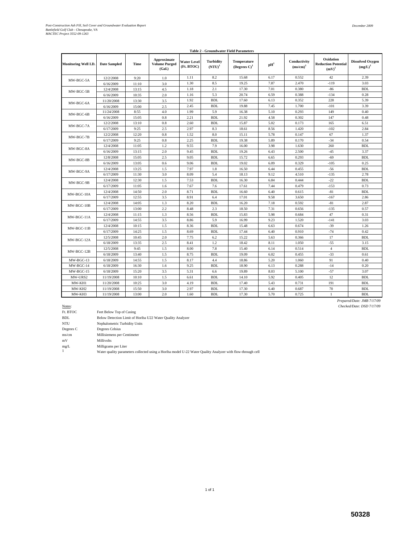| <b>Table 2 - Groundwater Field Parameters</b> |                     |       |                                               |                                  |                               |                                                   |                             |                             |                                                     |                                       |  |  |  |
|-----------------------------------------------|---------------------|-------|-----------------------------------------------|----------------------------------|-------------------------------|---------------------------------------------------|-----------------------------|-----------------------------|-----------------------------------------------------|---------------------------------------|--|--|--|
| Monitoring Well I.D.                          | <b>Date Sampled</b> | Time  | Approximate<br><b>Volume Purged</b><br>(Gal.) | <b>Water Level</b><br>(Ft. BTOC) | <b>Turbidity</b><br>$(NTU)^1$ | <b>Temperature</b><br>(Degrees $C$ ) <sup>1</sup> | $\mathbf{p}$ H <sup>1</sup> | Conductivity<br>$(ms/cm)^1$ | Oxidation<br><b>Reduction Potential</b><br>$(mV)^1$ | <b>Dissolved Oxygen</b><br>$(mg/L)^1$ |  |  |  |
| MW-BGC-5A                                     | 12/2/2008           | 9:20  | 1.0                                           | 1.11                             | 8.2                           | 15.68                                             | 6.17                        | 0.552                       | 42                                                  | 2.39                                  |  |  |  |
|                                               | 6/16/2009           | 11:10 | 3.0                                           | 1.30                             | 8.5                           | 19.25                                             | 7.87                        | 2.470                       | $-119$                                              | 3.03                                  |  |  |  |
| MW-BGC-5B                                     | 12/4/2008           | 13:15 | 4.5                                           | 1.18                             | 2.1                           | 17.30                                             | 7.01                        | 0.380                       | $-86$                                               | <b>BDL</b>                            |  |  |  |
|                                               | 6/16/2009           | 10:35 | 2.0                                           | 1.16                             | 5.3                           | 20.74                                             | 6.59                        | 0.388                       | $-134$                                              | 0.28                                  |  |  |  |
| MW-BGC-6A                                     | 11/20/2008          | 13:30 | 3.5                                           | 1.92                             | <b>BDL</b>                    | 17.60                                             | 6.13                        | 0.352                       | 228                                                 | 5.39                                  |  |  |  |
|                                               | 6/16/2009           | 15:00 | 2.5                                           | 2.45                             | <b>BDL</b>                    | 19.88                                             | 7.45                        | 1.700                       | $-101$                                              | 3.39                                  |  |  |  |
| MW-BGC-6B                                     | 11/24/2008          | 8:55  | 4.0                                           | 1.99                             | 5.9                           | 16.38                                             | 5.10                        | 0.293                       | 149                                                 | 0.40                                  |  |  |  |
|                                               | 6/16/2009           | 15:05 | 0.8                                           | 2.21                             | <b>BDL</b>                    | 21.92                                             | 4.58                        | 0.302                       | 147                                                 | 0.48                                  |  |  |  |
| MW-BGC-7A                                     | 12/2/2008           | 13:10 | 0.8                                           | 2.60                             | <b>BDL</b>                    | 15.87                                             | 5.02                        | 0.173                       | 165                                                 | 6.51                                  |  |  |  |
|                                               | 6/17/2009           | 9:25  | 2.5                                           | 2.97                             | 8.3                           | 18.61                                             | 8.56                        | 1.420                       | $-102$                                              | 2.84                                  |  |  |  |
| MW-BGC-7B                                     | 12/2/2008           | 12:20 | 0.8                                           | 1.52                             | 8.0                           | 15.11                                             | 5.78                        | 0.147                       | 67                                                  | 1.37                                  |  |  |  |
|                                               | 6/17/2009           | 9:25  | 0.8                                           | 2.25                             | <b>BDL</b>                    | 19.38                                             | 5.89                        | 0.170                       | $-34$                                               | 0.54                                  |  |  |  |
| MW-BGC-8A                                     | 12/4/2008           | 11:05 | 1.2                                           | 9.55                             | 7.9                           | 16.00                                             | 3.98                        | 1.630                       | 260                                                 | <b>BDL</b>                            |  |  |  |
|                                               | 6/16/2009           | 13:15 | 2.0                                           | 9.45                             | <b>BDL</b>                    | 19.26                                             | 6.43                        | 2.500                       | $-45$                                               | 3.37                                  |  |  |  |
|                                               | 12/8/2008           | 15:05 | 2.5                                           | 9.05                             | <b>BDL</b>                    | 15.72                                             | 6.65                        | 0.293                       | $-69$                                               | <b>BDL</b>                            |  |  |  |
| MW-BGC-8B                                     | 6/16/2009           | 13:05 | 0.6                                           | 9.06                             | <b>BDL</b>                    | 19.02                                             | 6.09                        | 0.329                       | $-105$                                              | 0.25                                  |  |  |  |
| MW-BGC-9A                                     | 12/4/2008           | 13:25 | 1.5                                           | 7.97                             | 1.8                           | 16.50                                             | 6.44                        | 0.455                       | $-56$                                               | <b>BDL</b>                            |  |  |  |
|                                               | 6/17/2009           | 11:30 | 3.0                                           | 8.09                             | 5.4                           | 18.13                                             | 9.12                        | 4.510                       | $-135$                                              | 2.78                                  |  |  |  |
|                                               | 12/4/2008           | 12:30 | 1.5                                           | 7.53                             | <b>BDL</b>                    | 16.30                                             | 6.84                        | 0.444                       | $-22$                                               | <b>BDL</b>                            |  |  |  |
| MW-BGC-9B                                     | 6/17/2009           | 11:05 | 1.6                                           | 7.67                             | 7.6                           | 17.61                                             | 7.44                        | 0.479                       | $-153$                                              | 0.73                                  |  |  |  |
|                                               | 12/4/2008           | 14:50 | 2.0                                           | 8.71                             | <b>BDL</b>                    | 16.60                                             | 6.40                        | 0.615                       | $-81$                                               | <b>BDL</b>                            |  |  |  |
| MW-BGC-10A                                    | 6/17/2009           | 12:55 | 3.5                                           | 8.91                             | 6.4                           | 17.01                                             | 9.58                        | 3.650                       | $-167$                                              | 2.86                                  |  |  |  |
| MW-BGC-10B                                    | 12/4/2008           | 14:05 | 1.3                                           | 8.20                             | <b>BDL</b>                    | 16.20                                             | 7.18                        | 0.592                       | $-81$                                               | 2.87                                  |  |  |  |
|                                               | 6/17/2009           | 13:00 | 2.2                                           | 8.48                             | 2.3                           | 18.50                                             | 7.31                        | 0.656                       | $-135$                                              | 0.57                                  |  |  |  |
|                                               | 12/4/2008           | 11:15 | 1.3                                           | 8.56                             | <b>BDL</b>                    | 15.83                                             | 5.98                        | 0.684                       | 47                                                  | 0.31                                  |  |  |  |
| MW-BGC-11A                                    | 6/17/2009           | 14:55 | 3.5                                           | 8.86                             | 5.9                           | 16.99                                             | 9.23                        | 1.520                       | $-141$                                              | 3.03                                  |  |  |  |
|                                               | 12/4/2008           | 10:15 | 1.5                                           | 8.36                             | <b>BDL</b>                    | 15.48                                             | 6.63                        | 0.674                       | $-39$                                               | 1.26                                  |  |  |  |
| MW-BGC-11B                                    | 6/17/2009           | 14:25 | 1.5                                           | 8.69                             | <b>BDL</b>                    | 17.44                                             | 6.40                        | 0.910                       | $-74$                                               | 0.42                                  |  |  |  |
| MW-BGC-12A                                    | 12/5/2008           | 10:45 | 2.0                                           | 7.75                             | 6.2                           | 15.22                                             | 5.63                        | 0.366                       | 17                                                  | <b>BDL</b>                            |  |  |  |
|                                               | 6/18/2009           | 13:35 | 2.5                                           | 8.41                             | 1.2                           | 18.42                                             | 8.11                        | 1.050                       | $-55$                                               | 3.15                                  |  |  |  |
| MW-BGC-12B                                    | 12/5/2008           | 9:45  | 1.5                                           | 8.00                             | 7.8                           | 15.40                                             | 6.14                        | 0.514                       | $\overline{4}$                                      | <b>BDL</b>                            |  |  |  |
|                                               | 6/18/2009           | 13:40 | 1.5                                           | 8.75                             | <b>BDL</b>                    | 19.09                                             | 6.02                        | 0.455                       | $-33$                                               | 0.61                                  |  |  |  |
| MW-BGC-13                                     | 6/18/2009           | 14:55 | 1.5                                           | 8.17                             | 4.4                           | 18.86                                             | 5.20                        | 1.060                       | 91                                                  | 0.40                                  |  |  |  |
| MW-BGC-14                                     | 6/18/2009           | 16:30 | 1.6                                           | 9.25                             | <b>BDL</b>                    | 18.90                                             | 6.13                        | 0.288                       | $-14$                                               | 0.20                                  |  |  |  |
| MW-BGC-15                                     | 6/18/2009           | 15:20 | 3.5                                           | 5.31                             | 6.6                           | 19.89                                             | 8.03                        | 5.100                       | $-57$                                               | 3.07                                  |  |  |  |
| MW-URS2                                       | 11/19/2008          | 10:10 | 1.5                                           | 6.61                             | <b>BDL</b>                    | 14.10                                             | 5.92                        | 0.405                       | 12                                                  | <b>BDL</b>                            |  |  |  |
| MW-KH1                                        | 11/20/2008          | 10:25 | 3.0                                           | 4.19                             | <b>BDL</b>                    | 17.40                                             | 5.43                        | 0.731                       | 191                                                 | <b>BDL</b>                            |  |  |  |
| MW-KH2                                        | 11/19/2008          | 15:50 | 3.0                                           | 2.97                             | <b>BDL</b>                    | 17.30                                             | 6.40                        | 0.687                       | 70                                                  | <b>BDL</b>                            |  |  |  |
| MW-KH3                                        | 11/19/2008          | 13:00 | 2.0                                           | 1.60                             | <b>BDL</b>                    | 17.30                                             | 5.70                        | 0.725                       | $\mathbf{1}$                                        | <b>BDL</b>                            |  |  |  |
|                                               |                     |       |                                               |                                  |                               |                                                   |                             |                             |                                                     | Prepared/Date: JMB 7/17/09            |  |  |  |

Notes: *Checked/Date: DSD 7/17/09*

| Ft. BTOC   | Feet Below Top of Casing                                                                                   |
|------------|------------------------------------------------------------------------------------------------------------|
| <b>BDL</b> | Below Detection Limit of Horiba U22 Water Quality Analyzer                                                 |
| <b>NTU</b> | Nephalometric Turbidity Units                                                                              |
| Degrees C  | Degrees Celsius                                                                                            |
| ms/cm      | Millisiemens per Centimeter                                                                                |
| mV         | <b>Millivolts</b>                                                                                          |
| mg/L       | Milligrams per Liter                                                                                       |
|            | Water quality parameters collected using a Horiba model U-22 Water Quality Analyzer with flow-through cell |

1 of 1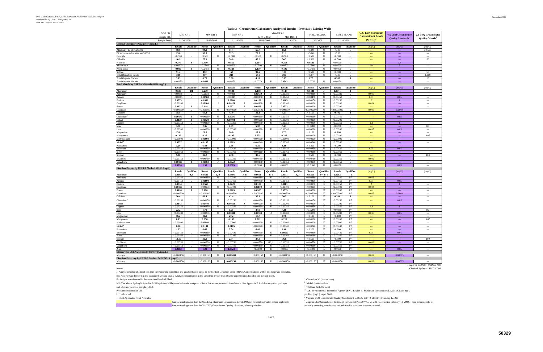Notes:<br>J: Analyte detected at a level less than the Reporting limit (RL) and greater than or equal to the Method Detection Limit (MDL). Concentrations within this range are estimated. B1: Analyte was detected in the associated Method Blank. Analyte concentration in the sample is greater than 10x the concentration found in the method blank.

B: Analyte was detected in the associated Method Blank.<br>
M2: The Matrix Spike (MS) and/or MS Duplicate (MSD) were below the acceptance limits due to sample matrix interference. See Appendix E for laboratory data packages
<sup></sup> M2: The Matrix Spike (MS) and/or MS Duplicate (MSD) were below the acceptance limits due to sample matrix interference. See Appendix E for laboratory data packages and laboratory control sample (LCS).<br>
P7: Sample filtered in lab.<br>
<sup>d</sup> U.S. Environmental Prote

|                                                     |               |                  |               |                  |               |                  |               | Table 3 - Groundwater Laboratory Analytical Results - Previously Existing Wens |               |                  |             |                    |            |                    |                             |                                      |                           |
|-----------------------------------------------------|---------------|------------------|---------------|------------------|---------------|------------------|---------------|--------------------------------------------------------------------------------|---------------|------------------|-------------|--------------------|------------|--------------------|-----------------------------|--------------------------------------|---------------------------|
| Well I.D.                                           |               | MW-KH-1          | MW-KH-2       |                  | MW-KH-3       |                  |               |                                                                                | MW-URS-2      |                  |             | <b>FIELD BLANK</b> |            | <b>RINSE BLANK</b> | <b>U.S. EPA Maximum</b>     | <b>VA DEQ Groundwater</b>            | <b>VA DEQ Groundwater</b> |
| Sample I.D.                                         |               |                  |               |                  |               |                  |               | MW-URS-2                                                                       | MW-DUP-1      |                  |             |                    |            |                    | <b>Contaminant Levels</b>   | <b>Quality Standards<sup>e</sup></b> | <b>Quality Criteria</b>   |
| Sample Date                                         |               | 11/20/2008       | 11/19/2008    |                  | 11/19/2008    |                  | 11/19/2008    |                                                                                | 11/19/2008    |                  |             | 12/5/2008          |            | 11/19/2008         | $(MCLs)^d$                  |                                      |                           |
| <b>General Chemistry Parameters (mg/L)</b>          |               |                  |               |                  |               |                  |               |                                                                                |               |                  |             |                    |            |                    |                             |                                      |                           |
|                                                     | Result        | <b>Qualifier</b> | <b>Result</b> | <b>Qualifier</b> | <b>Result</b> | <b>Qualifier</b> | <b>Result</b> | <b>Qualifier</b>                                                               | <b>Result</b> | <b>Qualifier</b> | Result      | <b>Qualifier</b>   | Result     | <b>Qualifier</b>   | (mg/L)                      | (mg/L)                               | (mg/L)                    |
| Alkalinity, Total (CaCO3)                           | 10.6          |                  | 94.9          |                  | 51.4          |                  | 56.7          |                                                                                | 65.6          |                  | < 5.00      |                    | < 5.00     | $\mathbf{U}$       | $\rightarrow$               | $\scriptstyle\cdots$                 | 30-500                    |
| Bicarbonate Alkalinity as CaCO3                     | 13.6          |                  | 95.3          |                  | 52.3          |                  | 70.7          |                                                                                | 71.1          |                  | < 5.00      | U                  | < 5.00     | U                  | $\sim$                      | $\sim$                               | $\sim$                    |
| <b>Bromide</b>                                      | < 0.500       | U                | < 0.500       | $\mathbf{U}$     | < 0.500       | $\mathbf{U}$     | < 0.500       | $\mathbf{U}$                                                                   | < 0.500       | $\mathbf{U}$     | < 0.500     | U                  | < 0.500    | U                  | $\overline{a}$              | $\cdots$                             | $\overline{a}$            |
| Chloride                                            | 10.9          |                  | 75.9          |                  | 50.0          |                  | 45.2          |                                                                                | 50.7          |                  | < 0.500     | U                  | < 0.500    | U                  | ---                         | $\cdots$                             | 50                        |
| Fluoride                                            | 0.277         | В                | 0.410         |                  | 0.855         |                  | 0.294         |                                                                                | 0.218         |                  | 0.0580      | J                  | < 0.0500   | U                  | $\sim$ $\sim$               | 1.4                                  | $\cdots$                  |
| Nitrate as N                                        | < 0.0500      | U                | < 0.0500      | U                | < 0.0500      | U                | < 0.0500      | U                                                                              | < 0.0500      | U                | < 0.0500    | $\mathbf{U}$       | < 0.0500   | U                  | 10                          | $5\overline{5}$                      | $\sim$                    |
| Phosphorus                                          | 0.086         | J                | < 0.0450      | U                | 0.329         |                  | 0.130         |                                                                                | 0.190         |                  | < 0.0450    | U                  | < 0.0450   | U                  | $\omega_{\rm{max}}$         | $\sim$                               | $\overline{\phantom{a}}$  |
| Sulfate                                             | 51.4          |                  | 172           |                  | 153           |                  | 99.5          |                                                                                | 104           |                  | < 0.500     | U                  | < 0.500    | U                  | $\sim$ $\sim$               | $\sim$                               | 50                        |
| <b>Total Dissolved Solids</b>                       | 234           |                  | 457           |                  | 244           |                  | 294           |                                                                                | 296           |                  | < 6.67      | $\mathbf{U}$       | < 5.00     | U                  |                             |                                      | 1,000                     |
| <b>Total Organic Carbon</b>                         | 3.19          |                  | 6.75          |                  | 3.88          |                  | 4.15          |                                                                                | 3.67          |                  | 1.72        |                    | 0.960      | $\bf{J}$           | $\rightarrow$               | $\scriptstyle\cdots$                 | 10                        |
| <b>Total Organic Halides</b>                        | < 0.0270      | U                | 0.0488        |                  | < 0.0270      | U                | < 0.0270      | $\mathbf U$                                                                    | 0.0542        |                  | < 0.0270    | U                  | < 0.0270   | U                  | $\sim$ $\sim$               | $\cdots$                             | $\overline{a}$            |
| Total Metals by USEPA Method 6010B (mg/L)           |               |                  |               |                  |               |                  |               |                                                                                |               |                  |             |                    |            |                    |                             |                                      |                           |
|                                                     | <b>Result</b> | Qualifier        | Result        | Qualifier        | Result        | Qualifier        | Result        | Qualifier                                                                      | Result        | Qualifier        | Result      | Qualifier          | Result     | Qualifier          | (mg/L)                      | (mg/L)                               | (mg/L)                    |
| Aluminum                                            | 0.587         | B1               | 0.230         |                  | 0.688         |                  | 0.158         |                                                                                | 0.147         |                  | 0.0438      | J                  | 0.0541     | $\bf{J}$           | $\omega\omega\omega$        | $\mathbb{L} \mathbb{L}$              | $\cdots$                  |
| Antimony                                            | < 0.0038      | U                | < 0.0038      | U                | < 0.0038      | U                | 0.00430       | $\bf{J}$                                                                       | < 0.00380     | U                | < 0.00380   | U                  | < 0.00380  | U                  | 0.006                       | $\cdots$                             | $\cdots$                  |
| Arsenic                                             | < 0.0045      | U                | 0.00560       | $\bf{J}$         | < 0.0045      | U                | < 0.00450     | U                                                                              | < 0.00450     | $\mathbf{U}$     | < 0.00450   | U                  | < 0.00450  | U                  | 0.01                        | 0.05                                 | $\overline{\phantom{a}}$  |
| Barium                                              | 0.0373        |                  | 0.0560        |                  | 0.0268        |                  | 0.0182        |                                                                                | 0.0185        |                  | < 0.00150   | U                  | < 0.00150  | U                  | <sup>2</sup>                | $\perp$                              | $\sim$                    |
| Beryllium                                           | < 0.00100     | U                | 0.00100       | J                | 0.00120       | л.               | < 0.00100     | U                                                                              | < 0.00100     | U                | < 0.00100   | U                  | < 0.00100  | U                  | 0.004                       | $\scriptstyle\cdots$                 | $\overline{\phantom{a}}$  |
| Boron                                               | 0.0132        | J                | 0.118         |                  | 0.0271        | J                | 0.0498        | J                                                                              | 0.0532        |                  | < 0.00200   | U                  | < 0.00200  | U                  | $\sim$                      | $\overline{a}$                       | $\cdots$                  |
| Cadmium                                             | < 0.000500    | U                | < 0.000500    | U                | < 0.000500    | U                | < 0.000500    | U                                                                              | < 0.000500    | U                | < 0.0005000 | U                  | < 0.000500 | U                  | 0.005                       | 0.0004                               | ---                       |
| Calcium                                             | 18.5          |                  | 65.4          |                  | 43.9          |                  | 32.2          |                                                                                | 32.1          |                  | < 0.100     | U                  | 0.102      | $\bf{J}$           | $\rightarrow$               | $\scriptstyle\cdots$                 | $\hspace{0.05cm} \cdots$  |
|                                                     |               |                  |               |                  |               |                  |               |                                                                                |               |                  |             |                    |            |                    |                             |                                      |                           |
| hromium!                                            | 0.00170       | $\bf{J}$         | < 0.00150     | U                | 0.0016        | $\bf{J}$         | < 0.00150     | U                                                                              | < 0.00150     | U                | < 0.00150   | U                  | < 0.00150  | $\mathbf U$        | $\sim$                      | 0.05                                 | ---                       |
| Cobalt                                              | 0.0139        | $\bf{J}$         | 0.00520       | J                | 0.00970       | J                | < 0.00200     | U                                                                              | < 0.00200     | U                | < 0.00200   | U                  | < 0.00200  | U                  | $\sim$ $\sim$               | $\cdots$                             | $\cdots$                  |
| Copper                                              | < 0.00350     | U                | < 0.00350     | U                | < 0.00350     | U                | < 0.00350     | U                                                                              | < 0.00350     | U                | < 0.00350   | U                  | < 0.00350  | $\mathbf U$        | 1.3                         | $\overline{1}$                       | $\sim$                    |
| ron                                                 | 3.30          |                  | 2.36          |                  | 6.99          |                  | 5.37          |                                                                                | 5.21          |                  | < 0.0280    | U                  | < 0.0280   | U                  | $\sim$ $\sim$               | ---                                  | 0.3                       |
| Lead                                                | < 0.00280     | U                | < 0.00280     | U                | < 0.00280     | U                | < 0.00280     | U                                                                              | < 0.00280     | U                | < 0.00280   | U                  | < 0.00280  | U                  | 0.015                       | 0.05                                 | $\cdots$                  |
| Magnesium                                           | 15.8          |                  | 21.0          |                  | 20.6          |                  | 17.9          |                                                                                | 17.9          |                  | < 0.100     | U                  | < 0.100    | U                  | $\sim$                      |                                      |                           |
| Manganese                                           | 0.135         |                  | 0.27          |                  | 0.195         |                  | 0.235         |                                                                                | 0.228         |                  | < 0.00100   | U                  | < 0.00100  | U                  | $\sim$ $\sim$               | $\sim$                               | 0.05                      |
| Molybdenum                                          | < 0.00900     | U                | 0.00960       | $\bf{J}$         | < 0.00900     | U                | < 0.00900     | U                                                                              | < 0.00900     | U                | < 0.00900   | U                  | < 0.00900  | U                  | $\sim$ $\sim$               | $\sim$                               | $\overline{a}$            |
| Nickel®                                             | 0.0257        |                  | 0.0135        |                  | 0.0203        |                  | < 0.00240     | U                                                                              | < 0.00240     | U                | < 0.00240   | $\mathbf{U}$       | < 0.00240  | U                  | $\sim$ $\sim$               | $\sim$                               | $\overline{a}$            |
| Potassium                                           | 1.20          |                  | 6.48          |                  | 2.58          |                  | 6.35          |                                                                                | 6.69          |                  | < 0.200     | U                  | < 0.200    | U                  |                             |                                      | $\sim$                    |
| Selenium                                            | < 0.00430     | U                | < 0.00430     | U                | < 0.00430     | U                | < 0.00430     | U                                                                              | < 0.00430     | U                | < 0.00430   | U                  | < 0.00430  | U                  | 0.05                        | 0.01                                 | $\overline{\phantom{a}}$  |
| Silver                                              | < 0.00160     | U                | < 0.00160     | U                | < 0.00160     | U                | < 0.00160     | U                                                                              | < 0.00160     | U                | < 0.00160   | U                  | < 0.00160  | U                  | $\sim$                      | $\scriptstyle\cdots$                 | $\overline{\phantom{a}}$  |
| Sodium                                              | 9.90          |                  | 36.2          |                  | 22.8          |                  | 37.6          |                                                                                | 38.8          |                  | < 0.500     | U                  | < 0.500    | U                  | $\sim$                      | $\cdots$                             | 100                       |
| Thallium                                            | < 0.00750     | U                | < 0.00750     | U                | < 0.00750     | U                | < 0.00750     | U                                                                              | < 0.00750     | U                | < 0.00750   | U                  | < 0.00750  | U                  | 0.002                       | $\mathbb{Z} \rightarrow \mathbb{Z}$  | ---                       |
| Vanadium                                            | 0.00190       | $\bf{J}$         | 0.00160       | $\bf{J}$         | 0.0022        | $\bf{J}$         | < 0.00150     | U                                                                              | < 0.00150     | U                | < 0.00150   | $\mathbf{U}$       | < 0.00150  | U                  | $\rightarrow$               | $\overline{a}$                       | ---                       |
| Zinc                                                | 0.0926        |                  | 1.33          |                  | 0.0585        |                  | < 0.0100      | U                                                                              | < 0.0100      | U                | < 0.0100    | U                  | < 0.0100   | $\mathbf U$        | $\sim$ $\sim$               | 0.05                                 | $\cdots$                  |
| Dissolved Metals by USEPA Method 6010B (mg/L)       |               |                  |               |                  |               |                  |               |                                                                                |               |                  |             |                    |            |                    |                             |                                      |                           |
|                                                     | Result        | <b>Qualifier</b> | Result        | <b>Qualifier</b> | Result        | <b>Qualifier</b> | Result        | <b>Qualifier</b>                                                               | <b>Result</b> | <b>Oualifier</b> | Result      | <b>Qualifier</b>   | Result     | <b>Qualifier</b>   | (mg/L)                      | (mg/L)                               | (mg/L)                    |
| Aluminum                                            | 0.0902        | J.B              | 0.0589        | J, B             | 0.0866        | J, B             | 0.0661        | B, J                                                                           | 0.0511        | B, J             | 0.0255      | P7, B, J           | 0.0282     | J, B               | $\sim$                      | $\mathbb{L} \mathbb{L}$              | $\overline{a}$            |
| Antimony                                            | < 0.00380     | $\mathbf{U}$     | < 0.00380     | $\mathbf{U}$     | < 0.00380     | $\mathbf{U}$     | < 0.00380     | $\mathbf{I}$                                                                   | < 0.00380     |                  | < 0.00380   | P7                 | < 0.00380  | P7                 | 0.006                       |                                      |                           |
| Arsenic                                             | < 0.00450     | U                | 0.00600       | J                | < 0.00450     | U                | < 0.00450     | U                                                                              | < 0.00450     | U                | < 0.00450   | P7                 | < 0.00450  | P7                 | 0.01                        | 0.05                                 | $\sim$                    |
| Barium                                              | 0.0334        |                  | 0.0565        |                  | 0.0249        |                  | 0.0180        |                                                                                | 0.0181        |                  | < 0.00150   | P7                 | < 0.00150  | P7                 | $\overline{2}$              | $\blacksquare$                       | $\sim$                    |
| Beryllium                                           | 0.00100       |                  | < 0.00100     | U                | < 0.00100     | U                | 0.00100       | $\mathbf{J}$                                                                   | < 0.00100     | U                | < 0.00100   | P7                 | < 0.00100  | P7                 | 0.004                       | ---                                  | ---                       |
| Boron                                               | 0.0116        | J                | 0.120         |                  | 0.0263        | J                | 0.0503        |                                                                                | 0.0535        |                  | < 0.00200   | P7                 | < 0.00200  | P7                 | $\sim$                      | $---$                                | $\overline{\phantom{a}}$  |
| Cadmium                                             | < 0.000500    | U                | < 0.000500    | U                | < 0.000500    | U                | < 0.000500    | $\mathbf U$                                                                    | < 0.000500    | U                | < 0.0005000 | P7                 | < 0.000500 | P7                 | 0.005                       | 0.0004                               | $\sim$                    |
| Calcium                                             | 20.4          |                  | 63.4          |                  | 42.4          |                  | 30.9          |                                                                                | 30.5          |                  | < 0.100     | P7                 | 0.204      | J                  | $\sim$ $\sim$               | $---$                                | ---                       |
| Chromium                                            | < 0.00150     | U                | < 0.00150     | U                | < 0.00150     | $\mathbf U$      | < 0.00150     | U                                                                              | < 0.00150     | U                | < 0.00150   | P7                 | < 0.00150  | P7                 | $\sim$ $\sim$               | 0.05                                 | $\overline{\phantom{a}}$  |
| cobalt                                              | 0.0143        |                  | 0.00440       | J                | 0.00850       | $\bf{J}$         | < 0.00200     | U                                                                              | < 0.00200     | U                | < 0.00200   | P7                 | < 0.00200  | P7                 | $\sim$ $\sim$               | ---                                  | $\overline{\phantom{a}}$  |
| opper                                               | < 0.00350     | U                | < 0.00350     | U                | < 0.00350     | U                | < 0.00350     | U                                                                              | < 0.00350     | U                | < 0.00350   | P7                 | < 0.00350  | P7                 | 1.3                         | $\blacksquare$                       | $\overline{a}$            |
| ron                                                 | 2.72          |                  | 1.71          |                  | 5.71          |                  | 4.60          |                                                                                | 4.18          |                  | < 0.0280    | P7                 | < 0.0280   | P7                 | $\overline{a}$              |                                      | 0.3                       |
| ead                                                 | < 0.00280     | U                | < 0.00280     | U                | 0.00300       | J                | 0.00360       | J                                                                              | < 0.00280     | U                | < 0.00280   | P7                 | < 0.00280  | P7                 | 0.015                       | 0.05                                 | $\hspace{0.05cm} \cdots$  |
| Magnesium                                           | 16.2          |                  | 20.8          |                  | 20.2          |                  | 17.7          |                                                                                | 17.6          |                  | < 0.100     | P7                 | < 0.100    | P7                 | $\omega\omega\omega$        | $\mathbb{L} \mathbb{L}$              | $\overline{a}$            |
| Manganese                                           | 0.13          |                  | 0.258         |                  | 0.182         |                  | 0.222         |                                                                                | 0.219         |                  | < 0.00100   | P7                 | < 0.00100  | P7                 |                             | $\cdots$                             | 0.05                      |
| Molybdenum                                          | < 0.00900     | U                | 0.00940       | J                | < 0.00900     | U                | < 0.00900     | U                                                                              | < 0.00900     | U                | < 0.00900   | P7                 | < 0.00900  | P7                 | ---<br>$\sim$ $\sim$        | $\sim$                               | $\sim$                    |
|                                                     |               |                  |               |                  |               |                  |               |                                                                                |               |                  |             |                    |            |                    |                             |                                      |                           |
| Nickel <sup>b</sup>                                 | 0.28          |                  | 0.0131        |                  | 0.0185        |                  | < 0.00240     | U                                                                              | < 0.00240     | U                | < 0.00240   | P7                 | < 0.00240  | P7                 | ---                         | $\scriptstyle\cdots$                 | ---                       |
| Potassium                                           | 1.03          |                  | 6.66          |                  | 2.54          |                  | 6.48          |                                                                                | 6.48          |                  | < 0.200     | P7                 | < 0.200    | P7                 |                             |                                      | $---$                     |
| Selenium                                            | < 0.00430     | U                | < 0.00430     | U                | < 0.00430     | U                | < 0.00430     | U                                                                              | 0.00590       | $\bf{J}$         | < 0.00430   | P7                 | < 0.00430  | P7                 | 0.05                        | 0.01                                 | $\cdots$                  |
| Silver                                              | < 0.00160     | U                | < 0.00160     | U                | < 0.00160     | U                | < 0.00160     | U                                                                              | < 0.00160     | U                | < 0.00160   | P7                 | < 0.00160  | P7                 | $\rightarrow$               | ---                                  | $\sim$                    |
| Sodium                                              | 10.10         |                  | 36.0          |                  | 22.4          |                  | 37.0          |                                                                                | 36.8          |                  | < 0.500     | P7                 | < 0.500    | P7                 | $\sim$ $\sim$               | $\sim$                               | 100                       |
| Thallium <sup>®</sup>                               | < 0.00750     | U                | < 0.00750     | U                | < 0.00750     | U                | < 0.00750     | M2, U                                                                          | < 0.00750     | U                | < 0.00750   | P7                 | < 0.00750  | P7                 | 0.002                       | $\sim$                               | $\overline{a}$            |
| Vanadium                                            | < 0.00150     | U                | < 0.00150     | U                | < 0.00150     | U                | < 0.00150     | U                                                                              | < 0.00150     | U                | < 0.00150   | P7                 | < 0.00150  | P7                 | $\sim$ $\sim$               | $\scriptstyle\cdots$                 | $\cdots$                  |
| Zinc                                                | 0.0982        |                  | 1.29          |                  | 0.0523        |                  | < 0.0100      | $\mathbf U$                                                                    | < 0.0100      | U                | < 0.0100    | P7                 | < 0.0100   | P7                 | $\rightarrow$ $\rightarrow$ | 0.05                                 | $\hspace{0.05cm} \cdots$  |
| Mercury by USEPA Method 7470/7471A (mg/L)           |               |                  |               |                  |               |                  |               |                                                                                |               |                  |             |                    |            |                    |                             |                                      |                           |
| Mercury                                             | < 0.000150    | U                | < 0.000150    | U                | 0.000200      |                  | < 0.000150    | U                                                                              | < 0.000150    | U                | < 0.000150  | U                  | < 0.000150 | U                  | 0.002                       | 0.00005                              | $\cdots$                  |
| Dissolved Mercury by USEPA Method 7470/7471A (mg/L) |               |                  |               |                  |               |                  |               |                                                                                |               |                  |             |                    |            |                    |                             |                                      |                           |
| Mercury                                             | < 0.000150    | U                | < 0.000150    | U                | 0.000156      | $\bf{J}$         | < 0.000150    | U                                                                              | < 0.000150    | U                | < 0.000150  | P7                 | < 0.000150 | $\mathbf U$        | 0.002                       | 0.00005                              | $\cdots$                  |

*Prepared By/Date: DSD 7/14/09*

U: Undetected

U: Undetected per liter (mg/L), April 2009 per liter (mg/L), April 2009 per liter (mg/L), April 2009 per liter (mg/L), April 2009 per liter (mg/L), April 2009 per liter (mg/L), April 2009 per liter (mg/L), April 2009 per l

Sample result greater than the VA DEQ Groundwater Quality Standard, where applicable naturally occurring constituents and enforceable standards were not adopted.

 $^{\rm d}$  U.S. Environmental Protection Agency (EPA) Region III Maximum Contaminant Level (MCL) in mg/L

Sample result greater than the U.S. EPA Maximum Contaminant Levels (MCLs) for drinking water, where applicable<br>Sample result greater than the U.S. EPA Maximum Contaminant Levels (MCLs) for drinking water, where applicable <sup>f</sup> Virginia DEQ Groundwater Criteria of the Coastal Plain 9 VAC 25-280-70, effective February 12, 2004. These criteria apply to

### **Table 3 - Groundwater Laboratory Analytical Results - Previously Existing Wells**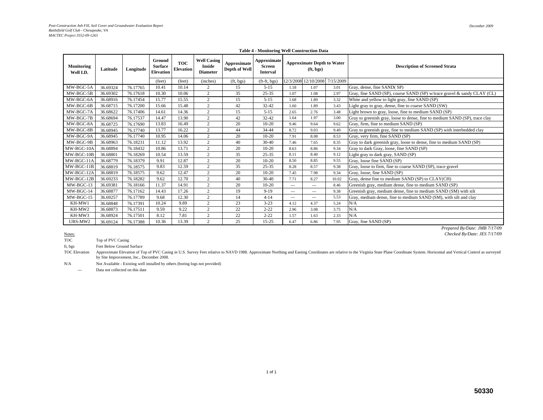| Monitoring<br>Well I.D. | Latitude | Longitude | Ground<br><b>Surface</b><br><b>Elevation</b> | <b>TOC</b><br><b>Elevation</b> | <b>Well Casing</b><br><b>Inside</b><br><b>Diameter</b> | Approximate<br>Depth of Well | Approximate<br><b>Screen</b><br><b>Interval</b> |          | <b>Approximate Depth to Water</b><br>(ft, bgs) |           | <b>Description of Screened Strata</b>                                       |
|-------------------------|----------|-----------|----------------------------------------------|--------------------------------|--------------------------------------------------------|------------------------------|-------------------------------------------------|----------|------------------------------------------------|-----------|-----------------------------------------------------------------------------|
|                         |          |           | (feet)                                       | (feet)                         | (inches)                                               | (ft, bgs)                    | (ft-ft, bgs)                                    |          | 12/3/2008 12/10/2008                           | 7/15/2009 |                                                                             |
| MW-BGC-5A               | 36.69324 | 76.17765  | 10.41                                        | 10.14                          | 2                                                      | 15                           | $5 - 15$                                        | 1.18     | 1.07                                           | 3.01      | Gray, dense, fine SAND(SP)                                                  |
| MW-BGC-5B               | 36.69302 | 76.17618  | 10.30                                        | 10.06                          | 2                                                      | 35                           | $25 - 35$                                       | 1.07     | 1.08                                           | 2.97      | Gray, fine SAND (SP), course SAND (SP) w/trace gravel & sandy CLAY (CL)     |
| MW-BGC-6A               | 36.68916 | 76.17454  | 15.77                                        | 15.55                          | 2                                                      | 15                           | $5 - 15$                                        | 1.68     | 1.89                                           | 3.32      | White and yellow to light gray, fine SAND (SP)                              |
| MW-BGC-6B               | 36.68715 | 76.17200  | 15.66                                        | 15.48                          | $\overline{c}$                                         | 42                           | $32 - 42$                                       | 1.60     | 1.89                                           | 3.43      | Light gray to gray, dense, fine to coarse SAND (SW)                         |
| MW-BGC-7A               | 36.68622 | 76.17406  | 14.61                                        | 14.36                          | 2                                                      | 15                           | $5 - 15$                                        | 2.65     | 2.76                                           | 3.48      | Light brown to gray, loose, fine to medium SAND (SP)                        |
| MW-BGC-7B               | 36.68694 | 76.17537  | 14.47                                        | 13.90                          | 2                                                      | 42                           | $32 - 42$                                       | 1.64     | 1.97                                           | 3.00      | Gray to greenish gray, loose to dense, fine to medium SAND (SP), trace clay |
| MW-BGC-8A               | 36.68725 | 76.17690  | 13.83                                        | 16.49                          | 2                                                      | 20                           | $10 - 20$                                       | 9.46     | 9.64                                           | 9.62      | Gray, firm, fine to medium SAND (SP)                                        |
| MW-BGC-8B               | 36.68945 | 76.17740  | 13.77                                        | 16.22                          | 2                                                      | 44                           | 34-44                                           | 8.72     | 9.03                                           | 9.49      | Gray to greenish gray, fine to medium SAND (SP) with interbedded clay       |
| MW-BGC-9A               | 36.68945 | 76.17740  | 10.95                                        | 14.06                          | 2                                                      | 20                           | $10 - 20$                                       | 7.91     | 8.08                                           | 8.53      | Gray, very firm, fine SAND (SP)                                             |
| MW-BGC-9B               | 36.68963 | 76.18231  | 11.12                                        | 13.92                          | 2                                                      | 40                           | $30-40$                                         | 7.46     | 7.65                                           | 8.35      | Gray to dark greenish gray, loose to dense, fine to medium SAND (SP)        |
| MW-BGC-10A              | 36.68894 | 76.18432  | 10.86                                        | 13.71                          | 2                                                      | 20                           | $10 - 20$                                       | 8.63     | 8.86                                           | 9.34      | Gray to dark Gray, loose, fine SAND (SP)                                    |
| $MW-BGC-10B$            | 36.68801 | 76.18269  | 10.54                                        | 13.59                          | 2                                                      | 35                           | $25 - 35$                                       | 8.11     | 8.40                                           | 9.12      | Light gray to dark gray, SAND (SP)                                          |
| MW-BGC-11A              | 36.68779 | 76.18379  | 9.91                                         | 12.87                          | 2                                                      | 20                           | $10 - 20$                                       | 8.50     | 8.85                                           | 9.55      | Gray, loose fine SAND (SP)                                                  |
| MW-BGC-11B              | 36.68819 | 76.18575  | 9.83                                         | 12.59                          | $\overline{c}$                                         | 35                           | $25 - 35$                                       | 8.28     | 8.57                                           | 9.38      | Gray, loose to firm, fine to coarse SAND (SP), trace gravel                 |
| MW-BGC-12A              | 36.68819 | 76.18575  | 9.62                                         | 12.47                          | $\overline{c}$                                         | 20                           | $10 - 20$                                       | 7.45     | 7.98                                           | 9.34      | Gray, loose, fine SAND (SP)                                                 |
| MW-BGC-12B              | 36.69233 | 76.18282  | 9.62                                         | 12.70                          | 2                                                      | 40                           | $30 - 40$                                       | 7.71     | 8.27                                           | 10.02     | Gray, dense fine to medium SAND (SP) to CLAY(CH)                            |
| MW-BGC-13               | 36.69381 | 76.18166  | 11.37                                        | 14.91                          | $\overline{2}$                                         | 20                           | $10 - 20$                                       | $\cdots$ | $\cdots$                                       | 8.46      | Greenish gray, medium dense, fine to medium SAND (SP)                       |
| MW-BGC-14               | 36.68877 | 76.17162  | 14.43                                        | 17.26                          | 2                                                      | 19                           | $9-19$                                          | $\cdots$ | $---$                                          | 9.38      | Greenish gray, medium dense, fine to medium SAND (SM) with silt             |
| $MW-BGC-15$             | 36.69257 | 76.17789  | 9.68                                         | 12.30                          | 2                                                      | 14                           | $4 - 14$                                        | $---$    | $---$                                          | 5.53      | Gray, medium dense, fine to medium SAND (SM), with silt and clay            |
| KH-MW1                  | 36.68848 | 76.17391  | 10.24                                        | 9.89                           | $\overline{2}$                                         | 23                           | $3 - 23$                                        | 4.12     | 4.37                                           | 5.24      | N/A                                                                         |
| KH-MW2                  | 36.68873 | 76.17511  | 9.59                                         | 9.22                           | $\overline{c}$                                         | 22                           | $2 - 22$                                        | 2.96     | 3.08                                           | 3.75      | N/A                                                                         |
| KH-MW3                  | 36.68924 | 76.17501  | 8.12                                         | 7.81                           | 2                                                      | 22                           | $2 - 22$                                        | 1.57     | 1.63                                           | 2.33      | N/A                                                                         |
| URS-MW2                 | 36.69124 | 76.17388  | 10.36                                        | 13.39                          | 2                                                      | 25                           | $15 - 25$                                       | 6.47     | 6.86                                           | 7.95      | Gray, fine SAND (SP)                                                        |

### **Table 4 - Monitoring Well Construction Data**

Notes:

Notes:<br> **Checked By/Date: JES 7/17/09**<br> **TOC** Top of PVC Casing Top of PVC Casing

ft, bgs Feet Below Ground Surface

TOC Elevation Approximate Elevation of Top of PVC Casing in U.S. Survey Feet relative to NAVD 1988. Approximate Northing and Easting Coordinates are relative to the Virginia State Plane Coordinate System. Horizontal and Vertical Control by Site Improvement, Inc., December 2008.

N/A Not Available - Existing well installed by others (boring logs not provided)

Data not collected on this date

*Prepared By/Date: JMB 7/17/09*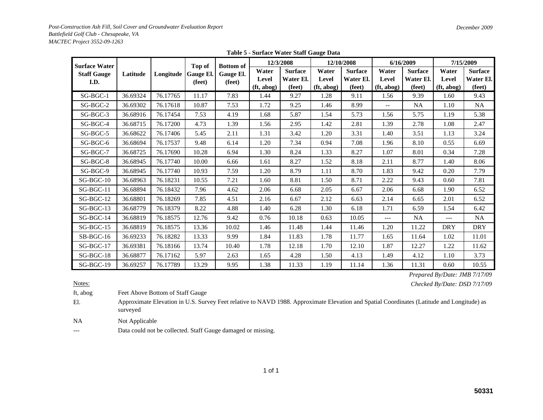| <b>Surface Water</b>       |          |           |                               | 12/3/2008                               |                              | 12/10/2008                            |                                           | 6/16/2009                             | 7/15/2009                    |                                       |                                           |                                       |
|----------------------------|----------|-----------|-------------------------------|-----------------------------------------|------------------------------|---------------------------------------|-------------------------------------------|---------------------------------------|------------------------------|---------------------------------------|-------------------------------------------|---------------------------------------|
| <b>Staff Gauge</b><br>I.D. | Latitude | Longitude | Top of<br>Gauge El.<br>(feet) | <b>Bottom</b> of<br>Gauge El.<br>(feet) | Water<br>Level<br>(ft, abog) | <b>Surface</b><br>Water El.<br>(feet) | Water<br>Level<br>(f <sub>t</sub> , abog) | <b>Surface</b><br>Water El.<br>(feet) | Water<br>Level<br>(ft, abog) | <b>Surface</b><br>Water El.<br>(feet) | Water<br>Level<br>(f <sub>t</sub> , abog) | <b>Surface</b><br>Water El.<br>(feet) |
| SG-BGC-1                   | 36.69324 | 76.17765  | 11.17                         | 7.83                                    | 1.44                         | 9.27                                  | 1.28                                      | 9.11                                  | 1.56                         | 9.39                                  | 1.60                                      | 9.43                                  |
| SG-BGC-2                   | 36.69302 | 76.17618  | 10.87                         | 7.53                                    | 1.72                         | 9.25                                  | 1.46                                      | 8.99                                  | $- -$                        | NA                                    | 1.10                                      | NA                                    |
| SG-BGC-3                   | 36.68916 | 76.17454  | 7.53                          | 4.19                                    | 1.68                         | 5.87                                  | 1.54                                      | 5.73                                  | 1.56                         | 5.75                                  | 1.19                                      | 5.38                                  |
| $SG-BGC-4$                 | 36.68715 | 76.17200  | 4.73                          | 1.39                                    | 1.56                         | 2.95                                  | 1.42                                      | 2.81                                  | 1.39                         | 2.78                                  | 1.08                                      | 2.47                                  |
| SG-BGC-5                   | 36.68622 | 76.17406  | 5.45                          | 2.11                                    | 1.31                         | 3.42                                  | 1.20                                      | 3.31                                  | 1.40                         | 3.51                                  | 1.13                                      | 3.24                                  |
| $SG-BGC-6$                 | 36.68694 | 76.17537  | 9.48                          | 6.14                                    | 1.20                         | 7.34                                  | 0.94                                      | 7.08                                  | 1.96                         | 8.10                                  | 0.55                                      | 6.69                                  |
| SG-BGC-7                   | 36.68725 | 76.17690  | 10.28                         | 6.94                                    | 1.30                         | 8.24                                  | 1.33                                      | 8.27                                  | 1.07                         | 8.01                                  | 0.34                                      | 7.28                                  |
| SG-BGC-8                   | 36.68945 | 76.17740  | 10.00                         | 6.66                                    | 1.61                         | 8.27                                  | 1.52                                      | 8.18                                  | 2.11                         | 8.77                                  | 1.40                                      | 8.06                                  |
| $SG-BGC-9$                 | 36.68945 | 76.17740  | 10.93                         | 7.59                                    | 1.20                         | 8.79                                  | 1.11                                      | 8.70                                  | 1.83                         | 9.42                                  | 0.20                                      | 7.79                                  |
| $SG-BGC-10$                | 36.68963 | 76.18231  | 10.55                         | 7.21                                    | 1.60                         | 8.81                                  | 1.50                                      | 8.71                                  | 2.22                         | 9.43                                  | 0.60                                      | 7.81                                  |
| SG-BGC-11                  | 36.68894 | 76.18432  | 7.96                          | 4.62                                    | 2.06                         | 6.68                                  | 2.05                                      | 6.67                                  | 2.06                         | 6.68                                  | 1.90                                      | 6.52                                  |
| $SG-BGC-12$                | 36.68801 | 76.18269  | 7.85                          | 4.51                                    | 2.16                         | 6.67                                  | 2.12                                      | 6.63                                  | 2.14                         | 6.65                                  | 2.01                                      | 6.52                                  |
| SG-BGC-13                  | 36.68779 | 76.18379  | 8.22                          | 4.88                                    | 1.40                         | 6.28                                  | 1.30                                      | 6.18                                  | 1.71                         | 6.59                                  | 1.54                                      | 6.42                                  |
| SG-BGC-14                  | 36.68819 | 76.18575  | 12.76                         | 9.42                                    | 0.76                         | 10.18                                 | 0.63                                      | 10.05                                 | $\qquad \qquad - -$          | NA                                    | $---$                                     | NA                                    |
| $SG-BGC-15$                | 36.68819 | 76.18575  | 13.36                         | 10.02                                   | 1.46                         | 11.48                                 | 1.44                                      | 11.46                                 | 1.20                         | 11.22                                 | <b>DRY</b>                                | <b>DRY</b>                            |
| SB-BGC-16                  | 36.69233 | 76.18282  | 13.33                         | 9.99                                    | 1.84                         | 11.83                                 | 1.78                                      | 11.77                                 | 1.65                         | 11.64                                 | 1.02                                      | 11.01                                 |
| $SG-BGC-17$                | 36.69381 | 76.18166  | 13.74                         | 10.40                                   | 1.78                         | 12.18                                 | 1.70                                      | 12.10                                 | 1.87                         | 12.27                                 | 1.22                                      | 11.62                                 |
| SG-BGC-18                  | 36.68877 | 76.17162  | 5.97                          | 2.63                                    | 1.65                         | 4.28                                  | 1.50                                      | 4.13                                  | 1.49                         | 4.12                                  | 1.10                                      | 3.73                                  |
| $SG-BGC-19$                | 36.69257 | 76.17789  | 13.29                         | 9.95                                    | 1.38                         | 11.33                                 | 1.19                                      | 11.14                                 | 1.36                         | 11.31                                 | 0.60                                      | 10.55                                 |

**Table 5 - Surface Water Staff Gauge Data**

*Prepared By/Date: JMB 7/17/09 Checked By/Date: DSD 7/17/09*

Notes:

ft, abog Feet Above Bottom of Staff Gauge

El. Approximate Elevation in U.S. Survey Feet relative to NAVD 1988. Approximate Elevation and Spatial Coordinates (Latitude and Longitude) as surveyed

NA Not Applicable

---Data could not be collected. Staff Gauge damaged or missing.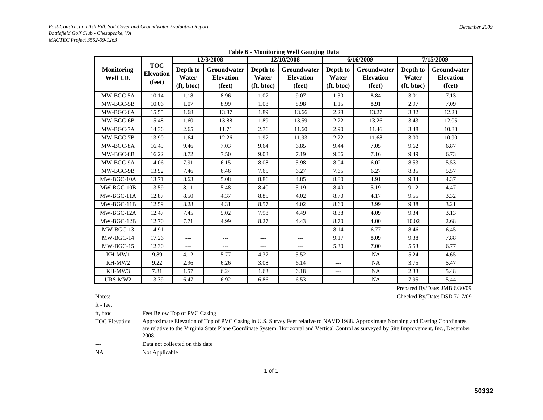|  | <b>Table 6 - Monitoring Well Gauging Data</b> |  |  |  |
|--|-----------------------------------------------|--|--|--|
|--|-----------------------------------------------|--|--|--|

|                                |                                          |                                 | 12/3/2008                                        |                                 | 12/10/2008                                       |                                 | 6/16/2009                                        | 7/15/2009                       |                                                  |  |
|--------------------------------|------------------------------------------|---------------------------------|--------------------------------------------------|---------------------------------|--------------------------------------------------|---------------------------------|--------------------------------------------------|---------------------------------|--------------------------------------------------|--|
| <b>Monitoring</b><br>Well I.D. | <b>TOC</b><br><b>Elevation</b><br>(feet) | Depth to<br>Water<br>(ft, btoc) | <b>Groundwater</b><br><b>Elevation</b><br>(feet) | Depth to<br>Water<br>(ft, btoc) | <b>Groundwater</b><br><b>Elevation</b><br>(feet) | Depth to<br>Water<br>(ft, btoc) | <b>Groundwater</b><br><b>Elevation</b><br>(feet) | Depth to<br>Water<br>(ft, btoc) | <b>Groundwater</b><br><b>Elevation</b><br>(feet) |  |
| MW-BGC-5A                      | 10.14                                    | 1.18                            | 8.96                                             | 1.07                            | 9.07                                             | 1.30                            | 8.84                                             | 3.01                            | 7.13                                             |  |
| MW-BGC-5B                      | 10.06                                    | 1.07                            | 8.99                                             | 1.08                            | 8.98                                             | 1.15                            | 8.91                                             | 2.97                            | 7.09                                             |  |
| MW-BGC-6A                      | 15.55                                    | 1.68                            | 13.87                                            | 1.89                            | 13.66                                            | 2.28                            | 13.27                                            | 3.32                            | 12.23                                            |  |
| MW-BGC-6B                      | 15.48                                    | 1.60                            | 13.88                                            | 1.89                            | 13.59                                            | 2.22                            | 13.26                                            | 3.43                            | 12.05                                            |  |
| MW-BGC-7A                      | 14.36                                    | 2.65                            | 11.71                                            | 2.76                            | 11.60                                            | 2.90                            | 11.46                                            | 3.48                            | 10.88                                            |  |
| MW-BGC-7B                      | 13.90                                    | 1.64                            | 12.26                                            | 1.97                            | 11.93                                            | 2.22                            | 11.68                                            | 3.00                            | 10.90                                            |  |
| MW-BGC-8A                      | 16.49                                    | 9.46                            | 7.03                                             | 9.64                            | 6.85                                             | 9.44                            | 7.05                                             | 9.62                            | 6.87                                             |  |
| MW-BGC-8B                      | 16.22                                    | 8.72                            | 7.50                                             | 9.03                            | 7.19                                             | 9.06                            | 7.16                                             | 9.49                            | 6.73                                             |  |
| MW-BGC-9A                      | 14.06                                    | 7.91                            | 6.15                                             | 8.08                            | 5.98                                             | 8.04                            | 6.02                                             | 8.53                            | 5.53                                             |  |
| MW-BGC-9B                      | 13.92                                    | 7.46                            | 6.46                                             | 7.65                            | 6.27                                             | 7.65                            | 6.27                                             | 8.35                            | 5.57                                             |  |
| MW-BGC-10A                     | 13.71                                    | 8.63                            | 5.08                                             | 8.86                            | 4.85                                             | 8.80                            | 4.91                                             | 9.34                            | 4.37                                             |  |
| MW-BGC-10B                     | 13.59                                    | 8.11                            | 5.48                                             | 8.40                            | 5.19                                             | 8.40                            | 5.19                                             | 9.12                            | 4.47                                             |  |
| MW-BGC-11A                     | 12.87                                    | 8.50                            | 4.37                                             | 8.85                            | 4.02                                             | 8.70                            | 4.17                                             | 9.55                            | 3.32                                             |  |
| MW-BGC-11B                     | 12.59                                    | 8.28                            | 4.31                                             | 8.57                            | 4.02                                             | 8.60                            | 3.99                                             | 9.38                            | 3.21                                             |  |
| MW-BGC-12A                     | 12.47                                    | 7.45                            | 5.02                                             | 7.98                            | 4.49                                             | 8.38                            | 4.09                                             | 9.34                            | 3.13                                             |  |
| MW-BGC-12B                     | 12.70                                    | 7.71                            | 4.99                                             | 8.27                            | 4.43                                             | 8.70                            | 4.00                                             | 10.02                           | 2.68                                             |  |
| MW-BGC-13                      | 14.91                                    | $---$                           | ---                                              | $---$                           | ---                                              | 8.14                            | 6.77                                             | 8.46                            | 6.45                                             |  |
| MW-BGC-14                      | 17.26                                    | $---$                           | $---$                                            | $---$                           | $---$                                            | 9.17                            | 8.09                                             | 9.38                            | 7.88                                             |  |
| MW-BGC-15                      | 12.30                                    | $---$                           | ---                                              | $---$                           | $\overline{a}$                                   | 5.30                            | 7.00                                             | 5.53                            | 6.77                                             |  |
| KH-MW1                         | 9.89                                     | 4.12                            | 5.77                                             | 4.37                            | 5.52                                             | $---$                           | <b>NA</b>                                        | 5.24                            | 4.65                                             |  |
| KH-MW2                         | 9.22                                     | 2.96                            | 6.26                                             | 3.08                            | 6.14                                             | $---$                           | NA                                               | 3.75                            | 5.47                                             |  |
| KH-MW3                         | 7.81                                     | 1.57                            | 6.24                                             | 1.63                            | 6.18                                             | $\frac{1}{2}$                   | <b>NA</b>                                        | 2.33                            | 5.48                                             |  |
| URS-MW2                        | 13.39                                    | 6.47<br>6.92                    |                                                  | 6.86                            | 6.53                                             | $---$                           | $\rm NA$                                         | 7.95                            | 5.44                                             |  |

Prepared By/Date: JMB 6/30/09

Checked By/Date: DSD 7/17/09

Notes:ft - feet

ft, btoc Feet Below Top of PVC Casing

TOC Elevation Approximate Elevation of Top of PVC Casing in U.S. Survey Feet relative to NAVD 1988. Approximate Northing and Easting Coordinates are relative to the Virginia State Plane Coordinate System. Horizontal and Vertical Control as surveyed by Site Improvement, Inc., December 2008.

---Data not collected on this date

NA Not Applicable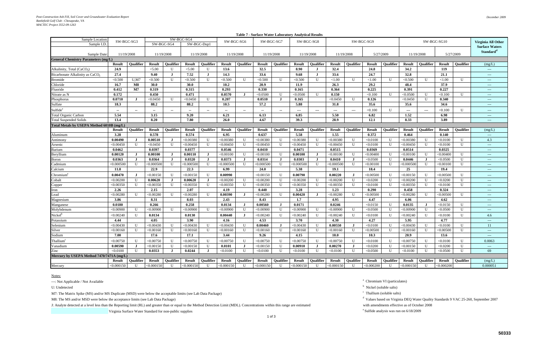| SW-BGC-SG9<br>SW-BGC-SG3<br>SW-BGC-SG6<br>SW-BGC-SG7<br>SW-BGC-SG8<br>SW-BGC-SG10<br>SW-BGC-SG4<br>SW-BGC-Dup1<br>Sample I.D.<br>11/19/2008<br>11/19/2008<br>11/19/2008<br>5/27/2009<br>5/27/2009<br>Sample Date:<br>11/19/2008<br>11/19/2008<br>11/19/2008<br>11/19/2008<br>11/19/2008<br><b>General Chemistry Parameters (mg/L)</b><br><b>Oualifier</b><br><b>Oualifier</b><br><b>Oualifier</b><br><b>Oualifier</b><br><b>Oualifier</b><br>Oualifier<br><b>Oualifier</b><br>Qualifier<br><b>Oualifier</b><br><b>Oualifier</b><br><b>Result</b><br><b>Result</b><br><b>Result</b><br><b>Result</b><br><b>Result</b><br><b>Result</b><br><b>Result</b><br><b>Result</b><br><b>Result</b><br><b>Result</b><br>24.9<br>32.5<br>8.90<br>24.8<br>34.2<br>< 5.00<br>$\mathbf{U}$<br>< 5.00<br>$\mathbf{U}$<br>13.6<br>32.4<br>119<br>Alkalinity, Total (CaCO <sub>3</sub> )<br>33.6<br>24.7<br>32.8<br>Bicarbonate Alkalinity as CaCO.<br>27.4<br>9.40<br>7.52<br>14.3<br>9.68<br>33.6<br>21.1<br>$\bf{J}$<br>$\bf{J}$<br>U.M7<br>U<br>< 0.500<br>U<br>< 0.500<br>< 0.500<br>< 0.500<br>${<}1.00$<br>< 1.00<br><b>Bromide</b><br>< 0.500<br>< 0.500<br>$\mathbf{U}$<br>$\mathbf{I}$<br>${<}1.00$<br>U<br>< 0.500<br>$\mathbf{U}$<br>H<br>20.9<br>29.2<br>Chloride<br>30.0<br>10.2<br>26.3<br>48.4<br>37.9<br>16.7<br>M8<br><b>30.0</b><br>11.9<br>0.225<br>0.227<br>0.412<br>M7<br>0.293<br>0.330<br>0.165<br>0.364<br>0.391<br>0.319<br>0.315<br>Fluoride<br>0.450<br>0.0570<br>0.172<br>0.471<br>< 0.0500<br>< 0.0500<br>$\overline{1}$<br>0.150<br>< 0.100<br>U<br>< 0.0500<br>$\mathbf{U}$<br>Nitrate as N<br>$\mathbf{U}$<br>< 0.100<br>$\mathbf{U}$<br>$\mathbf I$<br>0.0710<br>$\mathbf{U}$<br>$\mathbf{U}$<br>0.207<br>0.0510<br>0.165<br>< 0.0450<br>0.126<br>< 0.0450<br>0.340<br>Phosphorus<br>< 0.0450<br>< 0.0450<br>- 1<br>$\mathbf{I}$<br>$\mathbf{U}$<br>$\bf J$<br>18.3<br>88.2<br>88.2<br>10.5<br>57.2<br>5.88<br>31.8<br>35.6<br>35.6<br>34.6<br>Sulfate<br>Sulfide <sup>e</sup><br>< 0.100<br>$\mathbf{U}$<br>< 0.100<br>$\mathbf{U}$<br>$\overline{\phantom{a}}$<br>$\overline{\phantom{a}}$<br>$\overline{\phantom{a}}$<br>$\hspace{0.05cm} \ldots$<br>$\scriptstyle\cdots$<br>$\overline{\phantom{a}}$<br>$\mathbf{u}$<br>$\overline{\phantom{a}}$<br>$\overline{\phantom{a}}$<br>$\hspace{0.05cm} \ldots \hspace{0.05cm}$<br>$---$<br>$\hspace{0.05cm} \ldots$<br>$---$<br>$\sim$<br>$\overline{\phantom{m}}$<br>$\sim$ |                                                                                                |
|--------------------------------------------------------------------------------------------------------------------------------------------------------------------------------------------------------------------------------------------------------------------------------------------------------------------------------------------------------------------------------------------------------------------------------------------------------------------------------------------------------------------------------------------------------------------------------------------------------------------------------------------------------------------------------------------------------------------------------------------------------------------------------------------------------------------------------------------------------------------------------------------------------------------------------------------------------------------------------------------------------------------------------------------------------------------------------------------------------------------------------------------------------------------------------------------------------------------------------------------------------------------------------------------------------------------------------------------------------------------------------------------------------------------------------------------------------------------------------------------------------------------------------------------------------------------------------------------------------------------------------------------------------------------------------------------------------------------------------------------------------------------------------------------------------------------------------------------------------------------------------------------------------------------------------------------------------------------------------------------------------------------------------------------------------------------------------------------------------------------------------------------------------------------------------------------------------------------------------------------------------------------------------------------------------------------------------------------------------------------------------------------------------------------------------------------|------------------------------------------------------------------------------------------------|
|                                                                                                                                                                                                                                                                                                                                                                                                                                                                                                                                                                                                                                                                                                                                                                                                                                                                                                                                                                                                                                                                                                                                                                                                                                                                                                                                                                                                                                                                                                                                                                                                                                                                                                                                                                                                                                                                                                                                                                                                                                                                                                                                                                                                                                                                                                                                                                                                                                            | Virginia All Other<br><b>Surface Waters</b>                                                    |
|                                                                                                                                                                                                                                                                                                                                                                                                                                                                                                                                                                                                                                                                                                                                                                                                                                                                                                                                                                                                                                                                                                                                                                                                                                                                                                                                                                                                                                                                                                                                                                                                                                                                                                                                                                                                                                                                                                                                                                                                                                                                                                                                                                                                                                                                                                                                                                                                                                            | Standard <sup>d</sup>                                                                          |
|                                                                                                                                                                                                                                                                                                                                                                                                                                                                                                                                                                                                                                                                                                                                                                                                                                                                                                                                                                                                                                                                                                                                                                                                                                                                                                                                                                                                                                                                                                                                                                                                                                                                                                                                                                                                                                                                                                                                                                                                                                                                                                                                                                                                                                                                                                                                                                                                                                            |                                                                                                |
|                                                                                                                                                                                                                                                                                                                                                                                                                                                                                                                                                                                                                                                                                                                                                                                                                                                                                                                                                                                                                                                                                                                                                                                                                                                                                                                                                                                                                                                                                                                                                                                                                                                                                                                                                                                                                                                                                                                                                                                                                                                                                                                                                                                                                                                                                                                                                                                                                                            | (mg/L)                                                                                         |
|                                                                                                                                                                                                                                                                                                                                                                                                                                                                                                                                                                                                                                                                                                                                                                                                                                                                                                                                                                                                                                                                                                                                                                                                                                                                                                                                                                                                                                                                                                                                                                                                                                                                                                                                                                                                                                                                                                                                                                                                                                                                                                                                                                                                                                                                                                                                                                                                                                            | $\sim$ $\sim$ $\sim$                                                                           |
|                                                                                                                                                                                                                                                                                                                                                                                                                                                                                                                                                                                                                                                                                                                                                                                                                                                                                                                                                                                                                                                                                                                                                                                                                                                                                                                                                                                                                                                                                                                                                                                                                                                                                                                                                                                                                                                                                                                                                                                                                                                                                                                                                                                                                                                                                                                                                                                                                                            | $---$                                                                                          |
|                                                                                                                                                                                                                                                                                                                                                                                                                                                                                                                                                                                                                                                                                                                                                                                                                                                                                                                                                                                                                                                                                                                                                                                                                                                                                                                                                                                                                                                                                                                                                                                                                                                                                                                                                                                                                                                                                                                                                                                                                                                                                                                                                                                                                                                                                                                                                                                                                                            | $\cdots$                                                                                       |
|                                                                                                                                                                                                                                                                                                                                                                                                                                                                                                                                                                                                                                                                                                                                                                                                                                                                                                                                                                                                                                                                                                                                                                                                                                                                                                                                                                                                                                                                                                                                                                                                                                                                                                                                                                                                                                                                                                                                                                                                                                                                                                                                                                                                                                                                                                                                                                                                                                            | $\cdots$                                                                                       |
|                                                                                                                                                                                                                                                                                                                                                                                                                                                                                                                                                                                                                                                                                                                                                                                                                                                                                                                                                                                                                                                                                                                                                                                                                                                                                                                                                                                                                                                                                                                                                                                                                                                                                                                                                                                                                                                                                                                                                                                                                                                                                                                                                                                                                                                                                                                                                                                                                                            | $\frac{1}{2}$                                                                                  |
|                                                                                                                                                                                                                                                                                                                                                                                                                                                                                                                                                                                                                                                                                                                                                                                                                                                                                                                                                                                                                                                                                                                                                                                                                                                                                                                                                                                                                                                                                                                                                                                                                                                                                                                                                                                                                                                                                                                                                                                                                                                                                                                                                                                                                                                                                                                                                                                                                                            | ---                                                                                            |
|                                                                                                                                                                                                                                                                                                                                                                                                                                                                                                                                                                                                                                                                                                                                                                                                                                                                                                                                                                                                                                                                                                                                                                                                                                                                                                                                                                                                                                                                                                                                                                                                                                                                                                                                                                                                                                                                                                                                                                                                                                                                                                                                                                                                                                                                                                                                                                                                                                            | $\cdots$                                                                                       |
|                                                                                                                                                                                                                                                                                                                                                                                                                                                                                                                                                                                                                                                                                                                                                                                                                                                                                                                                                                                                                                                                                                                                                                                                                                                                                                                                                                                                                                                                                                                                                                                                                                                                                                                                                                                                                                                                                                                                                                                                                                                                                                                                                                                                                                                                                                                                                                                                                                            | $\frac{1}{2}$                                                                                  |
|                                                                                                                                                                                                                                                                                                                                                                                                                                                                                                                                                                                                                                                                                                                                                                                                                                                                                                                                                                                                                                                                                                                                                                                                                                                                                                                                                                                                                                                                                                                                                                                                                                                                                                                                                                                                                                                                                                                                                                                                                                                                                                                                                                                                                                                                                                                                                                                                                                            | $\frac{1}{2}$                                                                                  |
| 5.54<br>3.15<br>9.20<br>6.85<br>5.50<br>6.82<br>1.52<br><b>Total Organic Carbon</b><br>6.21<br>6.13<br>6.98                                                                                                                                                                                                                                                                                                                                                                                                                                                                                                                                                                                                                                                                                                                                                                                                                                                                                                                                                                                                                                                                                                                                                                                                                                                                                                                                                                                                                                                                                                                                                                                                                                                                                                                                                                                                                                                                                                                                                                                                                                                                                                                                                                                                                                                                                                                                | $\scriptstyle \cdots$ $\scriptstyle \cdots$                                                    |
| 13.4<br>8.20<br>26.0<br>4.67<br>39.3<br>28.9<br>12.1<br>8.33<br>3.89<br><b>Total Suspended Solids</b><br>7.80                                                                                                                                                                                                                                                                                                                                                                                                                                                                                                                                                                                                                                                                                                                                                                                                                                                                                                                                                                                                                                                                                                                                                                                                                                                                                                                                                                                                                                                                                                                                                                                                                                                                                                                                                                                                                                                                                                                                                                                                                                                                                                                                                                                                                                                                                                                              | $\frac{1}{2} \left( \frac{1}{2} \right) \left( \frac{1}{2} \right) \left( \frac{1}{2} \right)$ |
| Total Metals by USEPA Method 6010B (mg/L)                                                                                                                                                                                                                                                                                                                                                                                                                                                                                                                                                                                                                                                                                                                                                                                                                                                                                                                                                                                                                                                                                                                                                                                                                                                                                                                                                                                                                                                                                                                                                                                                                                                                                                                                                                                                                                                                                                                                                                                                                                                                                                                                                                                                                                                                                                                                                                                                  |                                                                                                |
| <b>Result</b><br>Qualifier<br><b>Result</b><br>Qualifier<br><b>Result</b><br><b>Oualifier</b><br><b>Result</b><br>Qualifier<br><b>Result</b><br>Qualifier<br><b>Oualifier</b><br><b>Result</b><br><b>Oualifier</b><br><b>Result</b><br>Qualifier<br><b>Result</b><br><b>Oualifier</b><br><b>Result</b><br><b>Oualifier</b><br><b>Result</b>                                                                                                                                                                                                                                                                                                                                                                                                                                                                                                                                                                                                                                                                                                                                                                                                                                                                                                                                                                                                                                                                                                                                                                                                                                                                                                                                                                                                                                                                                                                                                                                                                                                                                                                                                                                                                                                                                                                                                                                                                                                                                                | (mg/L)                                                                                         |
| 5.58<br>3.28<br>0.578<br>0.574<br>6.95<br>1.55<br>0.372<br>0.464<br>0.637<br>0.140<br>Aluminum                                                                                                                                                                                                                                                                                                                                                                                                                                                                                                                                                                                                                                                                                                                                                                                                                                                                                                                                                                                                                                                                                                                                                                                                                                                                                                                                                                                                                                                                                                                                                                                                                                                                                                                                                                                                                                                                                                                                                                                                                                                                                                                                                                                                                                                                                                                                             | $\sim$ $\sim$ $\sim$                                                                           |
| 0.00490<br>0.00510<br>U<br>$\mathbf U$<br>< 0.00380<br>U<br>< 0.00380<br>U<br>U<br>$\mathbf{U}$<br>< 0.00380<br>$<$ 0.00380<br>U<br>< 0.00380<br>$\mathbf{U}$<br>< 0.0100<br>$<$ 0.00380<br>< 0.0100<br>$\bf J$<br>Antimony                                                                                                                                                                                                                                                                                                                                                                                                                                                                                                                                                                                                                                                                                                                                                                                                                                                                                                                                                                                                                                                                                                                                                                                                                                                                                                                                                                                                                                                                                                                                                                                                                                                                                                                                                                                                                                                                                                                                                                                                                                                                                                                                                                                                                | 4.3                                                                                            |
| $\mathbf{U}$<br>$\mathbf{U}$<br>< 0.00450<br>< 0.0450<br>< 0.00450<br>$\mathbf{U}$<br>< 0.00450<br>$\mathbf{U}$<br>< 0.00450<br>< 0.00450<br>$\mathbf{U}$<br>< 0.00450<br>< 0.0100<br>< 0.00450<br>< 0.0100<br>$\mathbf{U}$<br>$\mathbf{U}$<br>$\mathbf{I}$<br>$\mathbf{U}$<br>$\mathbf{U}$<br>Arsenic                                                                                                                                                                                                                                                                                                                                                                                                                                                                                                                                                                                                                                                                                                                                                                                                                                                                                                                                                                                                                                                                                                                                                                                                                                                                                                                                                                                                                                                                                                                                                                                                                                                                                                                                                                                                                                                                                                                                                                                                                                                                                                                                     | $\sim$ $\sim$ $\sim$                                                                           |
| 0.0462<br>0.0397<br>0.0377<br>0.0546<br>0.0410<br>0.0471<br>0.0515<br>0.0369<br>0.0514<br>0.0325<br>Barium                                                                                                                                                                                                                                                                                                                                                                                                                                                                                                                                                                                                                                                                                                                                                                                                                                                                                                                                                                                                                                                                                                                                                                                                                                                                                                                                                                                                                                                                                                                                                                                                                                                                                                                                                                                                                                                                                                                                                                                                                                                                                                                                                                                                                                                                                                                                 | $\frac{1}{2} \left( \frac{1}{2} \right) \left( \frac{1}{2} \right) \left( \frac{1}{2} \right)$ |
| 0.00120<br>0.00100<br>0.00110<br>< 0.00100<br>U<br>< 0.00100<br>0.00100<br>$<$ 0.00100<br>< 0.00400<br>U<br>$<$ 0.00100 $\,$<br>$\mathbf{U}$<br>< 0.00400<br>$\mathbf{I}$<br>Beryllium<br>$\bf J$<br>J.<br>U<br>$\blacksquare$<br>. п                                                                                                                                                                                                                                                                                                                                                                                                                                                                                                                                                                                                                                                                                                                                                                                                                                                                                                                                                                                                                                                                                                                                                                                                                                                                                                                                                                                                                                                                                                                                                                                                                                                                                                                                                                                                                                                                                                                                                                                                                                                                                                                                                                                                      | $\cdots$                                                                                       |
| 0.0363<br>0.0364<br>0.0320<br>0.0373<br>0.0303<br>0.0410<br>< 0.0500<br>0.0446<br>$\mathbf{U}$<br>0.0314<br>$\mathbf{U}$<br>< 0.0500<br>$\bf J$<br>J.<br>ा<br>Boron                                                                                                                                                                                                                                                                                                                                                                                                                                                                                                                                                                                                                                                                                                                                                                                                                                                                                                                                                                                                                                                                                                                                                                                                                                                                                                                                                                                                                                                                                                                                                                                                                                                                                                                                                                                                                                                                                                                                                                                                                                                                                                                                                                                                                                                                        | $\frac{1}{2} \left( \frac{1}{2} \right) \left( \frac{1}{2} \right) \left( \frac{1}{2} \right)$ |
| U<br>< 0.000500<br>U<br>$\mathbf{U}$<br>$\mathbf{U}$<br>$\mathbf{U}$<br>$\mathbf{U}$<br>< 0.000500<br>$<$ 0.000500<br>$<$ 0.000500 $<$<br>$<\!\!0.000500$<br>$\mathbf{U}$<br>$<$ $0.000500$<br>$<\!\!0.000500$<br>< 0.00100<br>< 0.000500<br>$\mathbf{U}$<br>$\mathbf{U}$<br>H<br>$< \!\! 0.00100$<br>Cadmium                                                                                                                                                                                                                                                                                                                                                                                                                                                                                                                                                                                                                                                                                                                                                                                                                                                                                                                                                                                                                                                                                                                                                                                                                                                                                                                                                                                                                                                                                                                                                                                                                                                                                                                                                                                                                                                                                                                                                                                                                                                                                                                              | $\frac{1}{2}$                                                                                  |
| 5.38<br>22.9<br>22.3<br>6.99<br>24.0<br>18.4<br>25<br>Calcium<br>11.8<br>19.1<br>19.4                                                                                                                                                                                                                                                                                                                                                                                                                                                                                                                                                                                                                                                                                                                                                                                                                                                                                                                                                                                                                                                                                                                                                                                                                                                                                                                                                                                                                                                                                                                                                                                                                                                                                                                                                                                                                                                                                                                                                                                                                                                                                                                                                                                                                                                                                                                                                      | ---                                                                                            |
| $\mathbf{U}$<br>0.00990<br>< 0.00150<br>0.00790<br>0.00220<br>Chromium<br>0.00470<br>< 0.00150<br>$\mathbf{U}$<br>$\mathbf{U}$<br>$< \!\! 0.00500$<br>$\mathbf{U}$<br>$<$ 0.00150 $\,$<br>$\mathbf{U}$<br>$<$ 0.00500<br>$\mathbf{U}$<br>$\bf{J}$<br>$<\!\!0.00150$                                                                                                                                                                                                                                                                                                                                                                                                                                                                                                                                                                                                                                                                                                                                                                                                                                                                                                                                                                                                                                                                                                                                                                                                                                                                                                                                                                                                                                                                                                                                                                                                                                                                                                                                                                                                                                                                                                                                                                                                                                                                                                                                                                        | $---$                                                                                          |
| U<br>0.00620<br>0.00620<br>Cobalt<br>< 0.00200<br>< 0.00200<br>U<br>< 0.00200<br>U<br>< 0.00200<br>$\mathbf{U}$<br>< 0.00200<br>< 0.0200<br>U<br>< 0.00200<br>$\mathbf{U}$<br>$<$ 0.0200<br>$\mathbf{U}$<br>U<br>J.                                                                                                                                                                                                                                                                                                                                                                                                                                                                                                                                                                                                                                                                                                                                                                                                                                                                                                                                                                                                                                                                                                                                                                                                                                                                                                                                                                                                                                                                                                                                                                                                                                                                                                                                                                                                                                                                                                                                                                                                                                                                                                                                                                                                                        | $\cdots$                                                                                       |
| U<br>< 0.00350<br>U<br>U<br>$\mathbf U$<br>< 0.00350<br>U<br>$\mathbf{U}$<br>< 0.00350<br>U<br>$\mathbf{U}$<br>$< \hspace{-0.000350$<br>$<$ 0.00350<br>< 0.00350<br>< 0.00350<br>$\mathbf{U}$<br>< 0.0100<br>$<$ $0.00350$<br>$\mathbf{U}$<br>< 0.0100<br>Copper                                                                                                                                                                                                                                                                                                                                                                                                                                                                                                                                                                                                                                                                                                                                                                                                                                                                                                                                                                                                                                                                                                                                                                                                                                                                                                                                                                                                                                                                                                                                                                                                                                                                                                                                                                                                                                                                                                                                                                                                                                                                                                                                                                           | $\sim$ $\sim$ $\sim$                                                                           |
| 0.324<br>2.26<br>2.15<br>2.07<br>4.19<br>0.440<br>3.28<br>1.23<br>0.290<br>0.458<br>lron                                                                                                                                                                                                                                                                                                                                                                                                                                                                                                                                                                                                                                                                                                                                                                                                                                                                                                                                                                                                                                                                                                                                                                                                                                                                                                                                                                                                                                                                                                                                                                                                                                                                                                                                                                                                                                                                                                                                                                                                                                                                                                                                                                                                                                                                                                                                                   | $\cdots$                                                                                       |
| < 0.00280<br>U<br>< 0.00280<br>U<br>< 0.00280<br>U<br>0.00390<br>< 0.00280<br>0.00420<br>< 0.00280<br>< 0.00500<br>< 0.00280<br>U<br>$\mathbf{U}$<br>< 0.00500<br>$\mathbf{U}$<br>∟ead<br>$\mathbf I$                                                                                                                                                                                                                                                                                                                                                                                                                                                                                                                                                                                                                                                                                                                                                                                                                                                                                                                                                                                                                                                                                                                                                                                                                                                                                                                                                                                                                                                                                                                                                                                                                                                                                                                                                                                                                                                                                                                                                                                                                                                                                                                                                                                                                                      | $\cdots$                                                                                       |
| 3.86<br>8.31<br>8.03<br>2.43<br>8.43<br>1.7<br>4.95<br>4.47<br>6.06<br>4.62<br>Magnesium                                                                                                                                                                                                                                                                                                                                                                                                                                                                                                                                                                                                                                                                                                                                                                                                                                                                                                                                                                                                                                                                                                                                                                                                                                                                                                                                                                                                                                                                                                                                                                                                                                                                                                                                                                                                                                                                                                                                                                                                                                                                                                                                                                                                                                                                                                                                                   | $\cdots$                                                                                       |
| 0.0180<br>0.266<br>0.258<br>0.0134<br>0.00560<br>0.0171<br>0.0246<br>< 0.0150<br>$\mathbf{U}$<br>0.0135<br>< 0.0150<br>$\mathbf{U}$<br>Manganese<br>$\blacksquare$<br>- 1                                                                                                                                                                                                                                                                                                                                                                                                                                                                                                                                                                                                                                                                                                                                                                                                                                                                                                                                                                                                                                                                                                                                                                                                                                                                                                                                                                                                                                                                                                                                                                                                                                                                                                                                                                                                                                                                                                                                                                                                                                                                                                                                                                                                                                                                  | $\cdots$                                                                                       |
| U<br>U<br>U<br>U<br>$\mathbf{U}$<br>< 0.00900<br>$<$ 0.00900<br>$<$ 0.00900<br>< 0.00900<br>$<$ 0.00900<br>U<br>< 0.00900<br>$\mathbf{U}$<br>$<$ 0.00900<br>< 0.0500<br>U<br>< 0.00900<br>$\mathbf{U}$<br>< 0.0500<br>Molybdenum<br>U                                                                                                                                                                                                                                                                                                                                                                                                                                                                                                                                                                                                                                                                                                                                                                                                                                                                                                                                                                                                                                                                                                                                                                                                                                                                                                                                                                                                                                                                                                                                                                                                                                                                                                                                                                                                                                                                                                                                                                                                                                                                                                                                                                                                      | $\frac{1}{2}$                                                                                  |
| Nickel<br>< 0.00240<br>U<br>0.0134<br>0.0130<br>< 0.00240<br>< 0.00240<br>< 0.00240<br>$\mathbf{U}$<br>0.00440<br>$\mathbf{I}$<br>$\mathbf{I}$<br>$<$ 0.00240<br>$\mathbf{I}$<br>< 0.0100<br>$\mathbf{I}$<br>$\mathbf{U}$<br>< 0.0100                                                                                                                                                                                                                                                                                                                                                                                                                                                                                                                                                                                                                                                                                                                                                                                                                                                                                                                                                                                                                                                                                                                                                                                                                                                                                                                                                                                                                                                                                                                                                                                                                                                                                                                                                                                                                                                                                                                                                                                                                                                                                                                                                                                                      | 4.6                                                                                            |
| 4.44<br>4.05<br>3.90<br>4.53<br>3.70<br>4.27<br>5.95<br>4.77<br>4.16<br>4.30<br>Potassium                                                                                                                                                                                                                                                                                                                                                                                                                                                                                                                                                                                                                                                                                                                                                                                                                                                                                                                                                                                                                                                                                                                                                                                                                                                                                                                                                                                                                                                                                                                                                                                                                                                                                                                                                                                                                                                                                                                                                                                                                                                                                                                                                                                                                                                                                                                                                  |                                                                                                |
| < 0.00430<br>U<br>< 0.00430<br>$\mathbf{U}$<br>$<$ 0.00430<br>$\mathbf{U}$<br>< 0.00430<br>0.00460<br>< 0.00430<br>0.00550<br>< 0.0100<br>< 0.00430<br>Selenium<br>U<br>U<br>U<br>U<br>$<\!\!0.0100$<br>U<br>$\bf{J}$                                                                                                                                                                                                                                                                                                                                                                                                                                                                                                                                                                                                                                                                                                                                                                                                                                                                                                                                                                                                                                                                                                                                                                                                                                                                                                                                                                                                                                                                                                                                                                                                                                                                                                                                                                                                                                                                                                                                                                                                                                                                                                                                                                                                                      | $\cdots$                                                                                       |
| U<br>Silver<br>< 0.00160<br>< 0.00160<br>U<br>U<br>$\mathbf U$<br><0.00160<br>$\mathbf U$<br>U<br>< 0.00500<br>$\mathbf U$<br>< 0.00160<br>U<br>< 0.00500<br>$\mathbf{U}$<br><,0.00160<br><,0.00160<br>$< \!\! 0.00160$<br><,0.00160<br>U                                                                                                                                                                                                                                                                                                                                                                                                                                                                                                                                                                                                                                                                                                                                                                                                                                                                                                                                                                                                                                                                                                                                                                                                                                                                                                                                                                                                                                                                                                                                                                                                                                                                                                                                                                                                                                                                                                                                                                                                                                                                                                                                                                                                  | 11                                                                                             |
| Sodium<br>7.00<br>17.6<br>17.1<br>3.44<br>9.26<br>4.15<br>10.0<br>10.3<br>20.9<br>13.6                                                                                                                                                                                                                                                                                                                                                                                                                                                                                                                                                                                                                                                                                                                                                                                                                                                                                                                                                                                                                                                                                                                                                                                                                                                                                                                                                                                                                                                                                                                                                                                                                                                                                                                                                                                                                                                                                                                                                                                                                                                                                                                                                                                                                                                                                                                                                     | $\frac{1}{2} \left( \frac{1}{2} \right) \left( \frac{1}{2} \right) \left( \frac{1}{2} \right)$ |
| Thallium <sup>c</sup><br>< 0.00750<br>< 0.00750<br>< 0.00750<br>< 0.00750<br>U<br>U<br>U<br>< 0.00750<br>< 0.00750<br>< 0.00750<br>$\mathbf{U}$<br>< 0.00750<br>< 0.0100<br>$\mathbf{U}$<br>U<br>< 0.0100<br>U<br>U                                                                                                                                                                                                                                                                                                                                                                                                                                                                                                                                                                                                                                                                                                                                                                                                                                                                                                                                                                                                                                                                                                                                                                                                                                                                                                                                                                                                                                                                                                                                                                                                                                                                                                                                                                                                                                                                                                                                                                                                                                                                                                                                                                                                                        |                                                                                                |
| Vanadium<br>0.00590<br>0.00270<br>< 0.00150<br>U<br>< 0.00150<br>$\mathbf U$<br>0.0101<br>< 0.00150<br>U<br>0.00910<br>< 0.0200<br>U<br>< 0.00150<br>U<br>< 0.0200<br>U<br>$\bf J$<br>J<br>. T<br>$\bf J$                                                                                                                                                                                                                                                                                                                                                                                                                                                                                                                                                                                                                                                                                                                                                                                                                                                                                                                                                                                                                                                                                                                                                                                                                                                                                                                                                                                                                                                                                                                                                                                                                                                                                                                                                                                                                                                                                                                                                                                                                                                                                                                                                                                                                                  | 0.0063                                                                                         |
| Zinc<br>$\mathbf U$<br>< 0.0100<br>0.0353<br>0.0244<br>U<br>< 0.0500<br>< 0.0100<br>U<br>< 0.0500<br>$\mathbf{U}$<br>< 0.0100<br>U<br>< 0.0100<br>U<br>< 0.0100<br>< 0.0100<br>U<br>U<br>$\bf J$                                                                                                                                                                                                                                                                                                                                                                                                                                                                                                                                                                                                                                                                                                                                                                                                                                                                                                                                                                                                                                                                                                                                                                                                                                                                                                                                                                                                                                                                                                                                                                                                                                                                                                                                                                                                                                                                                                                                                                                                                                                                                                                                                                                                                                           |                                                                                                |
| Mercury by USEPA Method 7470/7471A (mg/L)                                                                                                                                                                                                                                                                                                                                                                                                                                                                                                                                                                                                                                                                                                                                                                                                                                                                                                                                                                                                                                                                                                                                                                                                                                                                                                                                                                                                                                                                                                                                                                                                                                                                                                                                                                                                                                                                                                                                                                                                                                                                                                                                                                                                                                                                                                                                                                                                  | 69                                                                                             |
| Qualifier<br>Result Qualifier<br><b>Result</b><br><b>Result</b><br>Qualifier<br><b>Result</b><br>Qualifier<br><b>Result</b><br>Qualifier<br><b>Result</b><br>Qualifier<br><b>Result</b><br><b>Result</b><br>Qualifier<br>Qualifier<br><b>Result</b><br>Qualifier<br>Qualifier<br>Result                                                                                                                                                                                                                                                                                                                                                                                                                                                                                                                                                                                                                                                                                                                                                                                                                                                                                                                                                                                                                                                                                                                                                                                                                                                                                                                                                                                                                                                                                                                                                                                                                                                                                                                                                                                                                                                                                                                                                                                                                                                                                                                                                    |                                                                                                |
| < 0.000150<br>< 0.000150<br>$\mathbf{U}$<br>< 0.000150<br>< 0.000150<br>< 0.000150<br>< 0.000150<br>< 0.000150<br>< 0.000200<br>< 0.000150<br>< 0.000200<br>0.000051<br>$\mathbf{U}$<br>$\mathbf{U}$<br>$\mathbf{U}$<br>$\mathbf{U}$<br>$\mathbf{U}$<br>$\mathbf{U}$<br>$\mathbf{U}$<br>Mercury                                                                                                                                                                                                                                                                                                                                                                                                                                                                                                                                                                                                                                                                                                                                                                                                                                                                                                                                                                                                                                                                                                                                                                                                                                                                                                                                                                                                                                                                                                                                                                                                                                                                                                                                                                                                                                                                                                                                                                                                                                                                                                                                            | (mg/L)                                                                                         |

---: Not Applicable / Not Available **and Available** a Chromium VI (particulates)

U: Undetected

M7: The Matrix Spike (MS) and/or MS Duplicate (MSD) were below the acceptable limits (see Lab Data Package) <sup>c</sup> Thallium (soluble salts)

M8: The MS and/or MSD were below the acceptance limits (see Lab Data Package) dividends 9 VAC 25-260, September 2007

J: Analyte detected at a level less than the Reporting limit (RL) and greater than or equal to the Method Detection Limit (MDL). Concentrations within this range are estimated with amendments effective as of October 2008

Virginia Surface Water Standard for non-public supplies e Sulfide analysis was run on 6/18/2009

# **Table 7 - Surface Water Laboratory Analytical Results**

b Nickel (soluble salts)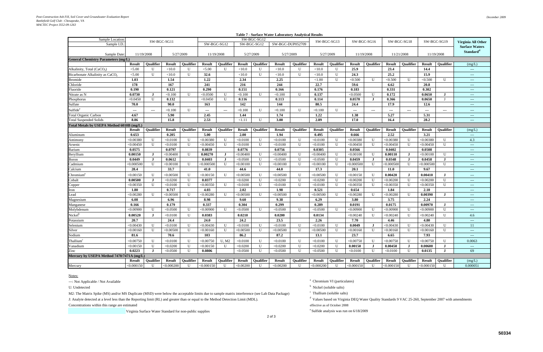| <b>Table 7 - Surface Water Laboratory Analytical Results</b> |               |                      |               |                  |                        |                                          |                  |                  |                  |                  |                |                  |               |                          |                      |                        |               |                        |                                                         |
|--------------------------------------------------------------|---------------|----------------------|---------------|------------------|------------------------|------------------------------------------|------------------|------------------|------------------|------------------|----------------|------------------|---------------|--------------------------|----------------------|------------------------|---------------|------------------------|---------------------------------------------------------|
| Sample Location:                                             |               |                      | SW-BGC-SG11   |                  |                        |                                          |                  | SW-BGC-SG12      |                  |                  |                | SW-BGC-SG13      |               | SW-BGC-SG16              |                      | SW-BGC-SG18            | SW-BGC-SG19   |                        | Virginia All Other                                      |
| Sample I.D.                                                  |               |                      |               |                  |                        | SW-BGC-SG12                              |                  | SW-BGC-SG12      | SW-BGC-DUP052709 |                  |                |                  |               |                          |                      |                        |               |                        | <b>Surface Waters</b>                                   |
|                                                              |               |                      |               |                  |                        |                                          |                  |                  |                  |                  |                |                  |               |                          |                      |                        |               |                        | Standard <sup>d</sup>                                   |
| Sample Date:                                                 |               | 11/19/2008           |               | 5/27/2009        |                        | 11/19/2008                               |                  | 5/27/2009        | 5/27/2009        |                  |                | 5/27/2009        | 11/19/2008    |                          | 11/21/2008           |                        | 11/19/2008    |                        |                                                         |
| <b>General Chemistry Parameters (mg/L)</b>                   |               |                      |               |                  |                        |                                          |                  |                  |                  |                  |                |                  |               |                          |                      |                        |               |                        |                                                         |
|                                                              | Result        | <b>Oualifier</b>     | <b>Result</b> | <b>Oualifier</b> | <b>Result</b>          | <b>Oualifier</b>                         | <b>Result</b>    | <b>Oualifier</b> | <b>Result</b>    | <b>Oualifier</b> | <b>Result</b>  | <b>Oualifier</b> | Result        | <b>Oualifier</b>         | <b>Result</b>        | <b>Oualifier</b>       | <b>Result</b> | <b>Oualifier</b>       | (mg/L)                                                  |
| Alkalinity, Total (CaCO <sub>3</sub> )                       | < 5.00        | $\mathbf{U}$         | < 10.0        | U                | < 5.00                 | U                                        | < 10.0           | $\mathbf{U}$     | < 10.0           | U                | < 10.0         | U                | 25.9          |                          | 23.4                 |                        | 14.4          |                        | $\qquad \qquad - -$                                     |
| Bicarbonate Alkalinity as CaCO.                              | < 5.00        | U                    | < 10.0        | U                | 32.6                   |                                          | < 10.0           | U                | < 10.0           | U                | < 10.0         | U                | 24.3          |                          | 25.2                 |                        | 15.9          |                        | $  -$                                                   |
| <b>Bromide</b>                                               | 1.03          |                      | 1.54          |                  | 1.22                   |                                          | 2.34             |                  | 2.25             |                  | ${<}1.00$      | U                | < 0.500       | U                        | < 0.500              | $\mathbf{U}$           | < 0.500       | U                      | $--$                                                    |
| Chloride                                                     | 178           |                      | 167           |                  | 241                    |                                          | 216              |                  | 244              |                  | 22.7           |                  | 59.6          |                          | 6.62                 |                        | 20.8          |                        | $  -$                                                   |
| Fluoride                                                     | 0.190         |                      | 0.121         |                  | 0.290                  |                                          | 0.151            |                  | 0.166            |                  | 0.176          |                  | 0.183         |                          | 0.331                |                        | 0.302         |                        | $---$                                                   |
| Nitrate as N                                                 | 0.0730        | $\bf{J}$             | < 0.100       | U                | < 0.0500               | U                                        | < 0.100          | U                | < 0.100          | U                | 0.137          |                  | < 0.0500      | U                        | 0.172                |                        | 0.0650        | $\bf{J}$               | $--$                                                    |
| Phosphorus                                                   | < 0.0450      | $\mathbf{U}$         | 0.132         |                  | < 0.0450               | U                                        | 0.116            |                  | 0.113            |                  | 0.114          |                  | 0.0570        | $\bf{J}$                 | 0.366                |                        | 0.0650        |                        | $\sim$ $\sim$ $\sim$                                    |
| Sulfate                                                      | 70.0          |                      | 90.0          |                  | 163                    |                                          | 142              |                  | 144              |                  | 80.5           |                  | 24.4          |                          | 17.9                 |                        | 12.6          |                        | $---$                                                   |
| Sulfide <sup>e</sup>                                         | $---$         | $\scriptstyle\cdots$ | < 0.100       | U                | $\qquad \qquad \cdots$ | $\hspace{0.05cm} \ldots \hspace{0.05cm}$ | < 0.100          | U                | < 0.100          | U                | < 0.100        | U                | ---           | $\hspace{0.05cm} \ldots$ | $\scriptstyle\cdots$ | $\qquad \qquad \cdots$ | $\sim$ $\sim$ | $\qquad \qquad \cdots$ | $  -$                                                   |
| <b>Total Organic Carbon</b>                                  | 4.67          |                      | 5.90          |                  | 2.45                   |                                          | 1.44             |                  | 1.74             |                  | 1.22           |                  | 1.38          |                          | 5.27                 |                        | 5.31          |                        | $--$                                                    |
| <b>Total Suspended Solids</b>                                | 8.86          |                      | 15.8          |                  | 2.53                   |                                          | <1.11            | $\mathbf{U}$     | 3.00             |                  | 2.89           |                  | 17.0          |                          | 16.4                 |                        | 28.2          |                        | $\sim$ $\sim$ $\sim$                                    |
| Total Metals by USEPA Method 6010B (mg/L)                    |               |                      |               |                  |                        |                                          |                  |                  |                  |                  |                |                  |               |                          |                      |                        |               |                        |                                                         |
|                                                              | <b>Result</b> | Qualifier            | <b>Result</b> | Qualifier        | <b>Result</b>          | <b>Oualifier</b>                         | <b>Result</b>    | <b>Oualifier</b> | <b>Result</b>    | <b>Oualifier</b> | <b>Result</b>  | <b>Oualifier</b> | <b>Result</b> | <b>Oualifier</b>         | <b>Result</b>        | <b>Oualifier</b>       | <b>Result</b> | <b>Oualifier</b>       | (mg/L)                                                  |
| Aluminum                                                     | 0.653         |                      | 0.205         |                  | 5.00                   |                                          | 2.00             |                  | 1.94             |                  | 0.495          |                  | 0.666         |                          | 2.52                 |                        | 3.21          |                        | $\sim$ $\sim$                                           |
| Antimony                                                     | < 0.00380     | U                    | < 0.0100      | U                | < 0.00380              | $\mathbf U$                              | < 0.0100         | U                | < 0.0100         | U                | < 0.0100       | U                | < 0.00380     | U                        | < 0.00380            | U                      | < 0.00380     | U                      | 4.3                                                     |
| Arsenic                                                      | < 0.00450     | $\mathbf{U}$         | < 0.0100      | U                | < 0.00450              | U                                        | < 0.0100         | U                | < 0.0100         | U                | < 0.0100       | U                | < 0.00450     | U                        | < 0.00450            | $\mathbf{U}$           | < 0.00450     | $\mathbf{U}$           | $\rightarrow$ $\rightarrow$ $\rightarrow$               |
| Barium                                                       | 0.0575        |                      | 0.0797        |                  | 0.0839                 |                                          | 0.0776           |                  | 0.0756           |                  | 0.0305         |                  | 0.0566        |                          | 0.0402               |                        | 0.0508        |                        | $  -$                                                   |
| Beryllium                                                    | 0.00150       | J                    | < 0.00400     | U                | 0.00270                | $\bf J$                                  | < 0.00400        | U                | < 0.00400        | U                | < 0.00400      | $\bf{U}$         | < 0.00100     | U                        | 0.00110              | $\bf J$                | < 0.00100     | U                      | $---$                                                   |
| Boron                                                        | 0.0449        | $\bf J$              | 0.0612        |                  | 0.0403                 | $\bf J$                                  | < 0.0500         | U                | < 0.0500         | U                | < 0.0500       | $\mathbf U$      | 0.0459        | $\bf{J}$                 | 0.0348               | $\bf J$                | 0.0458        | J                      | $  -$                                                   |
| Cadmium                                                      | < 0.000500    | $\mathbf U$          | < 0.00100     | U                | < 0.000500             | U                                        | < 0.00100        | U                | < 0.00100        | U                | < 0.00100      | $\mathbf U$      | < 0.000500    | U                        | < 0.000500           | U                      | < 0.000500    | U                      | $  -$                                                   |
| Calcium                                                      | 28.4          |                      | 33.7          |                  | 41.0                   |                                          | 44.6             |                  | 44.0             |                  | 17.3           |                  | 20.1          |                          | <b>11.0</b>          |                        | 9.67          |                        | $---$                                                   |
| Chromium <sup>a</sup>                                        | < 0.00150     | U                    | < 0.00500     | U                | < 0.00150              | $\mathbf U$                              | < 0.00500        | U                | < 0.00500        | U                | < 0.00500      | U                | < 0.00150     | U                        | 0.00420              | $\bf J$                | 0.00410       | $\bf{J}$               | $--$                                                    |
| Cobalt                                                       | 0.00500       | $\bf{I}$             | < 0.0200      | U                | 0.0377                 |                                          | < 0.0200         | U                | < 0.0200         | U                | < 0.0200       | U                | $<$ 0.00200   | U                        | < 0.00200            | $\mathbf{U}$           | < 0.00200     | $\mathbf{U}$           | $---$                                                   |
| Copper                                                       | < 0.00350     | U                    | < 0.0100      | U                | < 0.00350              | U                                        | < 0.0100         | U                | < 0.0100         | U                | < 0.0100       | $\bf{U}$         | < 0.00350     | U                        | < 0.00350            | U                      | < 0.00350     | U                      | $\sim$ $\sim$ $\sim$                                    |
| Iron                                                         | 1.80          |                      | 0.717         |                  | 4.03                   |                                          | 2.02             |                  | 1.98             |                  | 0.521          |                  | 0.654         |                          | 1.84                 |                        | 2.10          |                        | $\hspace{0.05cm} - \hspace{0.05cm} - \hspace{0.05cm} -$ |
| Lead                                                         | < 0.00280     | $\mathbf{U}$         | < 0.00500     | $\mathbf{U}$     | < 0.00280              | U                                        | $< \!\! 0.00500$ | $\mathbf{U}$     | < 0.00500        | $\mathbf{U}$     | $<\!\!0.00500$ | $\mathbf{U}$     | < 0.00280     | U                        | < 0.00280            | $\mathbf{U}$           | 0.00390       | $\bf{J}$               | $---$                                                   |
| Magnesium                                                    | 6.08          |                      | 6.96          |                  | 8.98                   |                                          | 9.60             |                  | 9.38             |                  | 6.29           |                  | 3.80          |                          | 3.75                 |                        | 2.24          |                        | $--$                                                    |
| Manganese                                                    | 0.166         |                      | 0.179         |                  | 0.337                  |                                          | 0.304            |                  | 0.299            |                  | 0.289          |                  | 0.0191        |                          | 0.0175               |                        | 0.00970       | . н                    | $  -$                                                   |
| Molybdenum                                                   | < 0.00900     | U                    | < 0.0500      | U                | < 0.00900              | $\mathbf U$                              | < 0.0500         | $\mathbf{U}$     | < 0.0500         | $\mathbf{U}$     | < 0.0500       | $\mathbf{U}$     | < 0.00900     | U                        | < 0.00900            | $\mathbf U$            | < 0.00900     | U                      | $  -$                                                   |
| Nickel <sup>b</sup>                                          | 0.00520       | $\mathbf I$          | < 0.0100      | U                | 0.0383                 |                                          | 0.0210           |                  | 0.0200           |                  | 0.0134         |                  | < 0.00240     | U                        | < 0.00240            | $\mathbf{U}$           | < 0.00240     | U                      | 4.6                                                     |
| Potassium                                                    | 20.7          |                      | 24.4          |                  | 24.0                   |                                          | 24.2             |                  | 23.5             |                  | 2.26           |                  | 7.70          |                          | 4.46                 |                        | 4.80          |                        | $\hspace{0.05cm} - \hspace{0.05cm} - \hspace{0.05cm} -$ |
| Selenium                                                     | < 0.00430     | U                    | < 0.0100      | U                | < 0.00430              | U                                        | < 0.0100         | U                | < 0.0100         | U                | < 0.0100       | U                | 0.0049        | $\bf{J}$                 | < 0.00430            | U                      | < 0.00430     | U                      | 11                                                      |
| Silver                                                       | < 0.00160     | $\mathbf{U}$         | < 0.00500     | $\mathbf{U}$     | < 0.00160              | $\mathbf{U}$                             | < 0.00500        | $\mathbf{H}$     | < 0.00500        | $\mathbf{U}$     | < 0.00500      | $\mathbf{U}$     | < 0.00160     | $\mathbf{U}$             | < 0.00160            | $\mathbf{U}$           | < 0.00160     | $\mathbf{U}$           | $---$                                                   |
| Sodium                                                       | 81.6          |                      | 70.6          |                  | 103                    |                                          | 86.2             |                  | 87.2             |                  | 13.1           |                  | 23.7          |                          | 6.65                 |                        | 7.93          |                        | $\rightarrow$ $\rightarrow$                             |
| Thallium <sup>c</sup>                                        | < 0.00750     | U                    | < 0.0100      | U                | < 0.00750              | U, M2                                    | < 0.0100         | U                | < 0.0100         | U                | < 0.0100       | U                | < 0.00750     | U                        | < 0.00750            | U                      | < 0.00750     | U                      | 0.0063                                                  |
| Vanadium                                                     | < 0.00150     | U                    | < 0.0200      | U                | < 0.00150              | U                                        | < 0.0200         | U                | < 0.0200         | U                | < 0.0200       | U                | 0.00150       | $\bf{J}$                 | 0.00450              | $\bf J$                | 0.00600       | $\bf J$                | $\rightarrow$ $\rightarrow$                             |
| Zinc                                                         | 0.0223        | $\bf{J}$             | < 0.0500      | U                | 0.0806                 |                                          | < 0.0500         | U                | < 0.0500         | U                | < 0.0500       | U                | < 0.0100      | U                        | < 0.0100             | U                      | 0.0135        | $\bf J$                | 69                                                      |
| Mercury by USEPA Method 7470/7471A (mg/L)                    |               |                      |               |                  |                        |                                          |                  |                  |                  |                  |                |                  |               |                          |                      |                        |               |                        |                                                         |
|                                                              | Result        | <b>Qualifier</b>     | <b>Result</b> | Qualifier        | <b>Result</b>          | <b>Qualifier</b>                         | Result           | Qualifier        | <b>Result</b>    | Qualifier        | <b>Result</b>  | Qualifier        | <b>Result</b> | Qualifier                | <b>Result</b>        | <b>Qualifier</b>       | Result        | Qualifier              | (mg/L)                                                  |
| Mercury                                                      | < 0.000150    | U                    | < 0.000200    | $\mathbf U$      | < 0.000150             | $\mathbf{U}$                             | < 0.00200        | U                | < 0.00200        | U                | < 0.000200     | $\mathbf U$      | < 0.000150    | U                        | < 0.000150           | $\mathbf U$            | < 0.000150    | $\mathbf U$            | 0.000051                                                |

---: Not Applicable / Not Available **a** Chromium VI (particulates)

U: Undetected

M2: The Matrix Spike (MS) and/or MS Duplicate (MSD) were below the acceptable limits due to sample matrix interference (see Lab Data Package) <sup>c</sup> Thallium (soluble salts) J: Analyte detected at a level less than the Reporting limit (RL) and greater than or equal to the Method Detection Limit (MDL).<br>Values based on Virginia DEQ Water Quality Standards 9 VAC 25-260, September 2007 with amendm

Concentrations within this range are estimated effective as of October 2008

Virginia Surface Water Standard for non-public supplies e Sulfide analysis was run on 6/18/2009

<sup>b</sup> Nickel (soluble salts)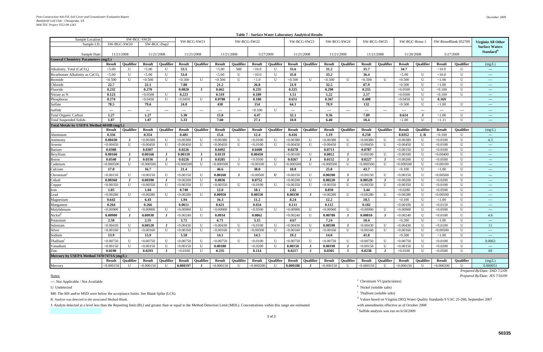| SW-BGC-SW20<br>Sample Location:<br>SW-RinseBlank 052709<br>SW-BCG-SW21<br>SW-BCG-SW22<br>SW-BCG-SW23<br>SW-BCG-SW24<br>SW-BCG-SW25<br>SW-BGC-Rinse 1<br>Virginia All Other<br>SW-BGC-SW20<br>SW-BGC-Dup2<br>Sample I.D.<br><b>Surface Waters</b><br>Standard <sup>d</sup><br>5/27/2009<br>11/21/2008<br>5/27/2009<br>Sample Date:<br>11/21/2008<br>11/21/2008<br>11/21/2008<br>11/21/2008<br>11/21/2008<br>11/21/2008<br>11/20/2008<br><b>General Chemistry Parameters (mg/L)</b><br><b>Oualifier</b><br><b>Oualifier</b><br><b>Oualifier</b><br><b>Oualifier</b><br><b>Oualifier</b><br><b>Oualifier</b><br><b>Oualifier</b><br><b>Result</b><br><b>Result</b><br><b>Result</b><br><b>Oualifier</b><br><b>Result</b><br><b>Oualifier</b><br><b>Result</b><br><b>Result</b><br><b>Result</b><br><b>Result</b><br><b>Result</b><br><b>Oualifier</b><br><b>Result</b><br>(mg/L)<br>Alkalinity, Total (CaCO <sub>3</sub> )<br>< 5.00<br>$\mathbf U$<br>< 5.00<br>U<br>53.5<br>< 5.00<br>M8<br>< 10.0<br>$\mathbf{U}$<br>33.6<br>31.2<br>35.7<br>34.7<br>< 10.0<br>$\mathbf{U}$<br>$\mathbf U$<br>35.8<br>33.2<br>36.4<br>$\mathbf{U}$<br>< 5.00<br>< 5.00<br>U<br>53.0<br>< 5.00<br>$\mathbf U$<br>$\mathbf{U}$<br>< 5.00<br>$\mathbf{U}$<br>< 10.0<br>Bicarbonate Alkalinity as CaCO <sub>3</sub><br>< 10.0<br>$\frac{1}{2}$<br>$\mathbf U$<br>< 0.500<br>U<br>< 0.500<br>U<br>< 0.500<br>< 0.500<br>$\mathbf{U}$<br>U<br>< 0.500<br>< 0.500<br>< 0.500<br>< 0.500<br>$\mathbf U$<br>< 1.00<br>$\mathbf{U}$<br>< 1.0<br>U<br>$\mathbf{U}$<br>$\mathbf{U}$<br><b>Bromide</b><br>$\cdots$<br>22.7<br>87.9<br>$\mathbf{U}$<br>Chloride<br>22.1<br>7.80<br>21.2<br>26.8<br>21.9<br>32.5<br>< 0.500<br>$\mathbf{U}$<br>< 1.00<br>$\sim$<br>0.232<br>0.270<br>0.235<br>0.325<br>0.290<br>0.255<br>$\mathbf U$<br>0.0820<br>0.662<br>< 0.0500<br>$\mathbf{U}$<br>< 0.100<br>Fluoride<br>$\mathbf I$<br>$\frac{1}{2} \left( \frac{1}{2} \right) \left( \frac{1}{2} \right) \left( \frac{1}{2} \right)$<br>0.223<br>1.22<br>0.123<br>< 0.0500<br>U<br>0.519<br>0.109<br>1.51<br>2.17<br>< 0.0500<br>$\mathbf U$<br>U<br>< 0.100<br>Nitrate as N<br>$---$<br>0.274<br>$\mathbf{U}$<br>< 0.0450<br>0.0780<br>0.180<br>0.651<br>0.367<br>0.408<br>$\mathbf{U}$<br>< 0.0450<br>$\mathbf{U}$<br>$\bf{J}$<br>< 0.0450<br>0.169<br>Phosphorus<br>$---$<br>78.5<br>154<br>64.1<br>78.9<br>132<br>U<br>$\mathbf{U}$<br>79.6<br>24.0<br>438<br>< 0.500<br>< 1.00<br>Sulfate<br>$\sim$ $\sim$ $\sim$<br>$\mathbf{U}$<br>Sulfide<br>< 0.100<br>$---$<br>$---$<br>---<br>$---$<br>$---$<br>$---$<br>$---$<br>$---$<br>$---$<br>$---$<br>$---$<br>---<br>$---$<br>$---$<br>$---$<br>---<br>$---$<br>$--$<br>13.8<br>32.1<br>$\mathbf{U}$<br>1.27<br>1.27<br>5.30<br>4.47<br>9.36<br>7.89<br>0.614<br>< 1.00<br><b>Total Organic Carbon</b><br>$\bf{J}$<br>$\sim$ $\sim$ $\sim$<br>$\mathbf{U}$<br>1.87<br>1.87<br>5.33<br>7.60<br>27.1<br>10.8<br>6.40<br>18.4<br>$\mathbf{U}$<br><1.11<br><b>Total Suspended Solids</b><br>< 1.00<br>$---$<br>Total Metals by USEPA Method 6010B (mg/L)<br><b>Oualifier</b><br><b>Oualifier</b><br><b>Oualifier</b><br><b>Result</b><br><b>Oualifier</b><br><b>Result</b><br><b>Oualifier</b><br><b>Result</b><br><b>Oualifier</b><br><b>Result</b><br><b>Oualifier</b><br><b>Result</b><br><b>Result</b><br><b>Result</b><br>Oualifier<br><b>Result</b><br><b>Oualifier</b><br><b>Result</b><br><b>Oualifier</b><br>(mg/L)<br><b>Result</b><br>0.356<br>0.354<br>0.481<br>15.6<br>12.4<br>0.416<br>1.19<br>0.250<br>0.0352<br>J, B<br>< 0.100<br>U<br>Aluminum<br>$\sim$<br>$\mathbf{U}$<br>$\mathbf{U}$<br>< 0.00380<br>< 0.00380<br>$\mathbf{U}$<br>< 0.00380<br>$\mathbf{U}$<br>$\mathbf{U}$<br>4.3<br>0.00430<br>$\bf{J}$<br>< 0.00380<br>< 0.00380<br>U<br>< 0.00380<br>U<br>< 0.0100<br>< 0.00380<br>$\mathbf{U}$<br>U<br>< 0.0100<br>Antimony<br>$\mathbf{U}$<br>< 0.00450<br>$\mathbf{U}$<br>< 0.00450<br>U<br>< 0.00450<br>< 0.00450<br>< 0.0100<br>$\mathbf{U}$<br>< 0.00450<br>< 0.00450<br>< 0.00450<br>$\mathbf{U}$<br>< 0.00450<br>$\mathbf{U}$<br>< 0.0100<br>$\mathbf{U}$<br>$\mathbf{U}$<br>$\mathbf{U}$<br>$\mathbf{U}$<br>Arsenic<br>$\sim$ $\sim$<br>$\mathbf{U}$<br>0.0308<br>0.0307<br>0.0226<br>0.0492<br>0.0400<br>0.0278<br>0.0713<br>0.0787<br>< 0.00150<br>U<br>< 0.0100<br>Barium<br>$---$<br>U<br>U<br>0.00160<br>$\bf{J}$<br>0.00160<br>$\bf J$<br>0.00110<br>$\blacksquare$<br>0.0119<br>0.00450<br><,0.00100<br>0.0012<br>< 0.00100<br>$\mathbf{U}$<br>< 0.00100<br>$\mathbf{U}$<br>< 0.00400<br>Beryllium<br>$\bf{J}$<br>$\frac{1}{2} \left( \frac{1}{2} \right) \left( \frac{1}{2} \right) \left( \frac{1}{2} \right)$<br>0.0336<br>0.0285<br>$\mathbf U$<br>0.0267<br>0.0227<br>$\mathbf{U}$<br>U<br>0.0340<br>$\bf{J}$<br>0.0226<br>. J<br>< 0.0500<br>J<br>0.0152<br>J<br>$\bf J$<br>< 0.00200<br>< 0.0500<br>J.<br>Boron<br>$- - -$<br>$\mathbf U$<br>$\mathbf U$<br>$\mathbf U$<br>< 0.000500<br>U<br>< 0.000500<br>< 0.000500<br>$\mathbf U$<br>< 0.000500<br>$\mathbf{U}$<br>U<br>Cadmium<br>$<\!\!0.000500$<br>$<$ 0.000500<br>< 0.00050<br>U<br>$<$ 0.000500<br>U<br>< 0.00100<br>U<br>< 0.00100<br>$\sim$ $\sim$ $\sim$<br>$\mathbf{U}$<br>$\mathbf{U}$<br>17.0<br>16.7<br>46.6<br>38.0<br>18.8<br>25.8<br>43.7<br>< 1.00<br>21.4<br>< 0.100<br>Calcium<br>$\sim$ $\sim$ $\sim$<br>U<br>< 0.00150<br>U<br><,0.00150<br>0.00160<br>< 0.00500<br>U<br>U<br>0.00200<br>$\mathbf U$<br>< 0.00500<br>U<br>Chromium<br>$< \!\! 0.00150$<br>U<br>< 0.00150<br>$\bf J$<br>< 0.00150<br>U<br>< 0.00150<br>$\blacksquare$<br>0.0752<br>$\mathbf{U}$<br>$\mathbf{U}$<br>0.00360<br>$\bf{J}$<br>0.00390<br>$\bf{J}$<br>< 0.00200<br>$\mathbf{U}$<br>0.0836<br>< 0.00200<br>$\mathbf{U}$<br>0.00220<br>0.00520<br>$\bf{J}$<br>< 0.00200<br>< 0.0200<br>Cobalt<br>$\bf{I}$<br>$---$<br>$\mathbf U$<br>< 0.00350<br>$\mathbf{U}$<br>< 0.00350<br>U<br>< 0.00350<br>< 0.00350<br>< 0.00350<br>< 0.00350<br>< 0.00350<br>$\mathbf{U}$<br>< 0.00350<br>$\mathbf{U}$<br>< 0.0100<br>$\mathbf{U}$<br>$\mathbf{U}$<br>< 0.0100<br>$\mathbf{U}$<br>U<br>$\mathbf{U}$<br>Copper<br>$---$<br>1.05<br>0.740<br>12.0<br>2.82<br>0.850<br>3.44<br>< 0.0280<br>$\mathbf{U}$<br>$\mathbf{U}$<br>1.04<br>18.1<br>< 0.0500<br>Iron<br>< 0.00280<br>$\mathbf{U}$<br>$\mathbf{U}$<br>0.00950<br>0.00550<br>0.00330<br>$\mathbf{U}$<br>$\mathbf{U}$<br>ead<br>< 0.00280<br>$<$ 0.00280<br>$\mathbf{U}$<br>< 0.00280<br>< 0.00280<br>$\mathbf{U}$<br>< 0.00280<br>< 0.00500<br>$\blacksquare$<br>$\mathbf{I}$<br>$\sim$ $\sim$ $\sim$<br>0.642<br>1.94<br>11.2<br>8.24<br>18.5<br>$\mathbf U$<br>$\mathbf U$<br>6.43<br>16.3<br>12.2<br>< 0.100<br>< 1.00<br>Magnesium<br>$- - -$<br>0.654<br>0.264<br>0.266<br>0.0611<br>0.621<br>0.111<br>0.112<br>0.182<br>< 0.00100<br>$\mathbf{U}$<br>U<br>< 0.0150<br>Manganese<br>$\sim$ $\sim$ $\sim$<br>$\mathbf{U}$<br>< 0.00900<br>$\mathbf{U}$<br>< 0.00900<br>$\mathbf U$<br>< 0.00900<br>< 0.00900<br>< 0.0500<br>< 0.00900<br>$\mathbf{U}$<br>< 0.00900<br>< 0.00900<br>$\mathbf{U}$<br>< 0.00900<br>$\mathbf{U}$<br>< 0.0500<br>$\mathbf{U}$<br>$\mathbf{U}$<br>$\mathbf{U}$<br>$\mathbf{U}$<br>Molybdenum<br>$\cdots$<br>Nickel<br>0.00900<br>0.00930<br>< 0.00240<br>$\mathbf U$<br>0.0934<br>0.0862<br>< 0.00240<br>U<br>0.00780<br>0.00810<br>< 0.00240<br>$\mathbf{U}$<br>U<br>$\mathbf{J}$<br>$\bf{J}$<br>$\bf{I}$<br>< 0.0100<br>4.6<br>- .T<br>2.58<br>3.72<br>3.15<br>$\mathbf{U}$<br>$\mathbf{U}$<br>2.55<br>6.71<br>4.67<br>7.24<br>10.4<br>< 0.200<br>${<}1.00$<br>Potassium<br>$\sim$<br>$\mathbf{U}$<br>< 0.00430<br>0.00520<br>< 0.00430<br>0.00590<br>< 0.00430<br>$\mathbf U$<br>U<br>$<$ 0.00430<br>$\mathbf{U}$<br>$\mathbf{U}$<br>< 0.0100<br>$\mathbf{U}$<br>< 0.00430<br>$\mathbf{U}$<br>$\mathbf{U}$<br>< 0.00430<br>< 0.0100<br>-11<br>Selenium<br>$\bf{J}$<br>Л<br>$\mathbf{U}$<br>$\mathbf U$<br>$\mathbf{U}$<br>$\mathbf{U}$<br>< 0.00160<br>< 0.00160<br><,0.00160<br>$\mathbf{U}$<br>< 0.00160<br>$\mathbf{U}$<br>< 0.00500<br>$\mathbf{U}$<br>< 0.00160<br>$\mathbf{U}$<br>< 0.00160<br>$\mathbf{U}$<br>< 0.00160<br>$\mathbf{U}$<br>< 0.00160<br>< 0.00500<br>Silver<br>$\cdots$<br>13.9<br>5.58<br>$\mathbf{U}$<br>13.9<br>14.1<br>14.5<br>19.2<br>14.0<br>41.0<br>< 0.500<br>$\mathbf{U}$<br>${<}1.00$<br>Sodium<br>$\sim$ $\sim$<br>$\mathbf{U}$<br>Thallium<br>< 0.00750<br>$\mathbf{U}$<br>< 0.00750<br>$\mathbf{U}$<br>$<$ 0.00750<br>$\mathbf{U}$<br>< 0.00750<br>$\mathbf{U}$<br>< 0.0100<br>$\mathbf{U}$<br>< 0.00750<br>$\mathbf{U}$<br>< 0.00750<br>$\mathbf{U}$<br>< 0.00750<br>$\mathbf{U}$<br>< 0.00750<br>$\mathbf{U}$<br>< 0.0100<br>0.0063<br>$\mathbf{U}$<br>$\mathbf{U}$<br>$\mathbf{U}$<br>< 0.0200<br>$\mathbf{U}$<br>0.00150<br>$\mathbf{U}$<br>$\mathbf{U}$<br>$\mathbf{U}$<br>< 0.00150<br>< 0.00150<br><,0.00150<br>0.00180<br>$\mathbf{I}$<br>0.00190<br>< 0.00150<br><,0.00150<br>< 0.0200<br>Vanadium<br>$\bf J$<br>$- - -$<br>U<br>0.0190<br>0.0293<br>0.235<br>0.114<br>0.0217<br>$\bf J$<br>0.0305<br>0.0238<br>$\mathbf U$<br>< 0.0500<br>69<br>$\bf{J}$<br>< 0.0100<br>U<br>J<br>$\bf J$<br>< 0.0100<br>Zinc<br>Mercury by USEPA Method 7470/7471A (mg/L)<br><b>Oualifier</b><br><b>Oualifier</b><br><b>Oualifier</b><br><b>Oualifier</b><br><b>Oualifier</b><br><b>Result</b><br><b>Result</b><br><b>Oualifier</b><br><b>Result</b><br><b>Oualifier</b><br><b>Result</b><br><b>Oualifier</b><br><b>Result</b><br><b>Result</b><br><b>Result</b><br>Oualifier<br><b>Result</b><br><b>Oualifier</b><br><b>Result</b><br>(mg/L)<br><b>Result</b><br>0.000051<br>Mercury<br>< 0.000150<br>$\mathbf{U}$<br>0.000197<br>< 0.000200<br>0.000188<br>< 0.000150<br>< 0.000200<br>$<$ 0.000150<br>$\mathbf{U}$<br>< 0.000150<br>$\mathbf{U}$<br>$\mathbf{U}$<br>< 0.000150<br>$\mathbf{U}$<br>$\mathbf{U}$<br>< 0.000150<br>$\mathbf{U}$<br>$\mathbf{U}$<br>$\blacksquare$<br>$\blacksquare$ |  |  |  |  |  |  |  |  | 1 aprc 7 - Dui lace 44 aich Eaborator (Timar) iicin Result |  |  |  |  |  |  |  |
|-----------------------------------------------------------------------------------------------------------------------------------------------------------------------------------------------------------------------------------------------------------------------------------------------------------------------------------------------------------------------------------------------------------------------------------------------------------------------------------------------------------------------------------------------------------------------------------------------------------------------------------------------------------------------------------------------------------------------------------------------------------------------------------------------------------------------------------------------------------------------------------------------------------------------------------------------------------------------------------------------------------------------------------------------------------------------------------------------------------------------------------------------------------------------------------------------------------------------------------------------------------------------------------------------------------------------------------------------------------------------------------------------------------------------------------------------------------------------------------------------------------------------------------------------------------------------------------------------------------------------------------------------------------------------------------------------------------------------------------------------------------------------------------------------------------------------------------------------------------------------------------------------------------------------------------------------------------------------------------------------------------------------------------------------------------------------------------------------------------------------------------------------------------------------------------------------------------------------------------------------------------------------------------------------------------------------------------------------------------------------------------------------------------------------------------------------------------------------------------------------------------------------------------------------------------------------------------------------------------------------------------------------------------------------------------------------------------------------------------------------------------------------------------------------------------------------------------------------------------------------------------------------------------------------------------------------------------------------------------------------------------------------------------------------------------------------------------------------------------------------------------------------------------------------------------------------------------------------------------------------------------------------------------------------------------------------------------------------------------------------------------------------------------------------------------------------------------------------------------------------------------------------------------------------------------------------------------------------------------------------------------------------------------------------------------------------------------------------------------------------------------------------------------------------------------------------------------------------------------------------------------------------------------------------------------------------------------------------------------------------------------------------------------------------------------------------------------------------------------------------------------------------------------------------------------------------------------------------------------------------------------------------------------------------------------------------------------------------------------------------------------------------------------------------------------------------------------------------------------------------------------------------------------------------------------------------------------------------------------------------------------------------------------------------------------------------------------------------------------------------------------------------------------------------------------------------------------------------------------------------------------------------------------------------------------------------------------------------------------------------------------------------------------------------------------------------------------------------------------------------------------------------------------------------------------------------------------------------------------------------------------------------------------------------------------------------------------------------------------------------------------------------------------------------------------------------------------------------------------------------------------------------------------------------------------------------------------------------------------------------------------------------------------------------------------------------------------------------------------------------------------------------------------------------------------------------------------------------------------------------------------------------------------------------------------------------------------------------------------------------------------------------------------------------------------------------------------------------------------------------------------------------------------------------------------------------------------------------------------------------------------------------------------------------------------------------------------------------------------------------------------------------------------------------------------------------------------------------------------------------------------------------------------------------------------------------------------------------------------------------------------------------------------------------------------------------------------------------------------------------------------------------------------------------------------------------------------------------------------------------------------------------------------------------------------------------------------------------------------------------------------------------------------------------------------------------------------------------------------------------------------------------------------------------------------------------------------------------------------------------------------------------------------------------------------------------------------------------------------------------------------------------------------------------------------------------------------------------------------------------------------------------------------------------------------------------------------------------------------------------------------------------------------------------------------------------------------------------------------------------------------------------------------------------------------------------------------------------------------------------------------------------------------------------------------------------------------------------------------------------------------------------------------------------------------------------------------------------------------------------------------------------------------------------------------------------------------------------------------------------------------------------------------------------------------------------------------------------------------------------------------------------------------------------------------------------------------------------------------------------------------------------------------------------------------------------------------------------------------------------------------------------------------------------------------------------------------------------------------------------------------------------------------------------------------------------------------------------------------------------------------------------------------------------------------------------------------------------------------------------------------------------------------------------------------------------------------------------------------------------------------------------------------------------------------------------------------------------------------------------------------------------------------------------------------------------------------------------------------------------------------------------------------------------------------------------------------------------------------------------------------------------------------------------------------------------------------------------------------------------------------------------------------------------------------------------------------------------------------------------------------------------------------------------------------------------------------------------------------------------------------------------------------------------|--|--|--|--|--|--|--|--|------------------------------------------------------------|--|--|--|--|--|--|--|
|                                                                                                                                                                                                                                                                                                                                                                                                                                                                                                                                                                                                                                                                                                                                                                                                                                                                                                                                                                                                                                                                                                                                                                                                                                                                                                                                                                                                                                                                                                                                                                                                                                                                                                                                                                                                                                                                                                                                                                                                                                                                                                                                                                                                                                                                                                                                                                                                                                                                                                                                                                                                                                                                                                                                                                                                                                                                                                                                                                                                                                                                                                                                                                                                                                                                                                                                                                                                                                                                                                                                                                                                                                                                                                                                                                                                                                                                                                                                                                                                                                                                                                                                                                                                                                                                                                                                                                                                                                                                                                                                                                                                                                                                                                                                                                                                                                                                                                                                                                                                                                                                                                                                                                                                                                                                                                                                                                                                                                                                                                                                                                                                                                                                                                                                                                                                                                                                                                                                                                                                                                                                                                                                                                                                                                                                                                                                                                                                                                                                                                                                                                                                                                                                                                                                                                                                                                                                                                                                                                                                                                                                                                                                                                                                                                                                                                                                                                                                                                                                                                                                                                                                                                                                                                                                                                                                                                                                                                                                                                                                                                                                                                                                                                                                                                                                                                                                                                                                                                                                                                                                                                                                                                                                                                                                                                                                                                                                                                                                                                                                                                                                                                                                                                                                                                                                                                                                                                                                                                                                                                                                                                                                                                                                                                                                                                                                                                                                                                                       |  |  |  |  |  |  |  |  |                                                            |  |  |  |  |  |  |  |
|                                                                                                                                                                                                                                                                                                                                                                                                                                                                                                                                                                                                                                                                                                                                                                                                                                                                                                                                                                                                                                                                                                                                                                                                                                                                                                                                                                                                                                                                                                                                                                                                                                                                                                                                                                                                                                                                                                                                                                                                                                                                                                                                                                                                                                                                                                                                                                                                                                                                                                                                                                                                                                                                                                                                                                                                                                                                                                                                                                                                                                                                                                                                                                                                                                                                                                                                                                                                                                                                                                                                                                                                                                                                                                                                                                                                                                                                                                                                                                                                                                                                                                                                                                                                                                                                                                                                                                                                                                                                                                                                                                                                                                                                                                                                                                                                                                                                                                                                                                                                                                                                                                                                                                                                                                                                                                                                                                                                                                                                                                                                                                                                                                                                                                                                                                                                                                                                                                                                                                                                                                                                                                                                                                                                                                                                                                                                                                                                                                                                                                                                                                                                                                                                                                                                                                                                                                                                                                                                                                                                                                                                                                                                                                                                                                                                                                                                                                                                                                                                                                                                                                                                                                                                                                                                                                                                                                                                                                                                                                                                                                                                                                                                                                                                                                                                                                                                                                                                                                                                                                                                                                                                                                                                                                                                                                                                                                                                                                                                                                                                                                                                                                                                                                                                                                                                                                                                                                                                                                                                                                                                                                                                                                                                                                                                                                                                                                                                                                                       |  |  |  |  |  |  |  |  |                                                            |  |  |  |  |  |  |  |
|                                                                                                                                                                                                                                                                                                                                                                                                                                                                                                                                                                                                                                                                                                                                                                                                                                                                                                                                                                                                                                                                                                                                                                                                                                                                                                                                                                                                                                                                                                                                                                                                                                                                                                                                                                                                                                                                                                                                                                                                                                                                                                                                                                                                                                                                                                                                                                                                                                                                                                                                                                                                                                                                                                                                                                                                                                                                                                                                                                                                                                                                                                                                                                                                                                                                                                                                                                                                                                                                                                                                                                                                                                                                                                                                                                                                                                                                                                                                                                                                                                                                                                                                                                                                                                                                                                                                                                                                                                                                                                                                                                                                                                                                                                                                                                                                                                                                                                                                                                                                                                                                                                                                                                                                                                                                                                                                                                                                                                                                                                                                                                                                                                                                                                                                                                                                                                                                                                                                                                                                                                                                                                                                                                                                                                                                                                                                                                                                                                                                                                                                                                                                                                                                                                                                                                                                                                                                                                                                                                                                                                                                                                                                                                                                                                                                                                                                                                                                                                                                                                                                                                                                                                                                                                                                                                                                                                                                                                                                                                                                                                                                                                                                                                                                                                                                                                                                                                                                                                                                                                                                                                                                                                                                                                                                                                                                                                                                                                                                                                                                                                                                                                                                                                                                                                                                                                                                                                                                                                                                                                                                                                                                                                                                                                                                                                                                                                                                                                                       |  |  |  |  |  |  |  |  |                                                            |  |  |  |  |  |  |  |
|                                                                                                                                                                                                                                                                                                                                                                                                                                                                                                                                                                                                                                                                                                                                                                                                                                                                                                                                                                                                                                                                                                                                                                                                                                                                                                                                                                                                                                                                                                                                                                                                                                                                                                                                                                                                                                                                                                                                                                                                                                                                                                                                                                                                                                                                                                                                                                                                                                                                                                                                                                                                                                                                                                                                                                                                                                                                                                                                                                                                                                                                                                                                                                                                                                                                                                                                                                                                                                                                                                                                                                                                                                                                                                                                                                                                                                                                                                                                                                                                                                                                                                                                                                                                                                                                                                                                                                                                                                                                                                                                                                                                                                                                                                                                                                                                                                                                                                                                                                                                                                                                                                                                                                                                                                                                                                                                                                                                                                                                                                                                                                                                                                                                                                                                                                                                                                                                                                                                                                                                                                                                                                                                                                                                                                                                                                                                                                                                                                                                                                                                                                                                                                                                                                                                                                                                                                                                                                                                                                                                                                                                                                                                                                                                                                                                                                                                                                                                                                                                                                                                                                                                                                                                                                                                                                                                                                                                                                                                                                                                                                                                                                                                                                                                                                                                                                                                                                                                                                                                                                                                                                                                                                                                                                                                                                                                                                                                                                                                                                                                                                                                                                                                                                                                                                                                                                                                                                                                                                                                                                                                                                                                                                                                                                                                                                                                                                                                                                                       |  |  |  |  |  |  |  |  |                                                            |  |  |  |  |  |  |  |
|                                                                                                                                                                                                                                                                                                                                                                                                                                                                                                                                                                                                                                                                                                                                                                                                                                                                                                                                                                                                                                                                                                                                                                                                                                                                                                                                                                                                                                                                                                                                                                                                                                                                                                                                                                                                                                                                                                                                                                                                                                                                                                                                                                                                                                                                                                                                                                                                                                                                                                                                                                                                                                                                                                                                                                                                                                                                                                                                                                                                                                                                                                                                                                                                                                                                                                                                                                                                                                                                                                                                                                                                                                                                                                                                                                                                                                                                                                                                                                                                                                                                                                                                                                                                                                                                                                                                                                                                                                                                                                                                                                                                                                                                                                                                                                                                                                                                                                                                                                                                                                                                                                                                                                                                                                                                                                                                                                                                                                                                                                                                                                                                                                                                                                                                                                                                                                                                                                                                                                                                                                                                                                                                                                                                                                                                                                                                                                                                                                                                                                                                                                                                                                                                                                                                                                                                                                                                                                                                                                                                                                                                                                                                                                                                                                                                                                                                                                                                                                                                                                                                                                                                                                                                                                                                                                                                                                                                                                                                                                                                                                                                                                                                                                                                                                                                                                                                                                                                                                                                                                                                                                                                                                                                                                                                                                                                                                                                                                                                                                                                                                                                                                                                                                                                                                                                                                                                                                                                                                                                                                                                                                                                                                                                                                                                                                                                                                                                                                                       |  |  |  |  |  |  |  |  |                                                            |  |  |  |  |  |  |  |
|                                                                                                                                                                                                                                                                                                                                                                                                                                                                                                                                                                                                                                                                                                                                                                                                                                                                                                                                                                                                                                                                                                                                                                                                                                                                                                                                                                                                                                                                                                                                                                                                                                                                                                                                                                                                                                                                                                                                                                                                                                                                                                                                                                                                                                                                                                                                                                                                                                                                                                                                                                                                                                                                                                                                                                                                                                                                                                                                                                                                                                                                                                                                                                                                                                                                                                                                                                                                                                                                                                                                                                                                                                                                                                                                                                                                                                                                                                                                                                                                                                                                                                                                                                                                                                                                                                                                                                                                                                                                                                                                                                                                                                                                                                                                                                                                                                                                                                                                                                                                                                                                                                                                                                                                                                                                                                                                                                                                                                                                                                                                                                                                                                                                                                                                                                                                                                                                                                                                                                                                                                                                                                                                                                                                                                                                                                                                                                                                                                                                                                                                                                                                                                                                                                                                                                                                                                                                                                                                                                                                                                                                                                                                                                                                                                                                                                                                                                                                                                                                                                                                                                                                                                                                                                                                                                                                                                                                                                                                                                                                                                                                                                                                                                                                                                                                                                                                                                                                                                                                                                                                                                                                                                                                                                                                                                                                                                                                                                                                                                                                                                                                                                                                                                                                                                                                                                                                                                                                                                                                                                                                                                                                                                                                                                                                                                                                                                                                                                                       |  |  |  |  |  |  |  |  |                                                            |  |  |  |  |  |  |  |
|                                                                                                                                                                                                                                                                                                                                                                                                                                                                                                                                                                                                                                                                                                                                                                                                                                                                                                                                                                                                                                                                                                                                                                                                                                                                                                                                                                                                                                                                                                                                                                                                                                                                                                                                                                                                                                                                                                                                                                                                                                                                                                                                                                                                                                                                                                                                                                                                                                                                                                                                                                                                                                                                                                                                                                                                                                                                                                                                                                                                                                                                                                                                                                                                                                                                                                                                                                                                                                                                                                                                                                                                                                                                                                                                                                                                                                                                                                                                                                                                                                                                                                                                                                                                                                                                                                                                                                                                                                                                                                                                                                                                                                                                                                                                                                                                                                                                                                                                                                                                                                                                                                                                                                                                                                                                                                                                                                                                                                                                                                                                                                                                                                                                                                                                                                                                                                                                                                                                                                                                                                                                                                                                                                                                                                                                                                                                                                                                                                                                                                                                                                                                                                                                                                                                                                                                                                                                                                                                                                                                                                                                                                                                                                                                                                                                                                                                                                                                                                                                                                                                                                                                                                                                                                                                                                                                                                                                                                                                                                                                                                                                                                                                                                                                                                                                                                                                                                                                                                                                                                                                                                                                                                                                                                                                                                                                                                                                                                                                                                                                                                                                                                                                                                                                                                                                                                                                                                                                                                                                                                                                                                                                                                                                                                                                                                                                                                                                                                                       |  |  |  |  |  |  |  |  |                                                            |  |  |  |  |  |  |  |
|                                                                                                                                                                                                                                                                                                                                                                                                                                                                                                                                                                                                                                                                                                                                                                                                                                                                                                                                                                                                                                                                                                                                                                                                                                                                                                                                                                                                                                                                                                                                                                                                                                                                                                                                                                                                                                                                                                                                                                                                                                                                                                                                                                                                                                                                                                                                                                                                                                                                                                                                                                                                                                                                                                                                                                                                                                                                                                                                                                                                                                                                                                                                                                                                                                                                                                                                                                                                                                                                                                                                                                                                                                                                                                                                                                                                                                                                                                                                                                                                                                                                                                                                                                                                                                                                                                                                                                                                                                                                                                                                                                                                                                                                                                                                                                                                                                                                                                                                                                                                                                                                                                                                                                                                                                                                                                                                                                                                                                                                                                                                                                                                                                                                                                                                                                                                                                                                                                                                                                                                                                                                                                                                                                                                                                                                                                                                                                                                                                                                                                                                                                                                                                                                                                                                                                                                                                                                                                                                                                                                                                                                                                                                                                                                                                                                                                                                                                                                                                                                                                                                                                                                                                                                                                                                                                                                                                                                                                                                                                                                                                                                                                                                                                                                                                                                                                                                                                                                                                                                                                                                                                                                                                                                                                                                                                                                                                                                                                                                                                                                                                                                                                                                                                                                                                                                                                                                                                                                                                                                                                                                                                                                                                                                                                                                                                                                                                                                                                                       |  |  |  |  |  |  |  |  |                                                            |  |  |  |  |  |  |  |
|                                                                                                                                                                                                                                                                                                                                                                                                                                                                                                                                                                                                                                                                                                                                                                                                                                                                                                                                                                                                                                                                                                                                                                                                                                                                                                                                                                                                                                                                                                                                                                                                                                                                                                                                                                                                                                                                                                                                                                                                                                                                                                                                                                                                                                                                                                                                                                                                                                                                                                                                                                                                                                                                                                                                                                                                                                                                                                                                                                                                                                                                                                                                                                                                                                                                                                                                                                                                                                                                                                                                                                                                                                                                                                                                                                                                                                                                                                                                                                                                                                                                                                                                                                                                                                                                                                                                                                                                                                                                                                                                                                                                                                                                                                                                                                                                                                                                                                                                                                                                                                                                                                                                                                                                                                                                                                                                                                                                                                                                                                                                                                                                                                                                                                                                                                                                                                                                                                                                                                                                                                                                                                                                                                                                                                                                                                                                                                                                                                                                                                                                                                                                                                                                                                                                                                                                                                                                                                                                                                                                                                                                                                                                                                                                                                                                                                                                                                                                                                                                                                                                                                                                                                                                                                                                                                                                                                                                                                                                                                                                                                                                                                                                                                                                                                                                                                                                                                                                                                                                                                                                                                                                                                                                                                                                                                                                                                                                                                                                                                                                                                                                                                                                                                                                                                                                                                                                                                                                                                                                                                                                                                                                                                                                                                                                                                                                                                                                                                                       |  |  |  |  |  |  |  |  |                                                            |  |  |  |  |  |  |  |
|                                                                                                                                                                                                                                                                                                                                                                                                                                                                                                                                                                                                                                                                                                                                                                                                                                                                                                                                                                                                                                                                                                                                                                                                                                                                                                                                                                                                                                                                                                                                                                                                                                                                                                                                                                                                                                                                                                                                                                                                                                                                                                                                                                                                                                                                                                                                                                                                                                                                                                                                                                                                                                                                                                                                                                                                                                                                                                                                                                                                                                                                                                                                                                                                                                                                                                                                                                                                                                                                                                                                                                                                                                                                                                                                                                                                                                                                                                                                                                                                                                                                                                                                                                                                                                                                                                                                                                                                                                                                                                                                                                                                                                                                                                                                                                                                                                                                                                                                                                                                                                                                                                                                                                                                                                                                                                                                                                                                                                                                                                                                                                                                                                                                                                                                                                                                                                                                                                                                                                                                                                                                                                                                                                                                                                                                                                                                                                                                                                                                                                                                                                                                                                                                                                                                                                                                                                                                                                                                                                                                                                                                                                                                                                                                                                                                                                                                                                                                                                                                                                                                                                                                                                                                                                                                                                                                                                                                                                                                                                                                                                                                                                                                                                                                                                                                                                                                                                                                                                                                                                                                                                                                                                                                                                                                                                                                                                                                                                                                                                                                                                                                                                                                                                                                                                                                                                                                                                                                                                                                                                                                                                                                                                                                                                                                                                                                                                                                                                                       |  |  |  |  |  |  |  |  |                                                            |  |  |  |  |  |  |  |
|                                                                                                                                                                                                                                                                                                                                                                                                                                                                                                                                                                                                                                                                                                                                                                                                                                                                                                                                                                                                                                                                                                                                                                                                                                                                                                                                                                                                                                                                                                                                                                                                                                                                                                                                                                                                                                                                                                                                                                                                                                                                                                                                                                                                                                                                                                                                                                                                                                                                                                                                                                                                                                                                                                                                                                                                                                                                                                                                                                                                                                                                                                                                                                                                                                                                                                                                                                                                                                                                                                                                                                                                                                                                                                                                                                                                                                                                                                                                                                                                                                                                                                                                                                                                                                                                                                                                                                                                                                                                                                                                                                                                                                                                                                                                                                                                                                                                                                                                                                                                                                                                                                                                                                                                                                                                                                                                                                                                                                                                                                                                                                                                                                                                                                                                                                                                                                                                                                                                                                                                                                                                                                                                                                                                                                                                                                                                                                                                                                                                                                                                                                                                                                                                                                                                                                                                                                                                                                                                                                                                                                                                                                                                                                                                                                                                                                                                                                                                                                                                                                                                                                                                                                                                                                                                                                                                                                                                                                                                                                                                                                                                                                                                                                                                                                                                                                                                                                                                                                                                                                                                                                                                                                                                                                                                                                                                                                                                                                                                                                                                                                                                                                                                                                                                                                                                                                                                                                                                                                                                                                                                                                                                                                                                                                                                                                                                                                                                                                                       |  |  |  |  |  |  |  |  |                                                            |  |  |  |  |  |  |  |
|                                                                                                                                                                                                                                                                                                                                                                                                                                                                                                                                                                                                                                                                                                                                                                                                                                                                                                                                                                                                                                                                                                                                                                                                                                                                                                                                                                                                                                                                                                                                                                                                                                                                                                                                                                                                                                                                                                                                                                                                                                                                                                                                                                                                                                                                                                                                                                                                                                                                                                                                                                                                                                                                                                                                                                                                                                                                                                                                                                                                                                                                                                                                                                                                                                                                                                                                                                                                                                                                                                                                                                                                                                                                                                                                                                                                                                                                                                                                                                                                                                                                                                                                                                                                                                                                                                                                                                                                                                                                                                                                                                                                                                                                                                                                                                                                                                                                                                                                                                                                                                                                                                                                                                                                                                                                                                                                                                                                                                                                                                                                                                                                                                                                                                                                                                                                                                                                                                                                                                                                                                                                                                                                                                                                                                                                                                                                                                                                                                                                                                                                                                                                                                                                                                                                                                                                                                                                                                                                                                                                                                                                                                                                                                                                                                                                                                                                                                                                                                                                                                                                                                                                                                                                                                                                                                                                                                                                                                                                                                                                                                                                                                                                                                                                                                                                                                                                                                                                                                                                                                                                                                                                                                                                                                                                                                                                                                                                                                                                                                                                                                                                                                                                                                                                                                                                                                                                                                                                                                                                                                                                                                                                                                                                                                                                                                                                                                                                                                                       |  |  |  |  |  |  |  |  |                                                            |  |  |  |  |  |  |  |
|                                                                                                                                                                                                                                                                                                                                                                                                                                                                                                                                                                                                                                                                                                                                                                                                                                                                                                                                                                                                                                                                                                                                                                                                                                                                                                                                                                                                                                                                                                                                                                                                                                                                                                                                                                                                                                                                                                                                                                                                                                                                                                                                                                                                                                                                                                                                                                                                                                                                                                                                                                                                                                                                                                                                                                                                                                                                                                                                                                                                                                                                                                                                                                                                                                                                                                                                                                                                                                                                                                                                                                                                                                                                                                                                                                                                                                                                                                                                                                                                                                                                                                                                                                                                                                                                                                                                                                                                                                                                                                                                                                                                                                                                                                                                                                                                                                                                                                                                                                                                                                                                                                                                                                                                                                                                                                                                                                                                                                                                                                                                                                                                                                                                                                                                                                                                                                                                                                                                                                                                                                                                                                                                                                                                                                                                                                                                                                                                                                                                                                                                                                                                                                                                                                                                                                                                                                                                                                                                                                                                                                                                                                                                                                                                                                                                                                                                                                                                                                                                                                                                                                                                                                                                                                                                                                                                                                                                                                                                                                                                                                                                                                                                                                                                                                                                                                                                                                                                                                                                                                                                                                                                                                                                                                                                                                                                                                                                                                                                                                                                                                                                                                                                                                                                                                                                                                                                                                                                                                                                                                                                                                                                                                                                                                                                                                                                                                                                                                                       |  |  |  |  |  |  |  |  |                                                            |  |  |  |  |  |  |  |
|                                                                                                                                                                                                                                                                                                                                                                                                                                                                                                                                                                                                                                                                                                                                                                                                                                                                                                                                                                                                                                                                                                                                                                                                                                                                                                                                                                                                                                                                                                                                                                                                                                                                                                                                                                                                                                                                                                                                                                                                                                                                                                                                                                                                                                                                                                                                                                                                                                                                                                                                                                                                                                                                                                                                                                                                                                                                                                                                                                                                                                                                                                                                                                                                                                                                                                                                                                                                                                                                                                                                                                                                                                                                                                                                                                                                                                                                                                                                                                                                                                                                                                                                                                                                                                                                                                                                                                                                                                                                                                                                                                                                                                                                                                                                                                                                                                                                                                                                                                                                                                                                                                                                                                                                                                                                                                                                                                                                                                                                                                                                                                                                                                                                                                                                                                                                                                                                                                                                                                                                                                                                                                                                                                                                                                                                                                                                                                                                                                                                                                                                                                                                                                                                                                                                                                                                                                                                                                                                                                                                                                                                                                                                                                                                                                                                                                                                                                                                                                                                                                                                                                                                                                                                                                                                                                                                                                                                                                                                                                                                                                                                                                                                                                                                                                                                                                                                                                                                                                                                                                                                                                                                                                                                                                                                                                                                                                                                                                                                                                                                                                                                                                                                                                                                                                                                                                                                                                                                                                                                                                                                                                                                                                                                                                                                                                                                                                                                                                                       |  |  |  |  |  |  |  |  |                                                            |  |  |  |  |  |  |  |
|                                                                                                                                                                                                                                                                                                                                                                                                                                                                                                                                                                                                                                                                                                                                                                                                                                                                                                                                                                                                                                                                                                                                                                                                                                                                                                                                                                                                                                                                                                                                                                                                                                                                                                                                                                                                                                                                                                                                                                                                                                                                                                                                                                                                                                                                                                                                                                                                                                                                                                                                                                                                                                                                                                                                                                                                                                                                                                                                                                                                                                                                                                                                                                                                                                                                                                                                                                                                                                                                                                                                                                                                                                                                                                                                                                                                                                                                                                                                                                                                                                                                                                                                                                                                                                                                                                                                                                                                                                                                                                                                                                                                                                                                                                                                                                                                                                                                                                                                                                                                                                                                                                                                                                                                                                                                                                                                                                                                                                                                                                                                                                                                                                                                                                                                                                                                                                                                                                                                                                                                                                                                                                                                                                                                                                                                                                                                                                                                                                                                                                                                                                                                                                                                                                                                                                                                                                                                                                                                                                                                                                                                                                                                                                                                                                                                                                                                                                                                                                                                                                                                                                                                                                                                                                                                                                                                                                                                                                                                                                                                                                                                                                                                                                                                                                                                                                                                                                                                                                                                                                                                                                                                                                                                                                                                                                                                                                                                                                                                                                                                                                                                                                                                                                                                                                                                                                                                                                                                                                                                                                                                                                                                                                                                                                                                                                                                                                                                                                                       |  |  |  |  |  |  |  |  |                                                            |  |  |  |  |  |  |  |
|                                                                                                                                                                                                                                                                                                                                                                                                                                                                                                                                                                                                                                                                                                                                                                                                                                                                                                                                                                                                                                                                                                                                                                                                                                                                                                                                                                                                                                                                                                                                                                                                                                                                                                                                                                                                                                                                                                                                                                                                                                                                                                                                                                                                                                                                                                                                                                                                                                                                                                                                                                                                                                                                                                                                                                                                                                                                                                                                                                                                                                                                                                                                                                                                                                                                                                                                                                                                                                                                                                                                                                                                                                                                                                                                                                                                                                                                                                                                                                                                                                                                                                                                                                                                                                                                                                                                                                                                                                                                                                                                                                                                                                                                                                                                                                                                                                                                                                                                                                                                                                                                                                                                                                                                                                                                                                                                                                                                                                                                                                                                                                                                                                                                                                                                                                                                                                                                                                                                                                                                                                                                                                                                                                                                                                                                                                                                                                                                                                                                                                                                                                                                                                                                                                                                                                                                                                                                                                                                                                                                                                                                                                                                                                                                                                                                                                                                                                                                                                                                                                                                                                                                                                                                                                                                                                                                                                                                                                                                                                                                                                                                                                                                                                                                                                                                                                                                                                                                                                                                                                                                                                                                                                                                                                                                                                                                                                                                                                                                                                                                                                                                                                                                                                                                                                                                                                                                                                                                                                                                                                                                                                                                                                                                                                                                                                                                                                                                                                                       |  |  |  |  |  |  |  |  |                                                            |  |  |  |  |  |  |  |
|                                                                                                                                                                                                                                                                                                                                                                                                                                                                                                                                                                                                                                                                                                                                                                                                                                                                                                                                                                                                                                                                                                                                                                                                                                                                                                                                                                                                                                                                                                                                                                                                                                                                                                                                                                                                                                                                                                                                                                                                                                                                                                                                                                                                                                                                                                                                                                                                                                                                                                                                                                                                                                                                                                                                                                                                                                                                                                                                                                                                                                                                                                                                                                                                                                                                                                                                                                                                                                                                                                                                                                                                                                                                                                                                                                                                                                                                                                                                                                                                                                                                                                                                                                                                                                                                                                                                                                                                                                                                                                                                                                                                                                                                                                                                                                                                                                                                                                                                                                                                                                                                                                                                                                                                                                                                                                                                                                                                                                                                                                                                                                                                                                                                                                                                                                                                                                                                                                                                                                                                                                                                                                                                                                                                                                                                                                                                                                                                                                                                                                                                                                                                                                                                                                                                                                                                                                                                                                                                                                                                                                                                                                                                                                                                                                                                                                                                                                                                                                                                                                                                                                                                                                                                                                                                                                                                                                                                                                                                                                                                                                                                                                                                                                                                                                                                                                                                                                                                                                                                                                                                                                                                                                                                                                                                                                                                                                                                                                                                                                                                                                                                                                                                                                                                                                                                                                                                                                                                                                                                                                                                                                                                                                                                                                                                                                                                                                                                                                                       |  |  |  |  |  |  |  |  |                                                            |  |  |  |  |  |  |  |
|                                                                                                                                                                                                                                                                                                                                                                                                                                                                                                                                                                                                                                                                                                                                                                                                                                                                                                                                                                                                                                                                                                                                                                                                                                                                                                                                                                                                                                                                                                                                                                                                                                                                                                                                                                                                                                                                                                                                                                                                                                                                                                                                                                                                                                                                                                                                                                                                                                                                                                                                                                                                                                                                                                                                                                                                                                                                                                                                                                                                                                                                                                                                                                                                                                                                                                                                                                                                                                                                                                                                                                                                                                                                                                                                                                                                                                                                                                                                                                                                                                                                                                                                                                                                                                                                                                                                                                                                                                                                                                                                                                                                                                                                                                                                                                                                                                                                                                                                                                                                                                                                                                                                                                                                                                                                                                                                                                                                                                                                                                                                                                                                                                                                                                                                                                                                                                                                                                                                                                                                                                                                                                                                                                                                                                                                                                                                                                                                                                                                                                                                                                                                                                                                                                                                                                                                                                                                                                                                                                                                                                                                                                                                                                                                                                                                                                                                                                                                                                                                                                                                                                                                                                                                                                                                                                                                                                                                                                                                                                                                                                                                                                                                                                                                                                                                                                                                                                                                                                                                                                                                                                                                                                                                                                                                                                                                                                                                                                                                                                                                                                                                                                                                                                                                                                                                                                                                                                                                                                                                                                                                                                                                                                                                                                                                                                                                                                                                                                                       |  |  |  |  |  |  |  |  |                                                            |  |  |  |  |  |  |  |
|                                                                                                                                                                                                                                                                                                                                                                                                                                                                                                                                                                                                                                                                                                                                                                                                                                                                                                                                                                                                                                                                                                                                                                                                                                                                                                                                                                                                                                                                                                                                                                                                                                                                                                                                                                                                                                                                                                                                                                                                                                                                                                                                                                                                                                                                                                                                                                                                                                                                                                                                                                                                                                                                                                                                                                                                                                                                                                                                                                                                                                                                                                                                                                                                                                                                                                                                                                                                                                                                                                                                                                                                                                                                                                                                                                                                                                                                                                                                                                                                                                                                                                                                                                                                                                                                                                                                                                                                                                                                                                                                                                                                                                                                                                                                                                                                                                                                                                                                                                                                                                                                                                                                                                                                                                                                                                                                                                                                                                                                                                                                                                                                                                                                                                                                                                                                                                                                                                                                                                                                                                                                                                                                                                                                                                                                                                                                                                                                                                                                                                                                                                                                                                                                                                                                                                                                                                                                                                                                                                                                                                                                                                                                                                                                                                                                                                                                                                                                                                                                                                                                                                                                                                                                                                                                                                                                                                                                                                                                                                                                                                                                                                                                                                                                                                                                                                                                                                                                                                                                                                                                                                                                                                                                                                                                                                                                                                                                                                                                                                                                                                                                                                                                                                                                                                                                                                                                                                                                                                                                                                                                                                                                                                                                                                                                                                                                                                                                                                                       |  |  |  |  |  |  |  |  |                                                            |  |  |  |  |  |  |  |
|                                                                                                                                                                                                                                                                                                                                                                                                                                                                                                                                                                                                                                                                                                                                                                                                                                                                                                                                                                                                                                                                                                                                                                                                                                                                                                                                                                                                                                                                                                                                                                                                                                                                                                                                                                                                                                                                                                                                                                                                                                                                                                                                                                                                                                                                                                                                                                                                                                                                                                                                                                                                                                                                                                                                                                                                                                                                                                                                                                                                                                                                                                                                                                                                                                                                                                                                                                                                                                                                                                                                                                                                                                                                                                                                                                                                                                                                                                                                                                                                                                                                                                                                                                                                                                                                                                                                                                                                                                                                                                                                                                                                                                                                                                                                                                                                                                                                                                                                                                                                                                                                                                                                                                                                                                                                                                                                                                                                                                                                                                                                                                                                                                                                                                                                                                                                                                                                                                                                                                                                                                                                                                                                                                                                                                                                                                                                                                                                                                                                                                                                                                                                                                                                                                                                                                                                                                                                                                                                                                                                                                                                                                                                                                                                                                                                                                                                                                                                                                                                                                                                                                                                                                                                                                                                                                                                                                                                                                                                                                                                                                                                                                                                                                                                                                                                                                                                                                                                                                                                                                                                                                                                                                                                                                                                                                                                                                                                                                                                                                                                                                                                                                                                                                                                                                                                                                                                                                                                                                                                                                                                                                                                                                                                                                                                                                                                                                                                                                                       |  |  |  |  |  |  |  |  |                                                            |  |  |  |  |  |  |  |
|                                                                                                                                                                                                                                                                                                                                                                                                                                                                                                                                                                                                                                                                                                                                                                                                                                                                                                                                                                                                                                                                                                                                                                                                                                                                                                                                                                                                                                                                                                                                                                                                                                                                                                                                                                                                                                                                                                                                                                                                                                                                                                                                                                                                                                                                                                                                                                                                                                                                                                                                                                                                                                                                                                                                                                                                                                                                                                                                                                                                                                                                                                                                                                                                                                                                                                                                                                                                                                                                                                                                                                                                                                                                                                                                                                                                                                                                                                                                                                                                                                                                                                                                                                                                                                                                                                                                                                                                                                                                                                                                                                                                                                                                                                                                                                                                                                                                                                                                                                                                                                                                                                                                                                                                                                                                                                                                                                                                                                                                                                                                                                                                                                                                                                                                                                                                                                                                                                                                                                                                                                                                                                                                                                                                                                                                                                                                                                                                                                                                                                                                                                                                                                                                                                                                                                                                                                                                                                                                                                                                                                                                                                                                                                                                                                                                                                                                                                                                                                                                                                                                                                                                                                                                                                                                                                                                                                                                                                                                                                                                                                                                                                                                                                                                                                                                                                                                                                                                                                                                                                                                                                                                                                                                                                                                                                                                                                                                                                                                                                                                                                                                                                                                                                                                                                                                                                                                                                                                                                                                                                                                                                                                                                                                                                                                                                                                                                                                                                                       |  |  |  |  |  |  |  |  |                                                            |  |  |  |  |  |  |  |
|                                                                                                                                                                                                                                                                                                                                                                                                                                                                                                                                                                                                                                                                                                                                                                                                                                                                                                                                                                                                                                                                                                                                                                                                                                                                                                                                                                                                                                                                                                                                                                                                                                                                                                                                                                                                                                                                                                                                                                                                                                                                                                                                                                                                                                                                                                                                                                                                                                                                                                                                                                                                                                                                                                                                                                                                                                                                                                                                                                                                                                                                                                                                                                                                                                                                                                                                                                                                                                                                                                                                                                                                                                                                                                                                                                                                                                                                                                                                                                                                                                                                                                                                                                                                                                                                                                                                                                                                                                                                                                                                                                                                                                                                                                                                                                                                                                                                                                                                                                                                                                                                                                                                                                                                                                                                                                                                                                                                                                                                                                                                                                                                                                                                                                                                                                                                                                                                                                                                                                                                                                                                                                                                                                                                                                                                                                                                                                                                                                                                                                                                                                                                                                                                                                                                                                                                                                                                                                                                                                                                                                                                                                                                                                                                                                                                                                                                                                                                                                                                                                                                                                                                                                                                                                                                                                                                                                                                                                                                                                                                                                                                                                                                                                                                                                                                                                                                                                                                                                                                                                                                                                                                                                                                                                                                                                                                                                                                                                                                                                                                                                                                                                                                                                                                                                                                                                                                                                                                                                                                                                                                                                                                                                                                                                                                                                                                                                                                                                                       |  |  |  |  |  |  |  |  |                                                            |  |  |  |  |  |  |  |
|                                                                                                                                                                                                                                                                                                                                                                                                                                                                                                                                                                                                                                                                                                                                                                                                                                                                                                                                                                                                                                                                                                                                                                                                                                                                                                                                                                                                                                                                                                                                                                                                                                                                                                                                                                                                                                                                                                                                                                                                                                                                                                                                                                                                                                                                                                                                                                                                                                                                                                                                                                                                                                                                                                                                                                                                                                                                                                                                                                                                                                                                                                                                                                                                                                                                                                                                                                                                                                                                                                                                                                                                                                                                                                                                                                                                                                                                                                                                                                                                                                                                                                                                                                                                                                                                                                                                                                                                                                                                                                                                                                                                                                                                                                                                                                                                                                                                                                                                                                                                                                                                                                                                                                                                                                                                                                                                                                                                                                                                                                                                                                                                                                                                                                                                                                                                                                                                                                                                                                                                                                                                                                                                                                                                                                                                                                                                                                                                                                                                                                                                                                                                                                                                                                                                                                                                                                                                                                                                                                                                                                                                                                                                                                                                                                                                                                                                                                                                                                                                                                                                                                                                                                                                                                                                                                                                                                                                                                                                                                                                                                                                                                                                                                                                                                                                                                                                                                                                                                                                                                                                                                                                                                                                                                                                                                                                                                                                                                                                                                                                                                                                                                                                                                                                                                                                                                                                                                                                                                                                                                                                                                                                                                                                                                                                                                                                                                                                                                                       |  |  |  |  |  |  |  |  |                                                            |  |  |  |  |  |  |  |
|                                                                                                                                                                                                                                                                                                                                                                                                                                                                                                                                                                                                                                                                                                                                                                                                                                                                                                                                                                                                                                                                                                                                                                                                                                                                                                                                                                                                                                                                                                                                                                                                                                                                                                                                                                                                                                                                                                                                                                                                                                                                                                                                                                                                                                                                                                                                                                                                                                                                                                                                                                                                                                                                                                                                                                                                                                                                                                                                                                                                                                                                                                                                                                                                                                                                                                                                                                                                                                                                                                                                                                                                                                                                                                                                                                                                                                                                                                                                                                                                                                                                                                                                                                                                                                                                                                                                                                                                                                                                                                                                                                                                                                                                                                                                                                                                                                                                                                                                                                                                                                                                                                                                                                                                                                                                                                                                                                                                                                                                                                                                                                                                                                                                                                                                                                                                                                                                                                                                                                                                                                                                                                                                                                                                                                                                                                                                                                                                                                                                                                                                                                                                                                                                                                                                                                                                                                                                                                                                                                                                                                                                                                                                                                                                                                                                                                                                                                                                                                                                                                                                                                                                                                                                                                                                                                                                                                                                                                                                                                                                                                                                                                                                                                                                                                                                                                                                                                                                                                                                                                                                                                                                                                                                                                                                                                                                                                                                                                                                                                                                                                                                                                                                                                                                                                                                                                                                                                                                                                                                                                                                                                                                                                                                                                                                                                                                                                                                                                                       |  |  |  |  |  |  |  |  |                                                            |  |  |  |  |  |  |  |
|                                                                                                                                                                                                                                                                                                                                                                                                                                                                                                                                                                                                                                                                                                                                                                                                                                                                                                                                                                                                                                                                                                                                                                                                                                                                                                                                                                                                                                                                                                                                                                                                                                                                                                                                                                                                                                                                                                                                                                                                                                                                                                                                                                                                                                                                                                                                                                                                                                                                                                                                                                                                                                                                                                                                                                                                                                                                                                                                                                                                                                                                                                                                                                                                                                                                                                                                                                                                                                                                                                                                                                                                                                                                                                                                                                                                                                                                                                                                                                                                                                                                                                                                                                                                                                                                                                                                                                                                                                                                                                                                                                                                                                                                                                                                                                                                                                                                                                                                                                                                                                                                                                                                                                                                                                                                                                                                                                                                                                                                                                                                                                                                                                                                                                                                                                                                                                                                                                                                                                                                                                                                                                                                                                                                                                                                                                                                                                                                                                                                                                                                                                                                                                                                                                                                                                                                                                                                                                                                                                                                                                                                                                                                                                                                                                                                                                                                                                                                                                                                                                                                                                                                                                                                                                                                                                                                                                                                                                                                                                                                                                                                                                                                                                                                                                                                                                                                                                                                                                                                                                                                                                                                                                                                                                                                                                                                                                                                                                                                                                                                                                                                                                                                                                                                                                                                                                                                                                                                                                                                                                                                                                                                                                                                                                                                                                                                                                                                                                                       |  |  |  |  |  |  |  |  |                                                            |  |  |  |  |  |  |  |
|                                                                                                                                                                                                                                                                                                                                                                                                                                                                                                                                                                                                                                                                                                                                                                                                                                                                                                                                                                                                                                                                                                                                                                                                                                                                                                                                                                                                                                                                                                                                                                                                                                                                                                                                                                                                                                                                                                                                                                                                                                                                                                                                                                                                                                                                                                                                                                                                                                                                                                                                                                                                                                                                                                                                                                                                                                                                                                                                                                                                                                                                                                                                                                                                                                                                                                                                                                                                                                                                                                                                                                                                                                                                                                                                                                                                                                                                                                                                                                                                                                                                                                                                                                                                                                                                                                                                                                                                                                                                                                                                                                                                                                                                                                                                                                                                                                                                                                                                                                                                                                                                                                                                                                                                                                                                                                                                                                                                                                                                                                                                                                                                                                                                                                                                                                                                                                                                                                                                                                                                                                                                                                                                                                                                                                                                                                                                                                                                                                                                                                                                                                                                                                                                                                                                                                                                                                                                                                                                                                                                                                                                                                                                                                                                                                                                                                                                                                                                                                                                                                                                                                                                                                                                                                                                                                                                                                                                                                                                                                                                                                                                                                                                                                                                                                                                                                                                                                                                                                                                                                                                                                                                                                                                                                                                                                                                                                                                                                                                                                                                                                                                                                                                                                                                                                                                                                                                                                                                                                                                                                                                                                                                                                                                                                                                                                                                                                                                                                                       |  |  |  |  |  |  |  |  |                                                            |  |  |  |  |  |  |  |
|                                                                                                                                                                                                                                                                                                                                                                                                                                                                                                                                                                                                                                                                                                                                                                                                                                                                                                                                                                                                                                                                                                                                                                                                                                                                                                                                                                                                                                                                                                                                                                                                                                                                                                                                                                                                                                                                                                                                                                                                                                                                                                                                                                                                                                                                                                                                                                                                                                                                                                                                                                                                                                                                                                                                                                                                                                                                                                                                                                                                                                                                                                                                                                                                                                                                                                                                                                                                                                                                                                                                                                                                                                                                                                                                                                                                                                                                                                                                                                                                                                                                                                                                                                                                                                                                                                                                                                                                                                                                                                                                                                                                                                                                                                                                                                                                                                                                                                                                                                                                                                                                                                                                                                                                                                                                                                                                                                                                                                                                                                                                                                                                                                                                                                                                                                                                                                                                                                                                                                                                                                                                                                                                                                                                                                                                                                                                                                                                                                                                                                                                                                                                                                                                                                                                                                                                                                                                                                                                                                                                                                                                                                                                                                                                                                                                                                                                                                                                                                                                                                                                                                                                                                                                                                                                                                                                                                                                                                                                                                                                                                                                                                                                                                                                                                                                                                                                                                                                                                                                                                                                                                                                                                                                                                                                                                                                                                                                                                                                                                                                                                                                                                                                                                                                                                                                                                                                                                                                                                                                                                                                                                                                                                                                                                                                                                                                                                                                                                                       |  |  |  |  |  |  |  |  |                                                            |  |  |  |  |  |  |  |
|                                                                                                                                                                                                                                                                                                                                                                                                                                                                                                                                                                                                                                                                                                                                                                                                                                                                                                                                                                                                                                                                                                                                                                                                                                                                                                                                                                                                                                                                                                                                                                                                                                                                                                                                                                                                                                                                                                                                                                                                                                                                                                                                                                                                                                                                                                                                                                                                                                                                                                                                                                                                                                                                                                                                                                                                                                                                                                                                                                                                                                                                                                                                                                                                                                                                                                                                                                                                                                                                                                                                                                                                                                                                                                                                                                                                                                                                                                                                                                                                                                                                                                                                                                                                                                                                                                                                                                                                                                                                                                                                                                                                                                                                                                                                                                                                                                                                                                                                                                                                                                                                                                                                                                                                                                                                                                                                                                                                                                                                                                                                                                                                                                                                                                                                                                                                                                                                                                                                                                                                                                                                                                                                                                                                                                                                                                                                                                                                                                                                                                                                                                                                                                                                                                                                                                                                                                                                                                                                                                                                                                                                                                                                                                                                                                                                                                                                                                                                                                                                                                                                                                                                                                                                                                                                                                                                                                                                                                                                                                                                                                                                                                                                                                                                                                                                                                                                                                                                                                                                                                                                                                                                                                                                                                                                                                                                                                                                                                                                                                                                                                                                                                                                                                                                                                                                                                                                                                                                                                                                                                                                                                                                                                                                                                                                                                                                                                                                                                                       |  |  |  |  |  |  |  |  |                                                            |  |  |  |  |  |  |  |
|                                                                                                                                                                                                                                                                                                                                                                                                                                                                                                                                                                                                                                                                                                                                                                                                                                                                                                                                                                                                                                                                                                                                                                                                                                                                                                                                                                                                                                                                                                                                                                                                                                                                                                                                                                                                                                                                                                                                                                                                                                                                                                                                                                                                                                                                                                                                                                                                                                                                                                                                                                                                                                                                                                                                                                                                                                                                                                                                                                                                                                                                                                                                                                                                                                                                                                                                                                                                                                                                                                                                                                                                                                                                                                                                                                                                                                                                                                                                                                                                                                                                                                                                                                                                                                                                                                                                                                                                                                                                                                                                                                                                                                                                                                                                                                                                                                                                                                                                                                                                                                                                                                                                                                                                                                                                                                                                                                                                                                                                                                                                                                                                                                                                                                                                                                                                                                                                                                                                                                                                                                                                                                                                                                                                                                                                                                                                                                                                                                                                                                                                                                                                                                                                                                                                                                                                                                                                                                                                                                                                                                                                                                                                                                                                                                                                                                                                                                                                                                                                                                                                                                                                                                                                                                                                                                                                                                                                                                                                                                                                                                                                                                                                                                                                                                                                                                                                                                                                                                                                                                                                                                                                                                                                                                                                                                                                                                                                                                                                                                                                                                                                                                                                                                                                                                                                                                                                                                                                                                                                                                                                                                                                                                                                                                                                                                                                                                                                                                                       |  |  |  |  |  |  |  |  |                                                            |  |  |  |  |  |  |  |
|                                                                                                                                                                                                                                                                                                                                                                                                                                                                                                                                                                                                                                                                                                                                                                                                                                                                                                                                                                                                                                                                                                                                                                                                                                                                                                                                                                                                                                                                                                                                                                                                                                                                                                                                                                                                                                                                                                                                                                                                                                                                                                                                                                                                                                                                                                                                                                                                                                                                                                                                                                                                                                                                                                                                                                                                                                                                                                                                                                                                                                                                                                                                                                                                                                                                                                                                                                                                                                                                                                                                                                                                                                                                                                                                                                                                                                                                                                                                                                                                                                                                                                                                                                                                                                                                                                                                                                                                                                                                                                                                                                                                                                                                                                                                                                                                                                                                                                                                                                                                                                                                                                                                                                                                                                                                                                                                                                                                                                                                                                                                                                                                                                                                                                                                                                                                                                                                                                                                                                                                                                                                                                                                                                                                                                                                                                                                                                                                                                                                                                                                                                                                                                                                                                                                                                                                                                                                                                                                                                                                                                                                                                                                                                                                                                                                                                                                                                                                                                                                                                                                                                                                                                                                                                                                                                                                                                                                                                                                                                                                                                                                                                                                                                                                                                                                                                                                                                                                                                                                                                                                                                                                                                                                                                                                                                                                                                                                                                                                                                                                                                                                                                                                                                                                                                                                                                                                                                                                                                                                                                                                                                                                                                                                                                                                                                                                                                                                                                                       |  |  |  |  |  |  |  |  |                                                            |  |  |  |  |  |  |  |
|                                                                                                                                                                                                                                                                                                                                                                                                                                                                                                                                                                                                                                                                                                                                                                                                                                                                                                                                                                                                                                                                                                                                                                                                                                                                                                                                                                                                                                                                                                                                                                                                                                                                                                                                                                                                                                                                                                                                                                                                                                                                                                                                                                                                                                                                                                                                                                                                                                                                                                                                                                                                                                                                                                                                                                                                                                                                                                                                                                                                                                                                                                                                                                                                                                                                                                                                                                                                                                                                                                                                                                                                                                                                                                                                                                                                                                                                                                                                                                                                                                                                                                                                                                                                                                                                                                                                                                                                                                                                                                                                                                                                                                                                                                                                                                                                                                                                                                                                                                                                                                                                                                                                                                                                                                                                                                                                                                                                                                                                                                                                                                                                                                                                                                                                                                                                                                                                                                                                                                                                                                                                                                                                                                                                                                                                                                                                                                                                                                                                                                                                                                                                                                                                                                                                                                                                                                                                                                                                                                                                                                                                                                                                                                                                                                                                                                                                                                                                                                                                                                                                                                                                                                                                                                                                                                                                                                                                                                                                                                                                                                                                                                                                                                                                                                                                                                                                                                                                                                                                                                                                                                                                                                                                                                                                                                                                                                                                                                                                                                                                                                                                                                                                                                                                                                                                                                                                                                                                                                                                                                                                                                                                                                                                                                                                                                                                                                                                                                                       |  |  |  |  |  |  |  |  |                                                            |  |  |  |  |  |  |  |
|                                                                                                                                                                                                                                                                                                                                                                                                                                                                                                                                                                                                                                                                                                                                                                                                                                                                                                                                                                                                                                                                                                                                                                                                                                                                                                                                                                                                                                                                                                                                                                                                                                                                                                                                                                                                                                                                                                                                                                                                                                                                                                                                                                                                                                                                                                                                                                                                                                                                                                                                                                                                                                                                                                                                                                                                                                                                                                                                                                                                                                                                                                                                                                                                                                                                                                                                                                                                                                                                                                                                                                                                                                                                                                                                                                                                                                                                                                                                                                                                                                                                                                                                                                                                                                                                                                                                                                                                                                                                                                                                                                                                                                                                                                                                                                                                                                                                                                                                                                                                                                                                                                                                                                                                                                                                                                                                                                                                                                                                                                                                                                                                                                                                                                                                                                                                                                                                                                                                                                                                                                                                                                                                                                                                                                                                                                                                                                                                                                                                                                                                                                                                                                                                                                                                                                                                                                                                                                                                                                                                                                                                                                                                                                                                                                                                                                                                                                                                                                                                                                                                                                                                                                                                                                                                                                                                                                                                                                                                                                                                                                                                                                                                                                                                                                                                                                                                                                                                                                                                                                                                                                                                                                                                                                                                                                                                                                                                                                                                                                                                                                                                                                                                                                                                                                                                                                                                                                                                                                                                                                                                                                                                                                                                                                                                                                                                                                                                                                                       |  |  |  |  |  |  |  |  |                                                            |  |  |  |  |  |  |  |
|                                                                                                                                                                                                                                                                                                                                                                                                                                                                                                                                                                                                                                                                                                                                                                                                                                                                                                                                                                                                                                                                                                                                                                                                                                                                                                                                                                                                                                                                                                                                                                                                                                                                                                                                                                                                                                                                                                                                                                                                                                                                                                                                                                                                                                                                                                                                                                                                                                                                                                                                                                                                                                                                                                                                                                                                                                                                                                                                                                                                                                                                                                                                                                                                                                                                                                                                                                                                                                                                                                                                                                                                                                                                                                                                                                                                                                                                                                                                                                                                                                                                                                                                                                                                                                                                                                                                                                                                                                                                                                                                                                                                                                                                                                                                                                                                                                                                                                                                                                                                                                                                                                                                                                                                                                                                                                                                                                                                                                                                                                                                                                                                                                                                                                                                                                                                                                                                                                                                                                                                                                                                                                                                                                                                                                                                                                                                                                                                                                                                                                                                                                                                                                                                                                                                                                                                                                                                                                                                                                                                                                                                                                                                                                                                                                                                                                                                                                                                                                                                                                                                                                                                                                                                                                                                                                                                                                                                                                                                                                                                                                                                                                                                                                                                                                                                                                                                                                                                                                                                                                                                                                                                                                                                                                                                                                                                                                                                                                                                                                                                                                                                                                                                                                                                                                                                                                                                                                                                                                                                                                                                                                                                                                                                                                                                                                                                                                                                                                                       |  |  |  |  |  |  |  |  |                                                            |  |  |  |  |  |  |  |
|                                                                                                                                                                                                                                                                                                                                                                                                                                                                                                                                                                                                                                                                                                                                                                                                                                                                                                                                                                                                                                                                                                                                                                                                                                                                                                                                                                                                                                                                                                                                                                                                                                                                                                                                                                                                                                                                                                                                                                                                                                                                                                                                                                                                                                                                                                                                                                                                                                                                                                                                                                                                                                                                                                                                                                                                                                                                                                                                                                                                                                                                                                                                                                                                                                                                                                                                                                                                                                                                                                                                                                                                                                                                                                                                                                                                                                                                                                                                                                                                                                                                                                                                                                                                                                                                                                                                                                                                                                                                                                                                                                                                                                                                                                                                                                                                                                                                                                                                                                                                                                                                                                                                                                                                                                                                                                                                                                                                                                                                                                                                                                                                                                                                                                                                                                                                                                                                                                                                                                                                                                                                                                                                                                                                                                                                                                                                                                                                                                                                                                                                                                                                                                                                                                                                                                                                                                                                                                                                                                                                                                                                                                                                                                                                                                                                                                                                                                                                                                                                                                                                                                                                                                                                                                                                                                                                                                                                                                                                                                                                                                                                                                                                                                                                                                                                                                                                                                                                                                                                                                                                                                                                                                                                                                                                                                                                                                                                                                                                                                                                                                                                                                                                                                                                                                                                                                                                                                                                                                                                                                                                                                                                                                                                                                                                                                                                                                                                                                                       |  |  |  |  |  |  |  |  |                                                            |  |  |  |  |  |  |  |
|                                                                                                                                                                                                                                                                                                                                                                                                                                                                                                                                                                                                                                                                                                                                                                                                                                                                                                                                                                                                                                                                                                                                                                                                                                                                                                                                                                                                                                                                                                                                                                                                                                                                                                                                                                                                                                                                                                                                                                                                                                                                                                                                                                                                                                                                                                                                                                                                                                                                                                                                                                                                                                                                                                                                                                                                                                                                                                                                                                                                                                                                                                                                                                                                                                                                                                                                                                                                                                                                                                                                                                                                                                                                                                                                                                                                                                                                                                                                                                                                                                                                                                                                                                                                                                                                                                                                                                                                                                                                                                                                                                                                                                                                                                                                                                                                                                                                                                                                                                                                                                                                                                                                                                                                                                                                                                                                                                                                                                                                                                                                                                                                                                                                                                                                                                                                                                                                                                                                                                                                                                                                                                                                                                                                                                                                                                                                                                                                                                                                                                                                                                                                                                                                                                                                                                                                                                                                                                                                                                                                                                                                                                                                                                                                                                                                                                                                                                                                                                                                                                                                                                                                                                                                                                                                                                                                                                                                                                                                                                                                                                                                                                                                                                                                                                                                                                                                                                                                                                                                                                                                                                                                                                                                                                                                                                                                                                                                                                                                                                                                                                                                                                                                                                                                                                                                                                                                                                                                                                                                                                                                                                                                                                                                                                                                                                                                                                                                                                                       |  |  |  |  |  |  |  |  |                                                            |  |  |  |  |  |  |  |
|                                                                                                                                                                                                                                                                                                                                                                                                                                                                                                                                                                                                                                                                                                                                                                                                                                                                                                                                                                                                                                                                                                                                                                                                                                                                                                                                                                                                                                                                                                                                                                                                                                                                                                                                                                                                                                                                                                                                                                                                                                                                                                                                                                                                                                                                                                                                                                                                                                                                                                                                                                                                                                                                                                                                                                                                                                                                                                                                                                                                                                                                                                                                                                                                                                                                                                                                                                                                                                                                                                                                                                                                                                                                                                                                                                                                                                                                                                                                                                                                                                                                                                                                                                                                                                                                                                                                                                                                                                                                                                                                                                                                                                                                                                                                                                                                                                                                                                                                                                                                                                                                                                                                                                                                                                                                                                                                                                                                                                                                                                                                                                                                                                                                                                                                                                                                                                                                                                                                                                                                                                                                                                                                                                                                                                                                                                                                                                                                                                                                                                                                                                                                                                                                                                                                                                                                                                                                                                                                                                                                                                                                                                                                                                                                                                                                                                                                                                                                                                                                                                                                                                                                                                                                                                                                                                                                                                                                                                                                                                                                                                                                                                                                                                                                                                                                                                                                                                                                                                                                                                                                                                                                                                                                                                                                                                                                                                                                                                                                                                                                                                                                                                                                                                                                                                                                                                                                                                                                                                                                                                                                                                                                                                                                                                                                                                                                                                                                                                                       |  |  |  |  |  |  |  |  |                                                            |  |  |  |  |  |  |  |
|                                                                                                                                                                                                                                                                                                                                                                                                                                                                                                                                                                                                                                                                                                                                                                                                                                                                                                                                                                                                                                                                                                                                                                                                                                                                                                                                                                                                                                                                                                                                                                                                                                                                                                                                                                                                                                                                                                                                                                                                                                                                                                                                                                                                                                                                                                                                                                                                                                                                                                                                                                                                                                                                                                                                                                                                                                                                                                                                                                                                                                                                                                                                                                                                                                                                                                                                                                                                                                                                                                                                                                                                                                                                                                                                                                                                                                                                                                                                                                                                                                                                                                                                                                                                                                                                                                                                                                                                                                                                                                                                                                                                                                                                                                                                                                                                                                                                                                                                                                                                                                                                                                                                                                                                                                                                                                                                                                                                                                                                                                                                                                                                                                                                                                                                                                                                                                                                                                                                                                                                                                                                                                                                                                                                                                                                                                                                                                                                                                                                                                                                                                                                                                                                                                                                                                                                                                                                                                                                                                                                                                                                                                                                                                                                                                                                                                                                                                                                                                                                                                                                                                                                                                                                                                                                                                                                                                                                                                                                                                                                                                                                                                                                                                                                                                                                                                                                                                                                                                                                                                                                                                                                                                                                                                                                                                                                                                                                                                                                                                                                                                                                                                                                                                                                                                                                                                                                                                                                                                                                                                                                                                                                                                                                                                                                                                                                                                                                                                                       |  |  |  |  |  |  |  |  |                                                            |  |  |  |  |  |  |  |
|                                                                                                                                                                                                                                                                                                                                                                                                                                                                                                                                                                                                                                                                                                                                                                                                                                                                                                                                                                                                                                                                                                                                                                                                                                                                                                                                                                                                                                                                                                                                                                                                                                                                                                                                                                                                                                                                                                                                                                                                                                                                                                                                                                                                                                                                                                                                                                                                                                                                                                                                                                                                                                                                                                                                                                                                                                                                                                                                                                                                                                                                                                                                                                                                                                                                                                                                                                                                                                                                                                                                                                                                                                                                                                                                                                                                                                                                                                                                                                                                                                                                                                                                                                                                                                                                                                                                                                                                                                                                                                                                                                                                                                                                                                                                                                                                                                                                                                                                                                                                                                                                                                                                                                                                                                                                                                                                                                                                                                                                                                                                                                                                                                                                                                                                                                                                                                                                                                                                                                                                                                                                                                                                                                                                                                                                                                                                                                                                                                                                                                                                                                                                                                                                                                                                                                                                                                                                                                                                                                                                                                                                                                                                                                                                                                                                                                                                                                                                                                                                                                                                                                                                                                                                                                                                                                                                                                                                                                                                                                                                                                                                                                                                                                                                                                                                                                                                                                                                                                                                                                                                                                                                                                                                                                                                                                                                                                                                                                                                                                                                                                                                                                                                                                                                                                                                                                                                                                                                                                                                                                                                                                                                                                                                                                                                                                                                                                                                                                                       |  |  |  |  |  |  |  |  |                                                            |  |  |  |  |  |  |  |
|                                                                                                                                                                                                                                                                                                                                                                                                                                                                                                                                                                                                                                                                                                                                                                                                                                                                                                                                                                                                                                                                                                                                                                                                                                                                                                                                                                                                                                                                                                                                                                                                                                                                                                                                                                                                                                                                                                                                                                                                                                                                                                                                                                                                                                                                                                                                                                                                                                                                                                                                                                                                                                                                                                                                                                                                                                                                                                                                                                                                                                                                                                                                                                                                                                                                                                                                                                                                                                                                                                                                                                                                                                                                                                                                                                                                                                                                                                                                                                                                                                                                                                                                                                                                                                                                                                                                                                                                                                                                                                                                                                                                                                                                                                                                                                                                                                                                                                                                                                                                                                                                                                                                                                                                                                                                                                                                                                                                                                                                                                                                                                                                                                                                                                                                                                                                                                                                                                                                                                                                                                                                                                                                                                                                                                                                                                                                                                                                                                                                                                                                                                                                                                                                                                                                                                                                                                                                                                                                                                                                                                                                                                                                                                                                                                                                                                                                                                                                                                                                                                                                                                                                                                                                                                                                                                                                                                                                                                                                                                                                                                                                                                                                                                                                                                                                                                                                                                                                                                                                                                                                                                                                                                                                                                                                                                                                                                                                                                                                                                                                                                                                                                                                                                                                                                                                                                                                                                                                                                                                                                                                                                                                                                                                                                                                                                                                                                                                                                                       |  |  |  |  |  |  |  |  |                                                            |  |  |  |  |  |  |  |
|                                                                                                                                                                                                                                                                                                                                                                                                                                                                                                                                                                                                                                                                                                                                                                                                                                                                                                                                                                                                                                                                                                                                                                                                                                                                                                                                                                                                                                                                                                                                                                                                                                                                                                                                                                                                                                                                                                                                                                                                                                                                                                                                                                                                                                                                                                                                                                                                                                                                                                                                                                                                                                                                                                                                                                                                                                                                                                                                                                                                                                                                                                                                                                                                                                                                                                                                                                                                                                                                                                                                                                                                                                                                                                                                                                                                                                                                                                                                                                                                                                                                                                                                                                                                                                                                                                                                                                                                                                                                                                                                                                                                                                                                                                                                                                                                                                                                                                                                                                                                                                                                                                                                                                                                                                                                                                                                                                                                                                                                                                                                                                                                                                                                                                                                                                                                                                                                                                                                                                                                                                                                                                                                                                                                                                                                                                                                                                                                                                                                                                                                                                                                                                                                                                                                                                                                                                                                                                                                                                                                                                                                                                                                                                                                                                                                                                                                                                                                                                                                                                                                                                                                                                                                                                                                                                                                                                                                                                                                                                                                                                                                                                                                                                                                                                                                                                                                                                                                                                                                                                                                                                                                                                                                                                                                                                                                                                                                                                                                                                                                                                                                                                                                                                                                                                                                                                                                                                                                                                                                                                                                                                                                                                                                                                                                                                                                                                                                                                                       |  |  |  |  |  |  |  |  |                                                            |  |  |  |  |  |  |  |
|                                                                                                                                                                                                                                                                                                                                                                                                                                                                                                                                                                                                                                                                                                                                                                                                                                                                                                                                                                                                                                                                                                                                                                                                                                                                                                                                                                                                                                                                                                                                                                                                                                                                                                                                                                                                                                                                                                                                                                                                                                                                                                                                                                                                                                                                                                                                                                                                                                                                                                                                                                                                                                                                                                                                                                                                                                                                                                                                                                                                                                                                                                                                                                                                                                                                                                                                                                                                                                                                                                                                                                                                                                                                                                                                                                                                                                                                                                                                                                                                                                                                                                                                                                                                                                                                                                                                                                                                                                                                                                                                                                                                                                                                                                                                                                                                                                                                                                                                                                                                                                                                                                                                                                                                                                                                                                                                                                                                                                                                                                                                                                                                                                                                                                                                                                                                                                                                                                                                                                                                                                                                                                                                                                                                                                                                                                                                                                                                                                                                                                                                                                                                                                                                                                                                                                                                                                                                                                                                                                                                                                                                                                                                                                                                                                                                                                                                                                                                                                                                                                                                                                                                                                                                                                                                                                                                                                                                                                                                                                                                                                                                                                                                                                                                                                                                                                                                                                                                                                                                                                                                                                                                                                                                                                                                                                                                                                                                                                                                                                                                                                                                                                                                                                                                                                                                                                                                                                                                                                                                                                                                                                                                                                                                                                                                                                                                                                                                                                                       |  |  |  |  |  |  |  |  |                                                            |  |  |  |  |  |  |  |
|                                                                                                                                                                                                                                                                                                                                                                                                                                                                                                                                                                                                                                                                                                                                                                                                                                                                                                                                                                                                                                                                                                                                                                                                                                                                                                                                                                                                                                                                                                                                                                                                                                                                                                                                                                                                                                                                                                                                                                                                                                                                                                                                                                                                                                                                                                                                                                                                                                                                                                                                                                                                                                                                                                                                                                                                                                                                                                                                                                                                                                                                                                                                                                                                                                                                                                                                                                                                                                                                                                                                                                                                                                                                                                                                                                                                                                                                                                                                                                                                                                                                                                                                                                                                                                                                                                                                                                                                                                                                                                                                                                                                                                                                                                                                                                                                                                                                                                                                                                                                                                                                                                                                                                                                                                                                                                                                                                                                                                                                                                                                                                                                                                                                                                                                                                                                                                                                                                                                                                                                                                                                                                                                                                                                                                                                                                                                                                                                                                                                                                                                                                                                                                                                                                                                                                                                                                                                                                                                                                                                                                                                                                                                                                                                                                                                                                                                                                                                                                                                                                                                                                                                                                                                                                                                                                                                                                                                                                                                                                                                                                                                                                                                                                                                                                                                                                                                                                                                                                                                                                                                                                                                                                                                                                                                                                                                                                                                                                                                                                                                                                                                                                                                                                                                                                                                                                                                                                                                                                                                                                                                                                                                                                                                                                                                                                                                                                                                                                                       |  |  |  |  |  |  |  |  |                                                            |  |  |  |  |  |  |  |
|                                                                                                                                                                                                                                                                                                                                                                                                                                                                                                                                                                                                                                                                                                                                                                                                                                                                                                                                                                                                                                                                                                                                                                                                                                                                                                                                                                                                                                                                                                                                                                                                                                                                                                                                                                                                                                                                                                                                                                                                                                                                                                                                                                                                                                                                                                                                                                                                                                                                                                                                                                                                                                                                                                                                                                                                                                                                                                                                                                                                                                                                                                                                                                                                                                                                                                                                                                                                                                                                                                                                                                                                                                                                                                                                                                                                                                                                                                                                                                                                                                                                                                                                                                                                                                                                                                                                                                                                                                                                                                                                                                                                                                                                                                                                                                                                                                                                                                                                                                                                                                                                                                                                                                                                                                                                                                                                                                                                                                                                                                                                                                                                                                                                                                                                                                                                                                                                                                                                                                                                                                                                                                                                                                                                                                                                                                                                                                                                                                                                                                                                                                                                                                                                                                                                                                                                                                                                                                                                                                                                                                                                                                                                                                                                                                                                                                                                                                                                                                                                                                                                                                                                                                                                                                                                                                                                                                                                                                                                                                                                                                                                                                                                                                                                                                                                                                                                                                                                                                                                                                                                                                                                                                                                                                                                                                                                                                                                                                                                                                                                                                                                                                                                                                                                                                                                                                                                                                                                                                                                                                                                                                                                                                                                                                                                                                                                                                                                                                                       |  |  |  |  |  |  |  |  |                                                            |  |  |  |  |  |  |  |
|                                                                                                                                                                                                                                                                                                                                                                                                                                                                                                                                                                                                                                                                                                                                                                                                                                                                                                                                                                                                                                                                                                                                                                                                                                                                                                                                                                                                                                                                                                                                                                                                                                                                                                                                                                                                                                                                                                                                                                                                                                                                                                                                                                                                                                                                                                                                                                                                                                                                                                                                                                                                                                                                                                                                                                                                                                                                                                                                                                                                                                                                                                                                                                                                                                                                                                                                                                                                                                                                                                                                                                                                                                                                                                                                                                                                                                                                                                                                                                                                                                                                                                                                                                                                                                                                                                                                                                                                                                                                                                                                                                                                                                                                                                                                                                                                                                                                                                                                                                                                                                                                                                                                                                                                                                                                                                                                                                                                                                                                                                                                                                                                                                                                                                                                                                                                                                                                                                                                                                                                                                                                                                                                                                                                                                                                                                                                                                                                                                                                                                                                                                                                                                                                                                                                                                                                                                                                                                                                                                                                                                                                                                                                                                                                                                                                                                                                                                                                                                                                                                                                                                                                                                                                                                                                                                                                                                                                                                                                                                                                                                                                                                                                                                                                                                                                                                                                                                                                                                                                                                                                                                                                                                                                                                                                                                                                                                                                                                                                                                                                                                                                                                                                                                                                                                                                                                                                                                                                                                                                                                                                                                                                                                                                                                                                                                                                                                                                                                                       |  |  |  |  |  |  |  |  |                                                            |  |  |  |  |  |  |  |
|                                                                                                                                                                                                                                                                                                                                                                                                                                                                                                                                                                                                                                                                                                                                                                                                                                                                                                                                                                                                                                                                                                                                                                                                                                                                                                                                                                                                                                                                                                                                                                                                                                                                                                                                                                                                                                                                                                                                                                                                                                                                                                                                                                                                                                                                                                                                                                                                                                                                                                                                                                                                                                                                                                                                                                                                                                                                                                                                                                                                                                                                                                                                                                                                                                                                                                                                                                                                                                                                                                                                                                                                                                                                                                                                                                                                                                                                                                                                                                                                                                                                                                                                                                                                                                                                                                                                                                                                                                                                                                                                                                                                                                                                                                                                                                                                                                                                                                                                                                                                                                                                                                                                                                                                                                                                                                                                                                                                                                                                                                                                                                                                                                                                                                                                                                                                                                                                                                                                                                                                                                                                                                                                                                                                                                                                                                                                                                                                                                                                                                                                                                                                                                                                                                                                                                                                                                                                                                                                                                                                                                                                                                                                                                                                                                                                                                                                                                                                                                                                                                                                                                                                                                                                                                                                                                                                                                                                                                                                                                                                                                                                                                                                                                                                                                                                                                                                                                                                                                                                                                                                                                                                                                                                                                                                                                                                                                                                                                                                                                                                                                                                                                                                                                                                                                                                                                                                                                                                                                                                                                                                                                                                                                                                                                                                                                                                                                                                                                                       |  |  |  |  |  |  |  |  |                                                            |  |  |  |  |  |  |  |
|                                                                                                                                                                                                                                                                                                                                                                                                                                                                                                                                                                                                                                                                                                                                                                                                                                                                                                                                                                                                                                                                                                                                                                                                                                                                                                                                                                                                                                                                                                                                                                                                                                                                                                                                                                                                                                                                                                                                                                                                                                                                                                                                                                                                                                                                                                                                                                                                                                                                                                                                                                                                                                                                                                                                                                                                                                                                                                                                                                                                                                                                                                                                                                                                                                                                                                                                                                                                                                                                                                                                                                                                                                                                                                                                                                                                                                                                                                                                                                                                                                                                                                                                                                                                                                                                                                                                                                                                                                                                                                                                                                                                                                                                                                                                                                                                                                                                                                                                                                                                                                                                                                                                                                                                                                                                                                                                                                                                                                                                                                                                                                                                                                                                                                                                                                                                                                                                                                                                                                                                                                                                                                                                                                                                                                                                                                                                                                                                                                                                                                                                                                                                                                                                                                                                                                                                                                                                                                                                                                                                                                                                                                                                                                                                                                                                                                                                                                                                                                                                                                                                                                                                                                                                                                                                                                                                                                                                                                                                                                                                                                                                                                                                                                                                                                                                                                                                                                                                                                                                                                                                                                                                                                                                                                                                                                                                                                                                                                                                                                                                                                                                                                                                                                                                                                                                                                                                                                                                                                                                                                                                                                                                                                                                                                                                                                                                                                                                                                                       |  |  |  |  |  |  |  |  |                                                            |  |  |  |  |  |  |  |

---: Not Applicable / Not Available  $\blacksquare$  Chromium VI (particulates)

*Prepared By/Date: DSD 7/2/09 Prepared By/Date: JES 7/16/09*

U: Undetected

M8: The MS and/or MSD were below the acceptance limits. See Blank Spike (LCS).

J: Analyte detected at a level less than the Reporting limit (RL) and greater than or equal to the Method Detection Limit (MDL). Concentrations within this range are estimated with amendments effective as of October 2008

<sup>b</sup> Nickel (soluble salts)

B: Analyte was detected in the associated Method Blank. The associated Method Blank. The associated Method Blank.  $e^{\text{e}}$  Sulfide analysis was run on 6/18/2009

|  |  |  |  | Table 7 - Surface Water Laboratory Analytical Results |  |  |
|--|--|--|--|-------------------------------------------------------|--|--|
|--|--|--|--|-------------------------------------------------------|--|--|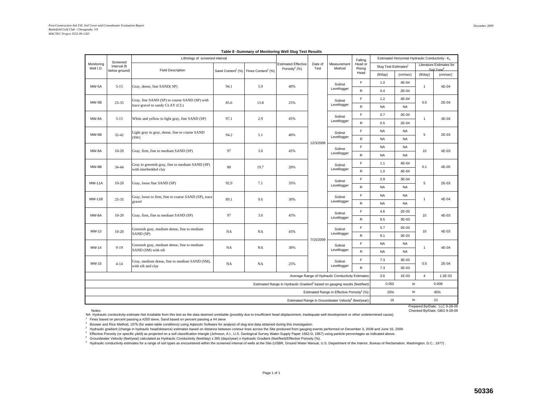|                         |                                           | Lithology of screened interval                                                           |                                                         |                                                              |                                                |                 |                                                                   | Falling           |                                  | Estimated Horizontal Hydraulic Conductivity - K <sub>n</sub> |                |                                                    |
|-------------------------|-------------------------------------------|------------------------------------------------------------------------------------------|---------------------------------------------------------|--------------------------------------------------------------|------------------------------------------------|-----------------|-------------------------------------------------------------------|-------------------|----------------------------------|--------------------------------------------------------------|----------------|----------------------------------------------------|
| Monitoring<br>Well I.D. | Screened<br>Interval (ft<br>below ground) | <b>Field Description</b>                                                                 |                                                         | Sand Content <sup>1</sup> (%) Fines Content <sup>1</sup> (%) | <b>Estimated Effective</b><br>Porosity $4$ (%) | Date of<br>Test | Measurement<br>Method                                             | Head or<br>Rising | Slug Test Estimates <sup>2</sup> |                                                              |                | Literature Estimates for<br>Soil Type <sup>6</sup> |
|                         |                                           |                                                                                          |                                                         |                                                              |                                                |                 |                                                                   | Head              | (ft/day)                         | (cm/sec)                                                     | (ft/day)       | (cm/sec)                                           |
| MW-5A                   | $5 - 15$                                  | Gray, dense, fine SAND(SP)                                                               | 94.1                                                    | 5.9                                                          | 40%                                            |                 | Solinst                                                           | F                 | 1.0                              | 4E-04                                                        | $\mathbf{1}$   | 4E-04                                              |
|                         |                                           |                                                                                          |                                                         |                                                              |                                                |                 | Levellogger                                                       | $\mathsf{R}$      | 0.4                              | 2E-04                                                        |                |                                                    |
| $MW-5B$                 | $25 - 35$                                 | Gray, fine SAND (SP) to course SAND (SP) with                                            | 85.6                                                    | 13.8                                                         | 25%                                            |                 | Solinst                                                           | E                 | 1.2                              | 4E-04                                                        | 0.5            | 2E-04                                              |
|                         |                                           | trace gravel to sandy CLAY (CL)                                                          |                                                         |                                                              |                                                |                 | Levellogger                                                       | $\mathsf{R}$      | <b>NA</b>                        | <b>NA</b>                                                    |                |                                                    |
| MW-6A                   | $5 - 15$                                  | White and yellow to light gray, fine SAND (SP)                                           | 97.1                                                    | 2.9                                                          | 45%                                            |                 | Solinst                                                           | E                 | 0.7                              | 2E-04                                                        | $\overline{1}$ | 4E-04                                              |
|                         |                                           |                                                                                          |                                                         |                                                              |                                                |                 | Levellogger                                                       | R                 | 0.5                              | 2E-04                                                        |                |                                                    |
| MW-6B                   | $32 - 42$                                 | Light gray to gray, dense, fine to coarse SAND                                           | 94.2                                                    | 5.1                                                          | 40%                                            |                 | Solinst                                                           | F                 | <b>NA</b>                        | <b>NA</b>                                                    | 5              | 2E-03                                              |
|                         |                                           | (SW)                                                                                     |                                                         |                                                              |                                                | 12/3/2008       | Levellogger                                                       | $\mathsf R$       | <b>NA</b>                        | <b>NA</b>                                                    |                |                                                    |
| MW-8A                   | $10 - 20$                                 | Gray, firm, fine to medium SAND (SP)                                                     | 97                                                      | 3.0                                                          | 45%                                            |                 | Solinst                                                           | E                 | <b>NA</b>                        | <b>NA</b>                                                    | 10             | 4E-03                                              |
|                         |                                           |                                                                                          |                                                         |                                                              |                                                |                 | Levellogger                                                       | $\mathsf{R}$      | <b>NA</b>                        | <b>NA</b>                                                    |                |                                                    |
| MW-8B                   | 34-44                                     | Gray to greenish gray, fine to medium SAND (SP)                                          | 80                                                      | 19.7                                                         | 20%                                            |                 | Solinst                                                           | F                 | 1.1                              | 4E-04                                                        | 0.1            | 4E-05                                              |
|                         |                                           | with interbedded clay                                                                    |                                                         |                                                              |                                                |                 | Levellogger                                                       | $\mathsf{R}$      | 1.0                              | 4E-04                                                        |                |                                                    |
| <b>MW-11A</b>           | $10 - 20$                                 | Gray, loose fine SAND (SP)                                                               | 92.9                                                    | 7.1                                                          | 35%                                            |                 | Solinst                                                           | F                 | 0.9                              | 3E-04                                                        | 5              | 2E-03                                              |
|                         |                                           |                                                                                          |                                                         |                                                              |                                                |                 | Levellogger                                                       | R                 | <b>NA</b>                        | <b>NA</b>                                                    |                |                                                    |
| <b>MW-11B</b>           | $25 - 35$                                 | Gray, loose to firm, fine to coarse SAND (SP), trace                                     | 89.1                                                    | 9.6                                                          | 30%                                            |                 | Solinst                                                           | E                 | <b>NA</b>                        | <b>NA</b>                                                    | $\mathbf{1}$   | 4E-04                                              |
|                         |                                           | gravel                                                                                   |                                                         |                                                              |                                                |                 | Levellogger                                                       | $\mathsf R$       | <b>NA</b>                        | <b>NA</b>                                                    |                |                                                    |
| MW-8A                   | $10 - 20$                                 | Gray, firm, fine to medium SAND (SP)                                                     | 97                                                      | 3.0                                                          | 45%                                            |                 | Solinst                                                           | E                 | 4.6                              | 2E-03                                                        | 10             | 4E-03                                              |
|                         |                                           |                                                                                          |                                                         |                                                              |                                                |                 | Levellogger                                                       | $\mathsf R$       | 9.5                              | 3E-03                                                        |                |                                                    |
| MW-13                   | $10 - 20$                                 | Greenish gray, medium dense, fine to medium                                              | NA                                                      | NA                                                           | 45%                                            |                 | Solinst                                                           | F                 | 5.7                              | 2E-03                                                        | 10             | 4E-03                                              |
|                         |                                           | SAND (SP)                                                                                |                                                         |                                                              |                                                | 7/15/2009       | Levellogger                                                       | $\mathsf{R}$      | 9.1                              | 3E-03                                                        |                |                                                    |
| MW-14                   | $9 - 19$                                  | Greenish gray, medium dense, fine to medium                                              | NA                                                      | NA                                                           | 30%                                            |                 | Solinst                                                           | F.                | <b>NA</b>                        | <b>NA</b>                                                    | $\overline{1}$ | 4E-04                                              |
|                         |                                           | SAND (SM) with silt                                                                      |                                                         |                                                              |                                                |                 | Levellogger                                                       | $\mathsf R$       | <b>NA</b>                        | <b>NA</b>                                                    |                |                                                    |
| MW-15                   | $4 - 14$                                  | Gray, medium dense, fine to medium SAND (SM),                                            | <b>NA</b>                                               | <b>NA</b>                                                    | 25%                                            |                 | Solinst                                                           | E                 | 7.3                              | 3E-03                                                        | 0.5            | 2E-04                                              |
|                         |                                           | with silt and clay                                                                       |                                                         |                                                              |                                                |                 | Levellogger                                                       | R                 | 7.3                              | 3E-03                                                        |                |                                                    |
|                         |                                           |                                                                                          |                                                         |                                                              |                                                |                 | Average Range of Hydraulic Conductivity Estimates:                |                   | 3.6                              | 1E-03                                                        | $\overline{4}$ | 1.3E-03                                            |
|                         |                                           | Estimated Range in Hydraulic Gradient <sup>3</sup> based on gauging results (feet/feet): | 0.002                                                   | to                                                           |                                                | 0.008           |                                                                   |                   |                                  |                                                              |                |                                                    |
|                         |                                           |                                                                                          | Estimated Range in Effective Porosity <sup>4</sup> (%): | 20%                                                          | to                                             |                 | 45%                                                               |                   |                                  |                                                              |                |                                                    |
|                         |                                           |                                                                                          |                                                         |                                                              |                                                |                 | Estimated Range in Groundwater Velocity <sup>5</sup> (feet/year): |                   | 16                               | to                                                           |                | 23                                                 |

#### **Table 8 -Summary of Monitoring Well Slug Test Results**

Notes:

Notes: Checked By/Date: GBG 9-28-09<br>NA Hydraulic conductivity estimate Not Available from this test as the data deemed unreliable (possibly due to insufficient head displacement, inadequate well development or other undete

Fines based on percent passing a #200 sieve, Sand based on percent passing a #4 sieve

<sup>2</sup> Bouwer and Rice Method, 1976 (for water-table conditions) using Aqtesolv Software for analysis of slug test data obtained during this investigation.

<sup>3</sup> Hydraulic gradient (change in hydraulic head/distance) estimates based on distance between contour lines across the Site produced from gauging events performed on December 3, 2008 and June 16, 2009.

4 Effective Porosity (or specific yield) as projected on a soil classification triangle (Johnson, A.I., U.S. Geological Survey Water-Supply Paper 1662-D, 1967) using particle percentages as indicated above.

5 Groundwater Velocity (feet/year) calculated as Hydraulic Conductivity (feet/day) x 365 (days/year) x Hydraulic Gradient (feet/feet)/Effective Porosity (%).

<sup>6</sup> Hydraulic conductivity estimates for a range of soil types as encountered within the screened interval of wells at the Site (USBR, Ground Water Manual, U.S. Department of the Interior, Bureau of Reclamation, Washington

Prepared By/Date: LLC 9-28-09<br>Checked By/Date: GBG 9-28-09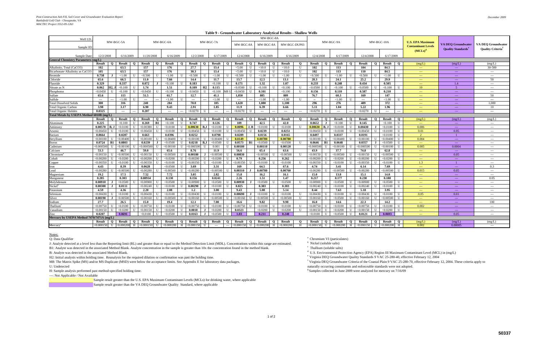|                                            |               |                |                               |  |                    |  |                          |                |               |                  |                          |                                                                      |                          |              |               |                          | Table 9 - Groundwater Laboratory Analytical Results - Shallow Wells |               |               |              |                          |              |               |              |               |              |                           |                                      |                                          |
|--------------------------------------------|---------------|----------------|-------------------------------|--|--------------------|--|--------------------------|----------------|---------------|------------------|--------------------------|----------------------------------------------------------------------|--------------------------|--------------|---------------|--------------------------|---------------------------------------------------------------------|---------------|---------------|--------------|--------------------------|--------------|---------------|--------------|---------------|--------------|---------------------------|--------------------------------------|------------------------------------------|
| Well I.D                                   |               |                |                               |  |                    |  |                          |                |               |                  |                          |                                                                      |                          |              | MW-BGC-8A     |                          |                                                                     |               |               |              |                          |              |               |              |               |              |                           |                                      |                                          |
|                                            |               |                | MW-BGC-5A                     |  |                    |  | MW-BGC-6A                |                |               |                  | MW-BGC-7A                |                                                                      | MW-BGC-8A                |              | MW-BGC-8A     |                          | MW-BGC-DUP03                                                        |               |               |              | MW-BGC-9A                |              |               |              | MW-BGC-10A    |              | <b>U.S. EPA Maximum</b>   | <b>VA DEO Groundwater</b>            | <b>VA DEO Groundwater</b>                |
| Sample ID                                  |               |                |                               |  |                    |  |                          |                |               |                  |                          |                                                                      |                          |              |               |                          |                                                                     |               |               |              |                          |              |               |              |               |              | <b>Contaminant Levels</b> | <b>Ouality Standards<sup>e</sup></b> | <b>Ouality Criteria</b> <sup>f</sup>     |
| Sample Date:                               | 12/2/2008     |                | 6/16/2009                     |  | 11/20/2008         |  | 6/16/2009                |                | 12/2/2008     |                  | 6/17/2009                |                                                                      | 12/4/2008                |              | 6/16/2009     |                          | 6/16/2009                                                           |               | 12/4/2008     |              | 6/17/2009                |              | 12/4/2008     |              | 6/17/2009     |              | $(MCLs)^d$                |                                      |                                          |
| <b>General Chemistry Parameters (mg/L)</b> |               |                |                               |  |                    |  |                          |                |               |                  |                          |                                                                      |                          |              |               |                          |                                                                     |               |               |              |                          |              |               |              |               |              |                           |                                      |                                          |
|                                            | <b>Result</b> | $\mathbf{O}$   | <b>Result</b><br>$\mathbf{o}$ |  | <b>Result</b><br>0 |  | <b>Result</b>            | $\Omega$       | <b>Result</b> | $\mathbf{0}$     | Result                   | $\mathbf{o}$                                                         | Result                   | $\mathbf{O}$ | <b>Result</b> | $\Omega$                 | <b>Result</b>                                                       | $\mathbf{o}$  | Result        | $\mathbf{o}$ | Result                   | $\mathbf{O}$ | <b>Result</b> | $\mathbf{O}$ | <b>Result</b> | $\mathbf{O}$ | (mg/L)                    | (mg/L)                               | (mg/L)                                   |
| Alkalinity, Total (CaCO3)                  | 102           |                | 63.5                          |  | 157                |  | 176                      |                | 27.7          |                  | 13.4                     |                                                                      | < 5.00                   | U            | < 10.0        | $\blacksquare$           | < 10.0                                                              | U             | 102           |              | 113                      |              | 104           |              | 84.5          |              | $-$                       | $\sim$ $\sim$                        | $30 - 500$                               |
| Bicarbonate Alkalinity as CaCO3            | 105           |                | 63.5                          |  | 157                |  | 176                      |                | 30.3          |                  | 13.4                     |                                                                      | < 5.00                   |              | < 10.0        |                          | < 10.0                                                              | U             | 102           |              | 113                      |              | 110           |              | 84.5          |              | $\sim$ $\sim$ $\sim$      | $\rightarrow$ $\rightarrow$          | $\sim$ $\sim$ $\sim$                     |
| <b>Bromide</b>                             | 0.738         | $\bf J$        | < 1.00<br>$\mathbf{H}$        |  | < 0.500            |  | < 1.00                   |                | < 0.500       | $\mathbf{I}$     | < 1.00                   |                                                                      | < 0.500                  |              | < 1.00        |                          | ${<}1.00$                                                           | U             | < 0.500       |              | < 1.00                   |              | < 0.500       |              | < 1.00        | U            | $- - -$                   | $\sim$ $\sim$ $\sim$                 | $\sim$ $\sim$ $\sim$                     |
| Chloride                                   | 65.6          |                | 66.5                          |  | 11.0               |  | 7.66                     |                | 14.4          |                  | 11.7                     |                                                                      | 13.7                     |              | 12.5          |                          | 13.1                                                                |               | 28.3          |              | 24.1                     |              | 25.2          |              | 29.9          |              | $-$                       | $\sim$ $\sim$ $\sim$                 | 50                                       |
| <sup>7</sup> luoride                       | 0.329         |                | 0.337                         |  | 0.072              |  | < 0.100                  |                | 0.183         |                  | < 0.100                  |                                                                      | 0.171                    |              | 1.32          |                          | 1.07                                                                |               | 0.233         |              | 0.248                    |              | 0.434         |              | 0.505         |              | $-$                       | 1.4                                  | $-$                                      |
| Nitrate as N                               | 0.062         | H2.            | < 0.100                       |  | 1.74               |  | 1.51                     |                | 0.109         | H2               | 0.115                    |                                                                      | < 0.0500                 |              | < 0.100       |                          | < 0.100                                                             | $\mathbf{U}$  | < 0.0500      |              | < 0.100                  |              | < 0.0500      |              | < 0.100       |              | 10                        | -5                                   | $\sim$ $\sim$ $\sim$                     |
| Phosphorus                                 | < 0.0450      | - U            | < 0.100<br>U                  |  | < 0.0450           |  | < 0.100                  | $\blacksquare$ | < 0.0450      | $\mathbf{U}$     | < 0.100                  | M8 U                                                                 | < 0.0450                 |              | 0.101         |                          | < 0.100                                                             | U             | 0.156         |              | 0.110                    |              | 0.587         |              | 0.210         |              | $\sim$ $\sim$             | $\sim$ $\sim$ $\sim$                 | $\sim$ $\sim$                            |
| Sulfate                                    | 65.6          |                | 113                           |  | 51.5               |  | 61.7                     |                | 12.7          |                  | 41.1                     |                                                                      | 1,050                    |              | 885           |                          | 809                                                                 |               | 76.7          |              | 60.3                     |              | 169           |              | 147           |              | $- - -$                   | $\rightarrow$ $\rightarrow$          | 50                                       |
| Sulfide                                    | $---$         | $---$          | < 1.00<br>II                  |  | $---$              |  | ${<}1.00$                |                | $\sim$        |                  | < 1.00                   | $\mathbf{H}$                                                         | $\overline{\phantom{a}}$ |              | < 1.00        |                          | ${<}1.00$                                                           | U             | $\sim$        |              | < 1.00                   |              | $---$         |              | < 1.00        |              | $-$                       | $\sim$ $\sim$                        | $\sim$                                   |
| <b>Cotal Dissolved Solids</b>              | 300           |                | 316                           |  | 240                |  | 284                      |                | 70.0          |                  | 105                      |                                                                      | 1.620                    |              | 1.080         |                          | 1.100                                                               |               | 296           |              | 276                      |              | 409           |              | 372           |              | $\sim$ $\sim$             | $\sim$ $\sim$                        | 1.000                                    |
| <b>Cotal Organic Carbon</b>                | 3.98          |                | 3.17                          |  | 6.90               |  | 9.43                     |                | 2.91          |                  | 1.85                     |                                                                      | 11.9                     |              | 6.39          |                          | 6.66                                                                |               | 5.11          |              | 1.04                     |              | 5.22          |              | 1.96          |              | $-$                       | $\sim$ $\sim$ $\sim$                 | 10                                       |
| <b>Total Organic Halides</b>               | 0.0325        |                | $\sim$ $\sim$<br>---          |  | 0.207              |  | $\overline{\phantom{a}}$ | $---$          | < 0.0270      | U                | $\overline{\phantom{a}}$ | $---$                                                                | < 0.0270                 | $\mathbf{I}$ | $\sim$        | $\overline{\phantom{a}}$ | $\overline{\phantom{a}}$                                            | $\sim$ $\sim$ | < 0.0270      |              | $\overline{\phantom{a}}$ | ---          | < 0.0270      |              | $\sim$        | $\cdots$     | $- - -$                   | $\sim$ $\sim$ $\sim$                 | $\cdots$                                 |
| Total Metals by USEPA Method 6010B (mg/L)  |               |                |                               |  |                    |  |                          |                |               |                  |                          |                                                                      |                          |              |               |                          |                                                                     |               |               |              |                          |              |               |              |               |              |                           |                                      |                                          |
|                                            | <b>Result</b> | $\mathbf{O}$   | <b>Result</b><br>$\mathbf{o}$ |  | <b>Result</b>      |  | <b>Result</b>            | $\Omega$       | <b>Result</b> | $\mathbf{o}$     | <b>Result</b>            | $\mathbf{o}$                                                         | <b>Result</b>            | $\mathbf{0}$ | <b>Result</b> | $\mathbf{o}$             | <b>Result</b>                                                       | $\Omega$      | <b>Result</b> | $\mathbf{o}$ | <b>Result</b>            | $\mathbf{o}$ | <b>Result</b> | $\mathbf{o}$ | <b>Result</b> | $\mathbf{o}$ | (mg/L)                    | (mg/L)                               | (mg/L)                                   |
| Aluminum                                   | 0.225         |                | < 0.100                       |  | 0.269<br>B1        |  | < 0.100                  |                | 0.747         |                  | 0.126                    |                                                                      | 109                      |              | 42.5          |                          | 42.0                                                                |               | 0.0652        |              | < 0.100                  |              | 0.145         |              | < 0.100       | U            | $1 - 1$                   | $\sim$ $\sim$                        | $\sim$ $\sim$                            |
| Antimony                                   | 0.00570       | B.J            | < 0.0100                      |  | < 0.00380          |  | < 0.0100                 |                | 0.00630       | B <sub>1</sub> J | < 0.0100                 |                                                                      | 0.0096                   |              | < 0.0100      |                          | < 0.0100                                                            | $\mathbf{U}$  | 0.00630       | B. J         | < 0.0100                 |              | 0.00430       |              | < 0.0100      | U            | 0.006                     | $\sim$ $\sim$                        | $\sim$ $\sim$ $\sim$                     |
| Arsenic                                    | < 0.00450     |                | < 0.0100                      |  | < 0.00450          |  | < 0.0100                 |                | < 0.00450     | $\mathbf{I}$     | < 0.0100                 |                                                                      | < 0.00450                |              | 0.0239        |                          | 0.0251                                                              |               | < 0.00450     |              | < 0.0100                 |              | < 0.00450     |              | < 0.0100      | $\mathbf{U}$ | 0.01                      | 0.05                                 | $-$                                      |
| Barium                                     | 0.0664        |                | 0.0287                        |  | 0.663              |  | 0.0396                   |                | 0.0252        |                  | 0.0798                   |                                                                      | 0.0289                   |              | 0.0156        |                          | 0.0165                                                              |               | 0.0497        |              | 0.0337                   |              | 0.0191        |              | < 0.0100      | $\mathbf{U}$ | $\overline{2}$            | $\blacksquare$                       | $\sim$ $\sim$ $\sim$                     |
| Beryllium                                  | < 0.00100     | U              | < 0.00400                     |  | < 0.00100          |  | < 0.00400                |                | < 0.00100     | $\mathbf{U}$     | < 0.00400                |                                                                      | 0.0149                   |              | 0.00780       |                          | 0.00780                                                             |               | < 0.00100     |              | < 0.00400                |              | < 0.00100     |              | < 0.00400     |              | 0.004                     | $\sim$                               | $\sim$ $\sim$                            |
| Boron                                      | 0.0724        | <b>B1</b>      | 0.0803                        |  | 0.0239             |  | < 0.0500                 |                | 0.0218        | B.J              | < 0.0500                 |                                                                      | 0.0573                   |              | < 0.0500      |                          | < 0.0500                                                            |               | 0.0646        |              | 0.0648                   |              | 0.0357        |              | < 0.0500      |              | $1 - 1$                   | $\sim$ $\sim$                        | $\sim$ $\sim$                            |
| Cadmium                                    | < 0.000500    | $\mathbf{U}$   | < 0.00100                     |  | < 0.00050          |  | < 0.00100                |                | < 0.000500    | $\mathbf{I}$     | 0.001                    | $_{\rm H}$                                                           | 0.00180                  |              | 0.00110       |                          | 0.00120                                                             |               | < 0.00050     |              | < 0.00100                |              | < 0.000500    |              | < 0.00100     | $\mathbf{I}$ | 0.005                     | 0.0004                               | $-$                                      |
| Calcium                                    | 53.3          |                | 46.7                          |  | 59.0               |  | 65.6                     |                | 8.76          |                  | 11.9                     |                                                                      | 56.6                     |              | 65.4          |                          | 63.6                                                                |               | 43.9          |              | 37.7                     |              | 74.8          |              | 62.8          |              | $\sim$ $\sim$             | $\sim$ $\sim$                        | $\sim$ $\sim$ $\sim$                     |
| Chromium                                   | < 0.00150     | U              | < 0.00500                     |  | < 0.00150          |  | < 0.00500                |                | 0.00180       |                  | < 0.00500                |                                                                      | 0.00830                  |              | < 0.00500     |                          | < 0.00500                                                           | $\mathbf{U}$  | < 0.00150     |              | < 0.00500                |              | < 0.00150     |              | < 0.00500     |              | $-$                       | 0.05                                 | $\sim$ $\sim$ $\sim$                     |
| Cobalt                                     | < 0.00200     |                | < 0.0200                      |  | < 0.00200          |  | < 0.0200                 |                | < 0.00200     |                  | < 0.0200                 |                                                                      | 0.79                     |              | 0.256         |                          | 0.262                                                               |               | < 0.00200     |              | < 0.0200                 |              | < 0.00200     |              | < 0.0200      |              | $- - -$                   | $\sim$ $\sim$                        | $\sim$ $\sim$                            |
| Copper                                     | < 0.00350     |                | < 0.0100                      |  | <0.00350           |  | < 0.0100                 |                | < 0.0035      |                  | < 0.0100                 |                                                                      | < 0.00350                |              | < 0.0100      |                          | < 0.0100                                                            | $\mathbf{U}$  | < 0.00350     |              | < 0.0100                 |              | < 0.00350     |              | < 0.0100      |              | 1.3                       |                                      | $- - -$                                  |
| Iron                                       | 4.43          |                | 8.39                          |  | 0.0628             |  | < 0.0500                 |                | 3.69          |                  | 3.31                     |                                                                      | 169                      |              | 64.5          |                          | 67.6                                                                |               | 4.74          |              | 3.41                     |              | 6.14          |              | 7.69          |              | $\sim$ $\sim$             | $\sim$ $\sim$                        | 0.3                                      |
| Lead                                       | < 0.00280     |                | < 0.00500                     |  | < 0.00280          |  | < 0.00500                |                | < 0.00280     |                  | < 0.00500                |                                                                      | 0.00310                  |              | 0.00780       |                          | 0.00760                                                             |               | < 0.00280     |              | < 0.00500                |              | < 0.00280     |              | &0.00500      |              | 0.015                     | 0.05                                 | $\sim$ $\sim$                            |
| Magnesium                                  | 19.2          |                | 17.5                          |  | 7.52               |  | 7.72                     |                | 3.05          |                  | 2.82                     |                                                                      | 15.8                     |              | 16.2          |                          | 16.1                                                                |               | 15.0          |              | 13.8                     |              | 15.1          |              | 14.0          |              | $\sim$ $\sim$ $\sim$      | $\sim$ $\sim$                        | $\sim$ $\sim$ $\sim$                     |
| Manganese                                  | 0.285         |                | 0.303                         |  | 0.00934            |  | 0.130                    |                | 0.156         |                  | 0.0241                   |                                                                      | 2.26                     |              | 1.51          |                          | 1.47                                                                |               | 0.217         |              | 0.177                    |              | 0.230         |              | 0.188         |              | $-$                       | $\sim$ $\sim$                        | 0.05                                     |
| Molybdenun                                 | 0.00910       | - 1            | < 0.0500                      |  | < 0.00900          |  | < 0.0500                 |                | < 0.00900     |                  | < 0.0500                 |                                                                      | 0.00930                  |              | < 0.0500      |                          | < 0.0500                                                            | $\mathbf{U}$  | < 0.00900     |              | < 0.0500                 |              | < 0.00900     |              | < 0.0500      |              | $1 - 1$                   | $\sim$ $\sim$                        | $\sim$ $\sim$                            |
| Nickel                                     | 0.00300       |                | 0.0111                        |  | < 0.00240          |  | < 0.0100                 |                | 0.00290       |                  | < 0.0100                 |                                                                      | 0.825                    |              | 0.383         |                          | 0.383                                                               |               | < 0.00240     |              | < 0.0100                 |              | < 0.00240     |              | < 0.0100      | $\mathbf{U}$ | $\sim$ $\sim$             | $\sim$ $\sim$                        | $\sim$ $\sim$                            |
| Potassium                                  | 4.59          |                | 4.36                          |  | 2.20               |  | 2.08                     |                | 1.2           |                  | 3.00                     |                                                                      | 9.43                     |              | 5.08          |                          | 5.14                                                                |               | 8.44          |              | 7.63                     |              | 5.18          |              | 3.95          |              | $1 - 1$                   | $\sim$ $\sim$                        | $\sim$ $\sim$ $\sim$                     |
| Selenium                                   | < 0.00430     | $\mathbf{U}$   | < 0.0100<br>$_{\rm II}$       |  | < 0.00430          |  | < 0.0100                 |                | < 0.00430     |                  | < 0.0100                 |                                                                      | 0.00690                  |              | < 0.0100      |                          | < 0.0100                                                            | U             | < 0.0043      |              | < 0.0100                 |              | < 0.00430     |              | < 0.0100      | $\mathbf{I}$ | 0.05                      | 0.01                                 | $\sim$ $\sim$                            |
| Silver                                     | 0.00190       | $\blacksquare$ | < 0.00500                     |  | < 0.00160          |  | < 0.00500                |                | < 0.00160     | II               | < 0.00500                |                                                                      | < 0.00160                |              | < 0.00500     |                          | < 0.00500                                                           | $\mathbf{U}$  | < 0.00160     |              | < 0.0500                 |              | < 0.00160     |              | < 0.00500     | II           | $1 - 1$                   | $\sim$ $\sim$                        | $\sim$ $\sim$                            |
| Sodium                                     | 27.7          |                | 26.5                          |  | 15.0               |  | 19.4                     |                | 12.1          |                  | 7.00                     |                                                                      | 16.6                     |              | 9.82          |                          | 9.98                                                                |               | 16.0          |              | 14.6                     |              | 22.3          |              | 14.2          |              | $\sim$                    | $\sim$ $\sim$                        | 100                                      |
| Thallium                                   | < 0.00750     | - U            | < 0.0100                      |  | < 0.00750          |  | < 0.0100                 |                | < 0.00750     | Ð                | < 0.0100                 |                                                                      | < 0.00750                |              | < 0.0100      |                          | < 0.0100                                                            | U             | < 0.00750     |              | < 0.0100                 |              | < 0.00750     |              | < 0.0100      | $\mathbf{I}$ | 0.002                     | $\sim$ $\sim$                        | $\sim$ $\sim$ $\sim$                     |
| Vanadium                                   | < 0.00150     | $\mathbf{I}$   | < 0.0200<br>II                |  | < 0.00150          |  | < 0.0200                 |                | 0.0018        |                  | < 0.0200                 |                                                                      | 0.0323                   |              | < 0.0200      |                          | < 0.0200                                                            | U             | < 0.00150     |              | < 0.0200                 |              | < 0.00150     |              | < 0.0200      | $\mathbf{U}$ | $\sim$ $\sim$ $\sim$      | $\sim$ $\sim$                        | $\sim$ $\sim$                            |
| Zinc                                       | 0.0207        |                | 0.0691                        |  | < 0.0100           |  | < 0.0500                 | $_{\rm II}$    | 0.0163        |                  | < 0.0500                 | $\mathbf{H}$                                                         | 1.03                     |              | 0.211         |                          | 0.248                                                               |               | < 0.0100      |              | < 0.0500                 |              | 0.0121        |              | 0.0693        |              | $\sim$ $\sim$             | 0.05                                 | $\cdots$                                 |
| Mercury by USEPA Method 7470/7471A (mg/L)  |               |                |                               |  |                    |  |                          |                |               |                  |                          |                                                                      |                          |              |               |                          |                                                                     |               |               |              |                          |              |               |              |               |              |                           |                                      |                                          |
|                                            | Result        | $\mathbf{0}$   | <b>Result</b><br>$\mathbf{O}$ |  | Result<br>$\Omega$ |  | <b>Result</b>            | $\Omega$       | <b>Result</b> | $\mathbf{o}$     | Result                   | $\mathbf{o}$                                                         | <b>Result</b>            | $\mathbf{0}$ | Result        | $\Omega$                 | <b>Result</b>                                                       |               | <b>Result</b> | $\mathbf{o}$ | <b>Result</b>            | $\mathbf{o}$ | <b>Result</b> | $\mathbf{o}$ | <b>Result</b> | $\mathbf{O}$ | (mg/L)                    | (mg/L)                               | (mg/L)                                   |
| Mercury <sup>8</sup>                       | < 0.000150    | U              | $< 0.000200$ H $< 0.000150$   |  | U                  |  | < 0.000200               | H              | < 0.000150    | $\mathbf U$      | $\sim$                   | $\hspace{0.05cm} -\hspace{0.05cm} -\hspace{0.05cm} -\hspace{0.05cm}$ | < 0.000150               | $\mathbf U$  | < 0.000200    | H                        | < 0.000200                                                          | H             | <,0.00015     | U            | < 0.000200               | H            | < 0.000150    | $\mathbf{I}$ | < 0.000200    | H            | 0.002                     | 0.00005                              | $\hspace{0.05cm} \ldots \hspace{0.05cm}$ |
|                                            |               |                |                               |  |                    |  |                          |                |               |                  |                          |                                                                      |                          |              |               |                          |                                                                     |               |               |              |                          |              |               |              |               |              |                           |                                      |                                          |

Q: Data Qualifier  $\frac{a}{b}$  Chromium VI (particulates) Chromium VI (particulates) Chromium VI (particulates) J: Analyte detected at a level less than the Reporting limit (RL) and greater than or equal to the Method Detection Limit (MDL). Concentrations within this range are estimated.  $\frac{b}{c}$  Nickel (soluble salts)<br>B 1: Analyt B1: Analyte was detected in the associated Method Blank. Analyte concentration in the sample is greater than 10x the concentration found in the method blank. B: Analyte was detected in the associated Method Blank.

M8: The Matrix Spike (MS) and/or MS Duplicate (MSD) were below the acceptance limits. See Appendix E for laboratory data packages.

U: Undetected

H: Sample analysis performed past method-specified holding time.

---: Not Applicable / Not Available

Sample result greater than the U.S. EPA Maximum Contaminant Levels (MCLs) for drinking water, where applicable Sample result greater than the VA DEQ Groundwater Quality Standard, where applicable

<sup>d</sup> U.S. Environmental Protection Agency (EPA) Region III Maximum Contaminant Level (MCL) in (mg/L) <sup>e</sup> Virginia DEQ Groundwater Quality Standards 9 VAC 25-280-40, effective February 12, 2004

H2: Initial analysis within holding time. Reanalysis for the required dilution or confirmation was past the holding time.<br>M8: The Matrix Spike (MS) and/or MS Duplicate (MSD) were below the acceptance limits. See Appendix E

naturally occurring constituents and enforceable standards were not adopted.  $\frac{g}{2}$  Samples collected in June 2009 were analyzed for mercury on 7/16/09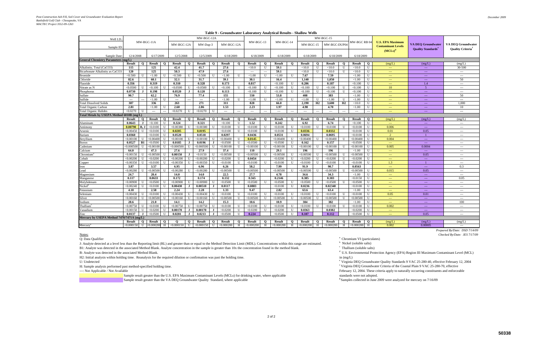|                                            |                   |                          |                   |                |                          |                          |                          |                          |                             |                |                   |                   | Table 9 - Groundwater Laboratory Analytical Results - Shahow Wells |                      |                  |               |                      |              |               |              |                           |                                                                                                                                                                                                                                                                                                                                                                                                                                                                            |                                              |
|--------------------------------------------|-------------------|--------------------------|-------------------|----------------|--------------------------|--------------------------|--------------------------|--------------------------|-----------------------------|----------------|-------------------|-------------------|--------------------------------------------------------------------|----------------------|------------------|---------------|----------------------|--------------|---------------|--------------|---------------------------|----------------------------------------------------------------------------------------------------------------------------------------------------------------------------------------------------------------------------------------------------------------------------------------------------------------------------------------------------------------------------------------------------------------------------------------------------------------------------|----------------------------------------------|
| Well I.D.                                  |                   |                          |                   |                |                          |                          | MW-BGC-12A               |                          |                             |                |                   |                   |                                                                    |                      |                  |               | MW-BGC-15            |              |               |              |                           |                                                                                                                                                                                                                                                                                                                                                                                                                                                                            |                                              |
|                                            |                   |                          | MW-BGC-11A        |                | MW-BGC-12A               |                          | MW-Dup-3                 |                          | MW-BGC-12A                  |                | MW-BGC-13         |                   | MW-BGC-14                                                          |                      | MW-BGC-15        |               | MW-BGC-DUP04         |              | MW-BGC RB 04  |              | <b>U.S. EPA Maximum</b>   | <b>VA DEO Groundwater</b>                                                                                                                                                                                                                                                                                                                                                                                                                                                  | <b>VA DEO Groundwater</b>                    |
| Sample ID                                  |                   |                          |                   |                |                          |                          |                          |                          |                             |                |                   |                   |                                                                    |                      |                  |               |                      |              |               |              | <b>Contaminant Levels</b> | <b>Ouality Standards<sup>e</sup></b>                                                                                                                                                                                                                                                                                                                                                                                                                                       | <b>Quality Criteria</b> <sup>f</sup>         |
|                                            |                   |                          |                   |                |                          |                          |                          |                          |                             |                |                   |                   |                                                                    |                      |                  |               |                      |              |               |              | $(MCLs)^d$                |                                                                                                                                                                                                                                                                                                                                                                                                                                                                            |                                              |
| Sample Date                                | 12/4/2008         |                          | 6/17/2009         |                | 12/5/2008                |                          | 12/5/2009                |                          | 6/18/2009                   |                | 6/18/2009         |                   | 6/18/2009                                                          |                      | 6/18/2009        |               | 6/18/2009            |              | 6/18/2009     |              |                           |                                                                                                                                                                                                                                                                                                                                                                                                                                                                            |                                              |
| <b>General Chemistry Parameters (mg/L)</b> |                   |                          |                   |                |                          |                          |                          |                          |                             |                |                   |                   |                                                                    |                      |                  |               |                      |              |               |              |                           |                                                                                                                                                                                                                                                                                                                                                                                                                                                                            |                                              |
|                                            | <b>Result</b>     | $\mathbf{O}$             | <b>Result</b>     | $\mathbf{o}$   | <b>Result</b>            | $\mathbf Q$              | <b>Result</b>            | $\mathbf Q$              | <b>Result</b>               | $\mathbf{o}$   | <b>Result</b>     | $\mathbf{o}$      | <b>Result</b>                                                      | $\mathbf{O}$         | <b>Result</b>    | $\mathbf{o}$  | <b>Result</b>        | $\mathbf 0$  | <b>Result</b> | $\mathbf{o}$ | (mg/L)                    | (mg/L)                                                                                                                                                                                                                                                                                                                                                                                                                                                                     | (mg/L)                                       |
| Alkalinity, Total (CaCO3)                  | 115               |                          | 125               |                | 42.4                     |                          | 41.7                     |                          | 27.6                        |                | < 10.0            | U                 | 59.1                                                               |                      | < 10.0           | $\mathbf{U}$  | < 10.0               | U            | < 10.0        | U            | $\sim$                    | $\sim$ $\sim$                                                                                                                                                                                                                                                                                                                                                                                                                                                              | 30-500                                       |
| Bicarbonate Alkalinity as CaCO3            | 120               |                          | 125               |                | 50.3                     |                          | 47.9                     |                          | 27.6                        |                | $\sim$            | $\overline{a}$    | 59.1                                                               |                      | < 10.0           | U             | < 10.0               | $\mathbf U$  | < 10.0        | $\mathbf U$  | $---$                     | $\frac{1}{2} \left( \frac{1}{2} \right) \left( \frac{1}{2} \right) \left( \frac{1}{2} \right)$                                                                                                                                                                                                                                                                                                                                                                             | $\sim$ $\sim$                                |
| Bromide                                    | < 0.500           | U                        | < 1.00            | U              | < 0.500                  | $\mathbf{U}$             | < 0.500                  | U                        | < 1.00                      | $\mathbf{U}$   | ${<}1.00$         | U                 | < 1.00                                                             | U                    | 7.67             |               | 7.59                 |              | < 1.00        | U            | $-$                       | $\frac{1}{2} \left( \frac{1}{2} \right) \left( \frac{1}{2} \right) \left( \frac{1}{2} \right) \left( \frac{1}{2} \right) \left( \frac{1}{2} \right) \left( \frac{1}{2} \right) \left( \frac{1}{2} \right) \left( \frac{1}{2} \right) \left( \frac{1}{2} \right) \left( \frac{1}{2} \right) \left( \frac{1}{2} \right) \left( \frac{1}{2} \right) \left( \frac{1}{2} \right) \left( \frac{1}{2} \right) \left( \frac{1}{2} \right) \left( \frac{1}{2} \right) \left( \frac$ | $-$                                          |
| Chloride                                   | 82.6              |                          | 60.1              |                | 32.1                     |                          | 31.7                     |                          | 39.1                        |                | 30.1              |                   | 16.4                                                               |                      | 1,140            |               | 1,050                |              | < 1.00        | U            | $\sim$ $\sim$             | $\sim$ $\sim$ $\sim$                                                                                                                                                                                                                                                                                                                                                                                                                                                       | 50                                           |
| Fluoride                                   | 0.356             |                          | 0.319             |                | 0.310                    |                          | 0.328                    |                          | 0.173                       |                | 0.817             |                   | < 0.100                                                            | U                    | 0.206            |               | 0.187                |              | < 0.100       | U            | $---$                     | 1.4                                                                                                                                                                                                                                                                                                                                                                                                                                                                        | $\sim$                                       |
| Nitrate as N                               | < 0.0500          | U                        | < 0.100           | U              | < 0.0500                 | $\mathbf{I}$             | < 0.0500                 | U                        | < 0.100                     | U              | < 0.100           | U                 | < 0.100                                                            | U                    | < 0.100          | $\mathbf{U}$  | < 0.100              | U            | < 0.100       | U            | 10                        | $\sim$                                                                                                                                                                                                                                                                                                                                                                                                                                                                     | $- - -$                                      |
| Phosphorus                                 | 0.0730            | $\bf J$                  | 0.198             |                | 0.0520                   |                          | 0.120                    |                          | 0.113                       |                | < 0.100           | U                 | < 0.100                                                            | U                    | < 0.100          | U             | < 0.100              | U            | < 0.100       | U            | $-$                       | $\sim$ $\sim$                                                                                                                                                                                                                                                                                                                                                                                                                                                              | $\sim$ $\sim$ $\sim$                         |
| Sulfate                                    | 90.7              |                          | 62.2              |                | 76.9                     |                          | 77.4                     |                          | 155                         |                | 550               |                   | 53.8                                                               |                      | 408              |               | 383                  |              | < 1.00        | U            | $---$                     | $\cdots$                                                                                                                                                                                                                                                                                                                                                                                                                                                                   | 50                                           |
| Sulfide                                    | $---$             | $\overline{\phantom{a}}$ | < 1.00            | $\mathbf{U}$   | $\overline{\phantom{a}}$ | $\overline{\phantom{a}}$ | $\overline{\phantom{a}}$ | $\overline{\phantom{a}}$ | < 1.00                      | U              | ${<}1.00$         | U                 | < 1.00                                                             | $\mathbf{U}$         | < 1.00           | $\mathbf{U}$  | ${<}1.00$            | U            | < 1.00        | U            | $\cdots$                  | $\frac{1}{2} \left( \frac{1}{2} \right) \left( \frac{1}{2} \right) \left( \frac{1}{2} \right) \left( \frac{1}{2} \right) \left( \frac{1}{2} \right) \left( \frac{1}{2} \right) \left( \frac{1}{2} \right) \left( \frac{1}{2} \right) \left( \frac{1}{2} \right) \left( \frac{1}{2} \right) \left( \frac{1}{2} \right) \left( \frac{1}{2} \right) \left( \frac{1}{2} \right) \left( \frac{1}{2} \right) \left( \frac{1}{2} \right) \left( \frac{1}{2} \right) \left( \frac$ | $\overline{\phantom{a}}$                     |
| <b>Total Dissolved Solids</b>              | 387               |                          | 336               |                | 263                      |                          | 271                      |                          | 311                         |                | 828               |                   | 66.0                                                               |                      | 2,190            | H2            | 3,600                | H2           | < 10.0        | U            | <u></u>                   | $\scriptstyle\cdots$                                                                                                                                                                                                                                                                                                                                                                                                                                                       | 1,000                                        |
| Total Organic Carbon                       | 2.81              |                          | < 1.00            | U              | 2.60                     |                          | 2.86                     |                          | 1.53                        |                | 2.23              |                   | 1.97                                                               |                      | 4.98             |               | 4.70                 |              | < 1.00        | U            | $\frac{1}{2}$             | $\frac{1}{2} \left( \frac{1}{2} \right) \left( \frac{1}{2} \right) \left( \frac{1}{2} \right)$                                                                                                                                                                                                                                                                                                                                                                             | 10                                           |
| <b>Total Organic Halides</b>               | < 0.0270          | U                        | $-$               | $\overline{a}$ | < 0.0270                 | U                        | < 0.0270                 | U                        | $---$                       | $\overline{a}$ | $\sim$ $\sim$     | $\overline{a}$    | $\sim$ $\sim$                                                      | $\sim$ $\sim$ $\sim$ | $\sim$ $\sim$    | $\sim$ $\sim$ | $\sim$ $\sim$        | $\sim$       | $\sim$ $\sim$ | $\cdots$     | $---$                     | $\frac{1}{2} \left( \frac{1}{2} \right) \left( \frac{1}{2} \right) \left( \frac{1}{2} \right)$                                                                                                                                                                                                                                                                                                                                                                             | $\overline{\phantom{a}}$                     |
| Total Metals by USEPA Method 6010B (mg/L)  |                   |                          |                   |                |                          |                          |                          |                          |                             |                |                   |                   |                                                                    |                      |                  |               |                      |              |               |              |                           |                                                                                                                                                                                                                                                                                                                                                                                                                                                                            |                                              |
|                                            | <b>Result</b>     | $\mathbf Q$              | <b>Result</b>     | $\mathbf Q$    | <b>Result</b>            | $\mathbf{o}$             | <b>Result</b>            | $\mathbf{o}$             | <b>Result</b>               | $\mathbf{o}$   | <b>Result</b>     | $\mathbf{O}$      | <b>Result</b>                                                      | $\mathbf{O}$         | <b>Result</b>    | $\mathbf{o}$  | <b>Result</b>        | $\mathbf{o}$ | <b>Result</b> | $\mathbf{o}$ | (mg/L)                    | (mg/L)                                                                                                                                                                                                                                                                                                                                                                                                                                                                     | (mg/L)                                       |
| Aluminum                                   | 0.0643            | $\bf{J}$                 | < 0.100           | $\mathbf{U}$   | 0.324                    |                          | 0.321                    |                          | < 0.100                     | U              | 1.52              |                   | 0.242                                                              |                      | 6.92             |               | 6.74                 |              | < 0.100       | U            | $\sim$ $\sim$             | $\frac{1}{2} \left( \frac{1}{2} \right) \left( \frac{1}{2} \right) \left( \frac{1}{2} \right) \left( \frac{1}{2} \right) \left( \frac{1}{2} \right) \left( \frac{1}{2} \right) \left( \frac{1}{2} \right) \left( \frac{1}{2} \right) \left( \frac{1}{2} \right) \left( \frac{1}{2} \right) \left( \frac{1}{2} \right) \left( \frac{1}{2} \right) \left( \frac{1}{2} \right) \left( \frac{1}{2} \right) \left( \frac{1}{2} \right) \left( \frac{1}{2} \right) \left( \frac$ | $\overline{a}$                               |
| Antimony                                   | 0.00790           | B, J                     | < 0.0100          | U              | < 0.00380                | $\mathbf{I}$             | < 0.00380                | U                        | < 0.0100                    | U              | < 0.0100          | U                 | < 0.0100                                                           | U                    | < 0.0100         | U             | < 0.0100             | U            | < 0.0100      | U            | 0.006                     | $\scriptstyle\cdots$                                                                                                                                                                                                                                                                                                                                                                                                                                                       | $-$                                          |
| Arsenic                                    | < 0.00450         | $\mathbf{U}$             | < 0.0100          | U              | 0.0205                   |                          | 0.0195                   |                          | < 0.0100                    | U              | < 0.0100          | U                 | < 0.0100                                                           | U                    | 0.0336           |               | 0.0332               |              | < 0.0100      | U            | 0.01                      | 0.05                                                                                                                                                                                                                                                                                                                                                                                                                                                                       | $\sim$                                       |
| Barium                                     | 0.0360            |                          | < 0.0100          | U              | 0.0520                   |                          | 0.0518                   |                          | 0.0297                      |                | 0.0436            |                   | 0.0531                                                             |                      | 0.0694           |               | 0.0695               |              | < 0.0100      | U            | $\overline{2}$            |                                                                                                                                                                                                                                                                                                                                                                                                                                                                            | $\cdots$                                     |
| Beryllium                                  | < 0.00100         | U                        | < 0.0040          |                | < 0.00100                | $\mathbf{U}$             | < 0.00100                | U                        | < 0.00400                   | $\mathbf U$    | 0.0145            |                   | < 0.00400                                                          | $\mathbf{U}$         | < 0.00400        | $\mathbf{U}$  | < 0.00400            | $\mathbf{U}$ | < 0.00400     | U            | 0.004                     | $\omega_{\rm{max}}$                                                                                                                                                                                                                                                                                                                                                                                                                                                        | $\cdots$                                     |
| Boron                                      | 0.0527            | <b>B1</b>                | < 0.0500          | U              | 0.0185                   |                          | 0.0196                   | $\bf J$                  | < 0.0500                    | U              | < 0.0500          | U                 | < 0.0500                                                           | U                    | 0.162            |               | 0.157                |              | < 0.0500      | U            | $\sim$ $\sim$             | $\frac{1}{2} \left( \frac{1}{2} \right) \left( \frac{1}{2} \right) \left( \frac{1}{2} \right) \left( \frac{1}{2} \right) \left( \frac{1}{2} \right) \left( \frac{1}{2} \right) \left( \frac{1}{2} \right) \left( \frac{1}{2} \right) \left( \frac{1}{2} \right) \left( \frac{1}{2} \right) \left( \frac{1}{2} \right) \left( \frac{1}{2} \right) \left( \frac{1}{2} \right) \left( \frac{1}{2} \right) \left( \frac{1}{2} \right) \left( \frac{1}{2} \right) \left( \frac$ | $\overline{a}$                               |
| Cadmium                                    | < 0.000500        | U                        | < 0.0010          | $\mathbf{U}$   | < 0.000500               | $\mathbf{U}$             | < 0.000500               | U                        | < 0.00100                   | U              | < 0.00100         | U                 | < 0.00100                                                          | U                    | < 0.00100        | U             | < 0.00100            | U            | < 0.00100     | U            | 0.005                     | 0.0004                                                                                                                                                                                                                                                                                                                                                                                                                                                                     | $\cdots$                                     |
| Calcium                                    | 64.0              |                          | 47.3              |                | 27.6                     |                          | 27.9                     |                          | 37.4                        |                | 110               |                   | 29.1                                                               |                      | 196              |               | 196                  |              | < 1.00        | U            | $\sim$                    | $\scriptstyle\cdots$                                                                                                                                                                                                                                                                                                                                                                                                                                                       | $\cdots$                                     |
| Chromium                                   | < 0.00150         | U                        | 0.00500           |                | 0.00150                  |                          | < 0.0150                 | U                        | < 0.00500                   | U              | < 0.00500         | U                 | < 0.00500                                                          | U                    | < 0.00500        | $\mathbf{U}$  | <0.00500             | $\mathbf{U}$ | < 0.00500     | $\mathbf{U}$ | $-$                       | 0.05                                                                                                                                                                                                                                                                                                                                                                                                                                                                       | $-$                                          |
| Cobalt                                     | < 0.00200         | U                        | < 0.0200          |                | < 0.00200                |                          | < 0.00200                | U                        | < 0.0200                    | U              | 0.0454            |                   | < 0.0200                                                           | U                    | < 0.0200         | $\mathbf{U}$  | < 0.0200             | $\mathbf{U}$ | < 0.0200      | U            | $-$                       | $\sim$ $\sim$ $\sim$                                                                                                                                                                                                                                                                                                                                                                                                                                                       | $\overline{a}$                               |
| Copper                                     | < 0.00350         | U                        | < 0.0100          | $\mathbf{I}$   | < 0.00350                | $\mathbf{U}$             | < 0.00350                | U                        | < 0.0100                    | $\overline{U}$ | < 0.0100          | U                 | < 0.0100                                                           | U                    | < 0.0100         | $\mathbf{U}$  | < 0.0100             | $\mathbf{U}$ | < 0.0100      | U            | 1.3                       |                                                                                                                                                                                                                                                                                                                                                                                                                                                                            | $\sim$ $\sim$                                |
| ron                                        | 3.87              |                          | 3.57              |                | 6.95                     |                          | 6.96                     |                          | 6.26                        |                | 58.2              |                   | 7.99                                                               |                      | 91.9             |               | 90.7                 |              | 0.0563        |              | $-$                       | $\frac{1}{2} \left( \frac{1}{2} \right) \left( \frac{1}{2} \right) \left( \frac{1}{2} \right) \left( \frac{1}{2} \right)$                                                                                                                                                                                                                                                                                                                                                  | 0.3                                          |
|                                            | < 0.00280         | U                        | < 0.0050          | U              | < 0.00280                | $\mathbf{U}$             | < 0.00280                | U                        | < 0.00500                   | U              | < 0.00500         | U                 | < 0.00500                                                          | U                    | < 0.00500        | $\mathbf{U}$  | < 0.00500            | $\mathbf{U}$ | < 0.00500     | U            | 0.015                     | 0.05                                                                                                                                                                                                                                                                                                                                                                                                                                                                       |                                              |
| ead<br>Magnesium                           | 24.7              |                          | 20.4              |                | 14.0                     |                          | 14.0                     |                          | 22.5                        |                | 27.7              |                   | 4.78                                                               |                      | 34.6             |               | 34.3                 |              | < 1.00        | U            | $\sim$ $\sim$             | $\sim$ $\sim$                                                                                                                                                                                                                                                                                                                                                                                                                                                              | $\hspace{0.05cm} \cdots$<br>$\sim$ $\sim$    |
| Manganese                                  | 0.117             |                          | 0.0633            |                | 0.172                    |                          | 0.174                    |                          | 0.132                       |                | 0.565             |                   | 0.2146                                                             |                      | 0.385            |               | 0.383                |              | < 0.0150      | U            | $-$                       | $\cdots$                                                                                                                                                                                                                                                                                                                                                                                                                                                                   | 0.05                                         |
| Molybdenum                                 | < 0.00900         | U                        | < 0.0500          | $\mathbf{U}$   | < 0.00900                | $\mathbf{U}$             | < 0.00900                | U                        | < 0.0500                    | U              | < 0.0500          | U                 | < 0.0500                                                           | U                    | < 0.0500         | $\mathbf{U}$  | < 0.0500             | $\mathbf{U}$ | < 0.0500      | U            | $\frac{1}{2}$             |                                                                                                                                                                                                                                                                                                                                                                                                                                                                            |                                              |
| Nickel                                     | < 0.00240         | U                        | < 0.0100          | U              | 0.00430                  |                          | 0.00510                  | $\bf J$                  | 0.0117                      |                | 0.0883            |                   | < 0.0100                                                           | U                    | 0.0236           |               | 0.02340              |              | < 0.0100      | U            | $\sim$                    | $\cdots$<br>$\cdots$                                                                                                                                                                                                                                                                                                                                                                                                                                                       | $\scriptstyle\cdots$<br>$\scriptstyle\cdots$ |
| Potassium                                  | 4.18              |                          | 2.58              |                | 2.24                     |                          | 2.28                     |                          | 1.33                        |                | 9.47              |                   | 2.82                                                               |                      | 63.6             |               | 63.4                 |              | < 1.00        | U            | $\cdots$                  | $\cdots$                                                                                                                                                                                                                                                                                                                                                                                                                                                                   | $- - -$                                      |
|                                            | < 0.00430         | U                        | < 0.0100          | U              | < 0.00430                | $\mathbf{U}$             | < 0.00430                | U                        | < 0.0100                    | U              | < 0.0100          | U                 | < 0.0100                                                           | $\mathbf U$          | < 0.0100         | U             | < 0.0100             | U            | < 0.0100      | U            | 0.05                      | 0.01                                                                                                                                                                                                                                                                                                                                                                                                                                                                       | $\overline{a}$                               |
| Selenium                                   |                   |                          |                   |                |                          |                          |                          |                          |                             |                |                   |                   |                                                                    |                      |                  |               |                      | $\mathbf{U}$ | < 0.00500     |              |                           |                                                                                                                                                                                                                                                                                                                                                                                                                                                                            |                                              |
| Silver                                     | < 0.00160<br>28.6 | U                        | < 0.00500<br>21.0 | $\mathbf{U}$   | < 0.00160<br>14.1        | $\mathbf{U}$             | < 0.00160<br>14.2        | U                        | < 0.00500<br>15.3           | U              | < 0.00500<br>10.6 | U                 | < 0.00500<br>10.9                                                  | U                    | < 0.00500<br>384 | $\mathbf{U}$  | < 0.00500<br>382     |              | < 1.00        | U<br>U       | $\sim$                    | $\frac{1}{2} \left( \frac{1}{2} \right) \left( \frac{1}{2} \right) \left( \frac{1}{2} \right) \left( \frac{1}{2} \right) \left( \frac{1}{2} \right) \left( \frac{1}{2} \right) \left( \frac{1}{2} \right) \left( \frac{1}{2} \right) \left( \frac{1}{2} \right) \left( \frac{1}{2} \right) \left( \frac{1}{2} \right) \left( \frac{1}{2} \right) \left( \frac{1}{2} \right) \left( \frac{1}{2} \right) \left( \frac{1}{2} \right) \left( \frac{1}{2} \right) \left( \frac$ | $-$<br>100                                   |
| Sodium                                     | < 0.00750         |                          | < 0.0100          |                | < 0.00750                | $\mathbf{U}$             | < 0.00750                |                          | < 0.0100                    | U              | < 0.0100          |                   | < 0.0100                                                           | U                    | < 0.0100         | $\mathbf{U}$  | < 0.0100             | U            | < 0.0100      | U            | $\sim$<br>0.002           | $\cdots$                                                                                                                                                                                                                                                                                                                                                                                                                                                                   |                                              |
| Thallium'                                  |                   | U                        |                   | U              |                          |                          |                          | U                        |                             |                |                   | U                 |                                                                    |                      |                  |               |                      |              |               |              |                           | $\frac{1}{2} \left( \frac{1}{2} \right) \left( \frac{1}{2} \right) \left( \frac{1}{2} \right)$                                                                                                                                                                                                                                                                                                                                                                             | $\overline{\phantom{a}}$                     |
| Vanadium                                   | < 0.00150         | $\mathbf{U}$             | < 0.0200          | U              | 0.00170                  |                          | 0.00170                  | <b>J</b>                 | < 0.0200                    | U              | < 0.0200          | U                 | < 0.0200                                                           | U                    | 0.0363           |               | 0.0382               |              | < 0.0200      | U            | $-$                       | $\cdots$                                                                                                                                                                                                                                                                                                                                                                                                                                                                   | $-$                                          |
| Zinc                                       | 0.0137            | $\bf{J}$                 | < 0.0500          | U              | 0.0281                   | Л.                       | 0.0213                   | J                        | < 0.0500                    | U              | 0.224             |                   | < 0.0500                                                           | U                    | 0.107            |               | 0.112                |              | < 0.0500      | U            | $\sim$                    | 0.05                                                                                                                                                                                                                                                                                                                                                                                                                                                                       | $\hspace{0.05cm} \cdots$                     |
| Mercury by USEPA Method 7470/7471A (mg/L)  |                   |                          |                   |                |                          |                          |                          |                          |                             |                |                   |                   |                                                                    |                      |                  |               |                      |              |               |              |                           |                                                                                                                                                                                                                                                                                                                                                                                                                                                                            |                                              |
| Mercury <sup>s</sup>                       | Result            | $\mathbf{o}$             | <b>Result</b>     | $\mathbf{O}$   | $\mathbf{o}$             | $\mathbf{o}$             | Result<br>< 0.000150     | $\mathbf Q$              | <b>Result</b><br>< 0.000200 | $\mathbf{o}$   | Result            | $\mathbf{O}$<br>H | Result<br>< 0.000200                                               | $\mathbf{O}$         | Result           | $\mathbf{o}$  | Result<br>< 0.000200 | $\mathbf{O}$ | Result        | $\mathbf{O}$ | (mg/L)                    | (mg/L)                                                                                                                                                                                                                                                                                                                                                                                                                                                                     | (mg/L)                                       |
|                                            | < 0.000150        | U                        | < 0.000200        | H              | < 0.000150               | $\overline{U}$           |                          | U                        |                             | H              | < 0.000200        |                   |                                                                    | H                    | < 0.000200       | H             |                      | H            | < 0.000200    | H            | 0.002                     | 0.00005                                                                                                                                                                                                                                                                                                                                                                                                                                                                    | $\overline{\phantom{a}}$                     |

*Prepared By/Date: DSD 7/14/09 Checked By/Date: JES 7/17/09*

Q: Data Qualifier  $\frac{a}{b}$  Chromium VI (particulates)  $\frac{a}{c}$  Chromium VI (particulates)  $\frac{a}{c}$  Chromium VI (particulates)  $\frac{a}{c}$ J: Analyte detected at a level less than the Reporting limit (RL) and greater than or equal to the Method Detection Limit (MDL). Concentrations within this range are estimated. <br>B1: Analyte was detected in the associated M B1: Analyte was detected in the associated Method Blank. Analyte concentration in the sample is greater than 10x the concentration found in the method blank. B: Analyte was detected in the associated Method Blank.

H2: Initial analysis within holding time. Reanalysis for the required dilution or confirmation was past the holding time. in (mg/L) in (mg/L)

U: Undetected

H: Sample analysis performed past method-specified holding time. The extent of the Coastal Plain 9 VAC 25-280-70, effective

Sample result greater than the U.S. EPA Maximum Contaminant Levels (MCLs) for drinking water, where applicable standards were not adopted. Sample result greater than the VA DEQ Groundwater Quality Standard, where applicable  $\frac{1}{2}$  Samples collected in June 2009 were analyzed for mercury on 7/16/09

 $^{\text{d}}$  U.S. Environmental Protection Agency (EPA) Region III Maximum Contaminant Level (MCL)

---: Not Applicable / Not Available **February 12, 2004.** These criteria apply to naturally occurring constituents and enforceable

e Virginia DEQ Groundwater Quality Standards 9 VAC 25-280-40, effective February 12, 2004

# **Table 9 - Groundwater Laboratory Analytical Results - Shallow Wells**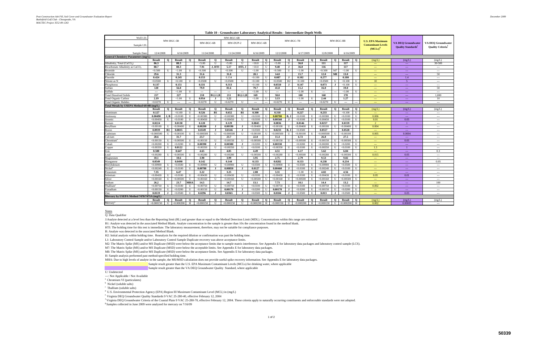| Well I.D                                                  |                          |              |                          |                          |                          |                | MW-BGC-6B                |                |                          |                          |                          |                |               |                |                          |                |                          |                          |                                                      |                                                                    |                                                      |
|-----------------------------------------------------------|--------------------------|--------------|--------------------------|--------------------------|--------------------------|----------------|--------------------------|----------------|--------------------------|--------------------------|--------------------------|----------------|---------------|----------------|--------------------------|----------------|--------------------------|--------------------------|------------------------------------------------------|--------------------------------------------------------------------|------------------------------------------------------|
| Sample I.D.                                               |                          |              | MW-BGC-5B                |                          | MW-BGC-6B                |                | MW-DUP-2                 |                | MW-BGC-6B                |                          |                          |                | MW-BGC-7B     |                |                          | MW-BGC-8B      |                          |                          | <b>U.S. EPA Maximum</b><br><b>Contaminant Levels</b> | <b>VA DEO Groundwater</b><br><b>Quality Standards</b> <sup>e</sup> | <b>VA DEO Groundwater</b><br><b>Quality Criteria</b> |
|                                                           | 12/4/2008                |              | 6/16/2009                |                          | 11/24/2008               |                | 11/24/2008               |                | 6/16/2009                |                          | 12/2/2008                |                | 6/17/2009     |                | 12/8/2008                |                | 6/16/2009                |                          | $(MCLs)$ <sup>d</sup>                                |                                                                    |                                                      |
| Sample Date<br><b>General Chemistry Parameters (mg/L)</b> |                          |              |                          |                          |                          |                |                          |                |                          |                          |                          |                |               |                |                          |                |                          |                          |                                                      |                                                                    |                                                      |
|                                                           | Result                   | $\mathbf{o}$ | <b>Result</b>            | $\mathbf{o}$             | <b>Result</b>            | $\mathbf{o}$   | <b>Result</b>            | $\mathbf{o}$   | <b>Result</b>            |                          | <b>Result</b>            | $\mathbf{o}$   | <b>Result</b> | $\mathbf{o}$   | <b>Result</b>            | $\mathbf Q$    | <b>Result</b>            | $\mathbf{o}$             | (mg/L)                                               | (mg/L)                                                             | (mg/L)                                               |
| Alkalinity, Total (CaCO <sub>3</sub> )                    | 86.3                     |              | 88.3                     |                          | < 5.00                   | U              | < 5.00                   | U              | < 10.0                   |                          | < 5.00                   | $\mathbf{U}$   | 36.0          |                | 111                      |                | 117                      |                          | $\sim$                                               | $\scriptstyle\cdots$                                               | 30-500                                               |
| Bicarbonate Alkalinity as CaCO-                           | 88.7                     |              | 88.3                     |                          | 7.91                     | J, HTI         | 5.17                     | HTI, J         | < 10.0                   |                          | 9.40                     |                | 36.0          |                | 116                      |                | 117                      |                          | $\overline{\phantom{a}}$                             | $\overline{a}$                                                     | $\overline{\phantom{a}}$                             |
| Bromide                                                   | < 0.500                  | H            | < 1.00                   | $\mathbf{U}$             | < 0.500                  |                | < 0.500                  | U              | < 1.00                   |                          | < 0.500                  | $\mathbf{U}$   | < 1.00        | U              | < 0.500                  | M <sub>7</sub> | < 1.00                   | U                        | $\sim$ $\sim$                                        | $---$                                                              | $---$                                                |
| Chloride                                                  | 29.6                     |              | 31.3                     |                          | 31.6                     |                | 31.8                     |                | 28.1                     |                          | 14.0                     |                | 15.7          |                | 12.0                     | $\mathbf{M}$ 8 | 13.0                     |                          | $\sim$ $\sim$                                        | $\overline{a}$                                                     | 50                                                   |
| Fluoride                                                  | 0.424                    |              | 0.245                    |                          | 0.153                    |                | 0.154                    |                | < 0.100                  | U                        | 0.087                    | $\mathbf{J}$   | 0.102         |                | 0.277                    |                | 0.180                    |                          | $\sim$ $\sim$                                        | 1.4                                                                | $\overline{a}$                                       |
| Nitrate as N                                              | < 0.0500                 | $\mathbf{I}$ | < 0.100                  | U                        | < 0.0500                 | U              | < 0.0500                 | U              | < 0.100                  | U                        | < 0.0500                 | H <sub>2</sub> | < 0.100       | U              | < 0.0500                 | U              | < 0.100                  | U                        | 10                                                   | -5                                                                 | $\hspace{0.05cm} \ldots$                             |
| Phosphorus                                                | 0.137                    |              | 0.151                    |                          | 0.331                    |                | 0.313                    |                | < 0.100                  | U                        | 0.0550                   | $\bf J$        | 0.147         |                | 0.073                    | J              | < 0.100                  | U                        | $-$                                                  | $\overline{a}$                                                     | $\overline{\phantom{a}}$                             |
| Sulfate                                                   | 120                      |              | 56.8                     |                          | 79.9                     |                | 81.6                     |                | 79.7                     |                          | 41.8                     |                | 11.2          |                | 16.0                     |                | 19.0                     |                          | $\sim$ $\sim$                                        | $\scriptstyle\cdots$                                               | 50                                                   |
| Sulfide                                                   | $\hspace{0.05cm} \ldots$ |              | < 1.00                   | U                        | $\overline{\phantom{a}}$ | $---$          | $\overline{\phantom{a}}$ | $\sim$         | < 1.00                   | $\mathbf{U}$             | $\hspace{0.05cm} \ldots$ | ---            | < 1.00        | U              | $\hspace{0.05cm} \ldots$ | ---            | < 1.00                   | U                        | $\sim$                                               | $\sim$                                                             | $\hspace{0.05cm} \ldots$                             |
| <b>Total Dissolved Solids</b>                             | 217                      |              | 227                      |                          | 218                      | <b>B1.L1.B</b> | 211                      | B1, L1, B      | 169                      |                          | 58.0                     |                | 108           |                | 168                      |                | 178                      |                          | $\sim$ $\sim$                                        | $\overline{a}$                                                     | 1.000                                                |
| <b>Total Organic Carbon</b>                               | 2.19                     |              | < 1.00                   | U                        | 0.954                    | J              | 1.22                     |                | < 1.00                   | U                        | 3.13                     |                | < 1.00        | U              | 2.44                     |                | 1.27                     |                          | $\sim$ $\sim$                                        | $\overline{a}$                                                     | 10                                                   |
| <b>Total Organic Halides</b>                              | < 0.0270                 | $\mathbf{U}$ | $\overline{\phantom{a}}$ | $\overline{\phantom{a}}$ | < 0.0270                 | U              | < 0.0270                 | U              | $\overline{\phantom{a}}$ | $\overline{\phantom{a}}$ | < 0.0270                 | U              | $\cdots$      | $\overline{a}$ | < 0.0270                 | U              | $\overline{\phantom{a}}$ | $\overline{\phantom{a}}$ | $-$                                                  | $---$                                                              | $\hspace{0.05cm} \ldots$                             |
| Total Metals by USEPA Method 6010B (mg/L)                 |                          |              |                          |                          |                          |                |                          |                |                          |                          |                          |                |               |                |                          |                |                          |                          |                                                      |                                                                    |                                                      |
|                                                           | Result                   | $\mathbf{o}$ | <b>Result</b>            | $\mathbf{o}$             | Result                   | $\mathbf{o}$   | <b>Result</b>            | $\mathbf{o}$   | Result                   | $\Omega$                 | <b>Result</b>            | $\mathbf{o}$   | <b>Result</b> | $\mathbf{o}$   | <b>Result</b>            | $\mathbf{o}$   | <b>Result</b>            | $\mathbf{o}$             | (mg/L)                                               | (mg/L)                                                             | (mg/L)                                               |
| Aluminum                                                  | 0.127                    |              | < 0.100                  | U                        | 0.526                    | B1             | 0.652                    | <b>B1</b>      | 0.300                    |                          | 0.318                    |                | 0.227         |                | 0.233                    |                | < 0.100                  | U                        | $-$                                                  | $---$                                                              | $\hspace{0.05cm} \ldots$                             |
| Antimony                                                  | 0.00490                  | J.B          | < 0.0100                 | U                        | < 0.00380                | U              | < 0.00380                | U              | < 0.0100                 |                          | 0.00700                  | B, J           | < 0.0100      | U              | < 0.00380                | U              | < 0.0100                 | U                        | 0.006                                                | $\mathbb{Z}_{\geq 0}$                                              | $\overline{a}$                                       |
| Arsenic                                                   | < 0.00450                | $_{\rm H}$   | < 0.0100                 | U                        | < 0.00450                | $\mathbf{U}$   | < 0.00450                | U              | < 0.0100                 | U                        | 0.00560                  | $\bf{J}$       | < 0.0100      | U              | < 0.00450                | U              | < 0.0100                 | U                        | 0.01                                                 | 0.05                                                               | $\overline{a}$                                       |
| Barium                                                    | 0.0224                   |              | 0.0130                   |                          | 0.128                    |                | 0.129                    |                | 0.0845                   |                          | 0.0836                   |                | 0.0146        |                | 0.0257                   |                | 0.0159                   |                          | $\mathcal{D}$                                        | $\overline{1}$                                                     | $\hspace{0.05cm} \ldots$                             |
| Beryllium                                                 | < 0.00100                | H            | < 0.00400                | U                        | 0.00200                  | . н            | 0.00190                  | - 1            | < 0.00400                |                          | < 0.00100                | U              | < 0.00400     | U              | < 0.00100                | U              | < 0.00400                | U                        | 0.004                                                | $\scriptstyle\cdots$                                               | $\overline{\phantom{a}}$                             |
| Boron                                                     | 0.0939                   | B1           | 0.0835                   |                          | 0.0149                   | $\bf{J}$       | 0.0146                   | $\mathbf{J}$   | < 0.0500                 | $\mathbf{I}$             | 0.0233                   | B.             | < 0.0500      |                | 0.0557                   |                | 0.0520                   |                          | $\sim$ $\sim$                                        | $\overline{a}$                                                     | $\overline{a}$                                       |
| Cadmium                                                   | < 0.000500               | $\mathbf{H}$ | < 0.00100                | U                        | < 0.000500               | $\mathbf{U}$   | < 0.000500               | $\mathbf U$    | < 0.00100                | $\mathbf{H}$             | < 0.000500               | $\mathbf{U}$   | < 0.00100     | U              | < 0.000500               | U              | < 0.00100                |                          | 0.005                                                | 0.0004                                                             | $\overline{\phantom{a}}$                             |
| Calcium                                                   | 28.6                     |              | 31.7                     |                          | 23.7                     |                | 23.7                     |                | 22.8                     |                          | 11.4                     |                | 6.72          |                | 26.8                     |                | 27.5                     |                          | $\mathbb{Z}_{\geq 0}$                                | $\overline{a}$                                                     | $\overline{a}$                                       |
| Chromium                                                  | < 0.00150                | $\mathbf{I}$ | < 0.00500                | $\mathbf{U}$             | < 0.00150                | $\mathbf{U}$   | < 0.00150                | $\mathbf{U}$   | < 0.00500                |                          | < 0.00150                | $\mathbf{U}$   | < 0.00500     | U              | < 0.00150                | U              | < 0.00500                | $\mathbf{U}$             | $\sim$ $\sim$                                        | 0.05                                                               | $\overline{a}$                                       |
| Cobalt                                                    | < 0.00200                |              | < 0.0200                 | $\mathbf{U}$             | 0.00390                  | $\bf{J}$       | 0.00380                  | $\bf{J}$       | < 0.0200                 |                          | 0.00330                  |                | < 0.0200      | U              | < 0.00200                | U              | < 0.0200                 | $\mathbf{U}$             | $\sim$                                               | $\sim$ $\sim$                                                      | $\overline{a}$                                       |
| Copper                                                    | < 0.00350                |              | 0.0122                   |                          | < 0.00350                | $\mathbf{H}$   | < 0.00350                | U              | < 0.0100                 |                          | < 0.00350                | $\mathbf{I}$   | < 0.0100      | U              | < 0.00350                | U              | < 0.0100                 | $\mathbf{U}$             | 1.3                                                  |                                                                    | $---$                                                |
| ron                                                       | 0.580                    |              | 0.647                    |                          | 4.65                     |                | 4.85                     |                | 4.49                     |                          | 4.51                     |                | 6.17          |                | 5.62                     |                | 6.84                     |                          | $\sim$ $\sim$                                        | $---$                                                              | 0.3                                                  |
| ead                                                       | < 0.00280                |              | < 0.00500                | $\mathbf{U}$             | < 0.00280                |                | < 0.00280                | U              | < 0.00500                |                          | < 0.00280                |                | < 0.00500     | $\mathbf{H}$   | < 0.00280                | U              | &0.00500                 | $\mathbf{I}$             | 0.015                                                | 0.05                                                               | $\hspace{0.05cm} \ldots \hspace{0.05cm}$             |
| Magnesium                                                 | 10.1                     |              | 10.6                     |                          | 3.98                     |                | 3.99                     |                | 3.95                     |                          | 2.75                     |                | 2.79          |                | 9.53                     |                | 9.82                     |                          | $\sim$ $\sim$                                        | $\scriptstyle\cdots$                                               | $\overline{a}$                                       |
| Manganese                                                 | 0.0549                   |              | 0.0490                   |                          | 0.142                    |                | 0.144                    |                | 0.133                    |                          | 0.0282                   |                | 0.153         |                | 0.238                    |                | 0.234                    |                          | $\sim$                                               | $\cdots$                                                           | 0.05                                                 |
| Molybdenum                                                | < 0.00900                |              | < 0.0500                 | U                        | < 0.00900                | $\mathbf{H}$   | < 0.00900                | U              | < 0.0500                 | U                        | < 0.00900                | U              | < 0.0500      | U              | < 0.00900                | U              | < 0.0500                 | U                        | $\sim$ $\sim$                                        | $\overline{a}$                                                     | $\overline{\phantom{a}}$                             |
| Nickel                                                    | < 0.00240                |              | < 0.0100                 | U                        | 0.00780                  | J              | 0.00850                  | $\blacksquare$ | 0.0127                   |                          | 0.00460                  |                | < 0.0100      | U              | < 0.00240                | U              | < 0.0100                 | U                        | $\sim$ $\sim$                                        | $\cdots$                                                           | $\sim$ $\sim$                                        |
| Potassium                                                 | 7.35                     |              | 6.47                     |                          | 3.22                     |                | 3.25                     |                | 2.88                     |                          | 3.31                     |                | < 1.00        | U              | 4.82                     |                | 4.56                     |                          | $\sim$ $\sim$                                        | $---$                                                              | $\hspace{0.05cm} \ldots$                             |
| Selenium                                                  | < 0.00430                | $\mathbf{I}$ | < 0.0100                 | U                        | < 0.00430                | U              | < 0.00430                | U              | < 0.0100                 |                          | < 0.00430                | U              | < 0.0100      | U              | < 0.00430                | U              | < 0.0100                 | U                        | 0.05                                                 | 0.01                                                               | $\overline{\phantom{a}}$                             |
| Silver                                                    | < 0.00160                | $\mathbf{I}$ | < 0.00500                | U                        | < 0.00160                | U              | < 0.00160                | U              | < 0.00500                | $\mathbf{U}$             | < 0.00160                | U              | < 0.00500     | U              | < 0.00160                | U              | < 0.00500                | U                        | $-$                                                  | $\scriptstyle\cdots$                                               | $\overline{\phantom{a}}$                             |
| Sodium                                                    | 26.2                     |              | 23.7                     | <b>MHA</b>               | 14.5                     |                | 14.7                     |                | 13.1                     |                          | 7.73                     |                | 10.1          |                | 14.4                     |                | 13.2                     |                          | $\sim$                                               | $\overline{a}$                                                     | 100                                                  |
| Thallium'                                                 | < 0.00750                | $\mathbf{I}$ | < 0.0100                 | U                        | < 0.00750                | U              | < 0.00750                | U              | < 0.0100                 | U                        | < 0.00750                | U              | < 0.0100      | U              | < 0.00750                | U              | < 0.0100                 | U                        | 0.002                                                | $\sim$                                                             | $\overline{a}$                                       |
| Vanadium                                                  | < 0.00150                | $\mathbf{I}$ | < 0.0200                 | U                        | < 0.00150                | U              | 0.00170                  | $\blacksquare$ | < 0.0200                 |                          | 0.00170                  | $\bf{J}$       | < 0.0200      | U              | < 0.00150                | U              | < 0.0200                 | U                        | $-$                                                  | $\sim$                                                             | $\overline{a}$                                       |
| Zinc                                                      | 0.0119                   |              | < 0.0500                 | U                        | 0.0296                   | $\bf{J}$       | 0.0365                   | $\blacksquare$ | < 0.0500                 | $\mathbf{U}$             | 0.0184                   | $\bf{J}$       | < 0.0500      | U              | 0.013                    | $\bf{J}$       | < 0.0500                 | U                        | $\sim$                                               | 0.05                                                               | $---$                                                |
| Mercury by USEPA Method 7470/7471A (mg/L)                 |                          |              |                          |                          |                          |                |                          |                |                          |                          |                          |                |               |                |                          |                |                          |                          |                                                      |                                                                    |                                                      |
|                                                           | Result                   | $\mathbf{o}$ | <b>Result</b>            | $\mathbf{o}$             | <b>Result</b>            | $\mathbf{o}$   | <b>Result</b>            | $\mathbf{o}$   | <b>Result</b>            | $\Omega$                 | <b>Result</b>            | $\mathbf{o}$   | <b>Result</b> | $\mathbf{o}$   | <b>Result</b>            | $\mathbf{o}$   | <b>Result</b>            | $\mathbf{o}$             | (mg/L)                                               | (mg/L)                                                             | (mg/L)                                               |
| Mercury                                                   | < 0.000150               | U            | < 0.000200               | H                        | < 0.000150               | U              | < 0.000150               | U              | < 0.000200               | H                        | < 0.000150               | $\mathbf{U}$   | < 0.000200    | H              | < 0.000150               | $\mathbf{U}$   | < 0.000200               | H                        | 0.002                                                | 0.00005                                                            | $\overline{a}$                                       |

Q: Data Qualifier

J:Analyte detected at a level less than the Reporting limit (RL) and greater than or equal to the Method Detection Limit (MDL). Concentrations within this range are estimated

B1: Analyte was detected in the associated Method Blank. Analyte concentration in the sample is greater than 10x the concentration found in the method blank.

HTI: The holding time for this test is immediate. The laboratory measurement, therefore, may not be suitable for compliance purposes.

B: Analyte was detected in the associated Method Blank.

H2: Initial analysis within holding time. Reanalysis for the required dilution or confirmation was past the holding time.

L1: Laboratory Control Sample and/or Laboratory Control Sample Duplicate recovery was above acceptance limits.

M2: The Matrix Spike (MS) and/or MS Duplicate (MSD) were below the acceptance limits due to sample matrix interference. See Appendix E for laboratory data packages and laboratory control sample (LCS).

M7: The Matrix Spike (MS) and/or MS Duplicate (MSD) were below the acceptable limits. See Appendix E for laboratory data packages.

M8: The Matrix Spike (MS) and/or MS Duplicate (MSD) were below the acceptance limits. See Appendix E for laboratory data packages.

H: Sample analysis performed past method-specified holding time.

MHA: Due to high levels of analyte in the sample, the MS/MSD calculation does not provide useful spike recovery information. See Appendix E for laboratory data packages.

Sample result greater than the U.S. EPA Maximum Contaminant Levels (MCLs) for drinking water, where applicable

Sample result greater than the VA DEQ Groundwater Quality Standard, where applicable

U: Undetected

---: Not Applicable / Not Available

<sup>a</sup> Chromium VI (particulates)

<sup>b</sup> Nickel (soluble salts)

 $\text{c}$  Thallium (soluble salts)

d U.S. Environmental Protection Agency (EPA) Region III Maximum Contaminant Level (MCL) in (mg/L)

e Virginia DEQ Groundwater Quality Standards 9 VAC 25-280-40, effective February 12, 2004

<sup>f</sup> Virginia DEQ Groundwater Criteria of the Coastal Plain 9 VAC 25-280-70, effective February 12, 2004. These criteria apply to naturally occurring constituents and enforceable standards were not adopted.

 $^\mathrm{g}$  Samples collected in June 2009 were analyzed for mercury on 7/16/09

#### **Table 10 - Groundwater Laboratory Analytical Results - Intermediate-Depth Wells**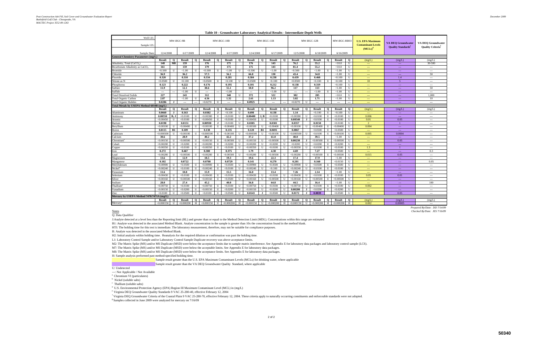f Virginia DEQ Groundwater Criteria of the Coastal Plain 9 VAC 25-280-70, effective February 12, 2004. These criteria apply to naturally occurring constituents and enforceable standards were not adopted. <sup>g</sup> Samples collected in June 2009 were analyzed for mercury on 7/16/09

| Well I.D<br>Sample I.D                      | MW-BGC-9B<br>12/4/2008<br>6/17/2009 |             |                          |              |                          | $MW-BGC-10B$ |               |                |                          | $MW-BGC-11B$ |                          |              |                          | MW-BGC-12B   |                          | MW-BGC-RB03    |               | <b>U.S. EPA Maximum</b><br><b>Contaminant Levels</b> | <b>VA DEO Groundwater</b><br><b>Quality Standards</b> <sup>e</sup> | <b>VA DEO Groundwater</b><br><b>Quality Criteria</b> |                          |
|---------------------------------------------|-------------------------------------|-------------|--------------------------|--------------|--------------------------|--------------|---------------|----------------|--------------------------|--------------|--------------------------|--------------|--------------------------|--------------|--------------------------|----------------|---------------|------------------------------------------------------|--------------------------------------------------------------------|------------------------------------------------------|--------------------------|
|                                             |                                     |             |                          |              |                          |              |               |                |                          |              |                          |              |                          |              |                          |                |               |                                                      | $(MCLs)$ <sup>c</sup>                                              |                                                      |                          |
| Sample Dat                                  |                                     |             |                          |              | 12/4/2008                |              | 6/17/2009     |                | 12/4/2008                |              | 6/17/2009                |              | 12/5/2008                |              | 6/18/2009                |                | 6/16/2009     |                                                      |                                                                    |                                                      |                          |
| <b>General Chemistry Parameters (mg/L)</b>  | Result                              | $\mathbf Q$ | <b>Result</b>            | $\mathbf{o}$ | <b>Result</b>            | $\mathbf{o}$ | <b>Result</b> | $\mathbf{o}$   | <b>Result</b>            | $\mathbf{o}$ | <b>Result</b>            | $\Omega$     | <b>Result</b>            | $\mathbf{o}$ | <b>Result</b>            | $\mathbf{o}$   | <b>Result</b> | $\mathbf 0$                                          |                                                                    |                                                      | (mg/L)                   |
| Alkalinity, Total (CaCO <sub>3</sub> )      | 148                                 | M8          | 159                      |              | 176                      |              | 175           |                | 176                      |              | 143                      |              | 76.2                     |              | 55.2                     |                | < 10.0        | U                                                    | (mg/L)<br>$-$                                                      | (mg/L)<br>$\sim$ $\sim$                              | 30-500                   |
| Bicarbonate Alkalinity as CaCO <sub>3</sub> | 161                                 |             | 159                      |              | 179                      |              | 175           |                | 175                      |              | 143                      |              | 81.4                     |              | 55.2                     |                | < 10.0        | U                                                    | $1 - 1$                                                            | $\sim$ $\sim$ $\sim$                                 | $\overline{a}$           |
| <b>Bromide</b>                              | < 0.500                             | U           | < 1.00                   | U            | < 0.500                  | U            | < 1.00        | U              | < 0.500                  | U            | < 1.00                   | U            | < 0.500                  | U            | < 1.00                   | U              | < 1.00        | U                                                    | $---$                                                              | $\sim$ $\sim$                                        | $\cdots$                 |
| Chloride                                    | 36.9                                |             | 36.2                     |              | 57.5                     |              | 56.1          |                | 66.8                     |              | 130                      |              | 43.4                     |              | 34.8                     |                | < 1.00        | U                                                    | $\overline{\phantom{m}}$                                           | $\sim$ $\sim$                                        | 50                       |
| Fluoride                                    | 0.320                               |             | 0.310                    |              | 0.334                    |              | 0.281         |                | 0.384                    |              | 0.238                    |              | 0.439                    |              | 0.460                    |                | < 0.100       | U                                                    | $---$                                                              | 1.4                                                  | $\overline{a}$           |
| Nitrate as N                                | < 0.0500                            | U           | < 0.100                  | U            | < 0.0500                 | U            | < 0.100       | U              | < 0.0500                 | U            | < 0.100                  | U            | < 0.0500                 | U            | < 0.100                  | U              | < 0.100       | U                                                    | 10                                                                 | 5 <sup>5</sup>                                       | $---$                    |
| Phosphorus                                  | 0.123                               |             | 0.222                    |              | 0.176                    |              | 0.195         |                | 0.101                    |              | 0.212                    |              | 0.138                    |              | 0.319                    |                | < 0.100       | U                                                    | $---$                                                              | $\sim$ $\sim$                                        | $---$                    |
| Sulfate                                     | 11.9                                |             | 12.1                     |              | 38.6                     |              | 55.1          |                | 50.0                     |              | 96.2                     |              | 117                      |              | 113                      |                | < 1.00        | U                                                    | $1 - 1$                                                            | $\sim$ $\sim$                                        | 50                       |
| Sulfide                                     | $\overline{\phantom{a}}$            | ---         | < 1.00                   | U            | $\hspace{0.05cm} \ldots$ |              | < 1.00        |                | $\overline{\phantom{a}}$ |              | < 1.00                   | H            | $\overline{\phantom{a}}$ | ---          | < 1.00                   | U              | < 1.00        | U                                                    | $\frac{1}{2}$                                                      | $- - -$                                              | $\overline{\phantom{a}}$ |
| <b>Total Dissolved Solids</b>               | 227                                 |             | 243                      |              | 312                      |              | 348           | U              | 372                      |              | 522                      |              | 382                      |              | 285                      |                | < 10.0        | U                                                    | $---$                                                              | $\sim$ $\sim$                                        | 1,000                    |
| <b>Total Organic Carbon</b>                 | 2.87                                |             | < 1.00                   | U            | 4.56                     |              | 1.32          |                | 2.61                     |              | 1.13                     |              | 3.02                     |              | 1.71                     |                | < 1.00        | U                                                    | $---$                                                              | $\sim$ $\sim$                                        | 10                       |
| <b>Total Organic Halides</b>                | 0.0286                              | J           | $\overline{\phantom{a}}$ |              | < 0.0270                 | U            | $---$         | $\overline{a}$ | 0.0925                   |              | $\overline{\phantom{a}}$ |              | < 0.0270                 | U            | $\hspace{0.05cm} \ldots$ | $\overline{a}$ | $\cdots$      | ---                                                  | $\overline{\phantom{a}}$                                           | $\rightarrow$ $\rightarrow$                          | ---                      |
| Total Metals by USEPA Method 6010B (mg/L)   |                                     |             |                          |              |                          |              |               |                |                          |              |                          |              |                          |              |                          |                |               |                                                      |                                                                    |                                                      |                          |
|                                             | Result                              | $\mathbf Q$ | Result                   | $\mathbf{o}$ | <b>Result</b>            | $\mathbf{o}$ | <b>Result</b> | $\mathbf Q$    | <b>Result</b>            | $\mathbf Q$  | <b>Result</b>            | $\mathbf{o}$ | <b>Result</b>            | $\mathbf{o}$ | Result                   | $\mathbf Q$    | Result        | $\mathbf{o}$                                         | (mg/L)                                                             | (mg/L)                                               | (mg/L)                   |
| Aluminum                                    | 0.0660                              | $\bf J$     | 0.163                    |              | 0.0382                   | $\bf{J}$     | < 0.100       | U              | 0.698                    |              | 0.138                    |              | 1.14                     |              | < 0.100                  | $\mathbf U$    | < 0.100       | $\mathbf{U}$                                         | $\sim$ $\sim$                                                      | $\sim$                                               | $\overline{a}$           |
| Antimony                                    | 0.00550                             | B, J        | < 0.0100                 | U            | < 0.00380                | ${\bf U}$    | < 0.0100      | U              | 0.00400                  | J, B         | < 0.0100                 |              | < 0.00380                | U            | < 0.0100                 | $\mathbf U$    | < 0.0100      | U                                                    | 0.006                                                              | $\sim$ $\sim$                                        | $---$                    |
| Arsenic                                     | < 0.00450                           | U           | < 0.0100                 | U            | < 0.00450                | U            | < 0.0100      | U              | < 0.00450                |              | < 0.0100                 |              | 0.00540                  |              | < 0.0100                 | U              | < 0.0100      | U                                                    | 0.01                                                               | 0.05                                                 | $---$                    |
| Barium                                      | 0.0198                              |             | 0.0151                   |              | 0.00930                  |              | < 0.0100      | U              | 0.0385                   |              | 0.0301                   |              | 0.0357                   |              | 0.0150                   |                | < 0.0100      | $\mathbf{U}$                                         | $\mathcal{D}$                                                      |                                                      | $---$                    |
| Bervllium                                   | < 0.00100                           | U           | < 0.00400                | U            | < 0.00100                | U            | < 0.00400     | U              | < 0.00100                |              | < 0.00400                |              | < 0.00100                | $\mathbf{H}$ | < 0.00400                | U              | < 0.00400     | $\mathbf{I}$                                         | 0.004                                                              | $\sim$ $\sim$                                        | $\cdots$                 |
| Boron                                       | 0.0115                              | B1          | 0.109                    |              | 0.138                    |              | 0.135         |                | 0.120                    | B1           | 0.0691                   |              | 0.0867                   |              | < 0.0500                 | $\mathbf{U}$   | < 0.0500      | U                                                    | $-$                                                                | $\sim$ $\sim$                                        | $---$                    |
| Cadmium                                     | < 0.000500                          | U           | < 0.00100                | U            | < 0.000500               | U            | < 0.00100     | U              | < 0.000500               | U            | < 0.00100                | $\mathbf{I}$ | < 0.000500               | U            | < 0.0100                 | U              | < 0.00100     | U                                                    | 0.005                                                              | 0.0004                                               | $\cdots$                 |
| Calcium                                     | 30.6                                |             | 28.9                     |              | 40.2                     |              | 42.2          |                | 37.2                     |              | 61.0                     |              | 48.0                     |              | 39.5                     |                | ${<}1.00$     | $\mathbf{U}$                                         | $\sim$                                                             | $\rightarrow$ $\rightarrow$                          | $---$                    |
| .<br>2hromium                               | < 0.00150                           | U           | < 0.00500                | $\mathbf{U}$ | < 0.00150                | $\mathbf{U}$ | < 0.00500     | U              | < 0.00150                | U            | < 0.00500                | $\mathbf{U}$ | 0.00230                  | $\bf{J}$     | < 0.00500                | $\mathbf U$    | < 0.00500     | $\mathbf{U}$                                         | $\overline{a}$                                                     | 0.05                                                 | $---$                    |
| Cobalt                                      | < 0.00200                           | U           | < 0.0200                 | $\mathbf{U}$ | < 0.00200                | $\mathbf{U}$ | < 0.0200      | $\mathbf{U}$   | < 0.00200                | $\mathbf{U}$ | < 0.0200                 | $\mathbf{U}$ | &0.0200                  | $\mathbf{U}$ | < 0.0200                 | $\mathbf{U}$   | < 0.0200      | $\mathbf{U}$                                         | $---$                                                              | $\sim$ $\sim$                                        | $\overline{a}$           |
| Copper                                      | < 0.00350                           | U           | < 0.0100                 | $\mathbf{U}$ | < 0.00350                | U            | < 0.0100      | U              | < 0.00350                | $\mathbf{U}$ | < 0.0100                 | $\mathbf{U}$ | < 0.00350                | U            | < 0.0100                 | $\mathbf{U}$   | < 0.0100      | $\mathbf{U}$                                         | 1.3                                                                | $\overline{1}$                                       | $---$                    |
| Iron                                        | 0.272                               |             | 0.467                    |              | 0.380                    |              | 0.375         |                | 1.79                     |              | 4.30                     |              | 4.69                     |              | 7.27                     |                | < 0.0500      | $\mathbf{U}$                                         | $\sim$                                                             | $\sim$ $\sim$                                        | 0.3                      |
| ead                                         | < 0.00280                           | U           | < 0.00500                | U            | < 0.00280                | U            | < 0.00500     | U              | < 0.00280                | U            | < 0.00500                | $\mathbf{U}$ | < 0.00280                | U            | < 0.00500                | $\mathbf U$    | < 0.00500     | $\mathbf{U}$                                         | 0.015                                                              | 0.05                                                 | $---$                    |
| Magnesium                                   | 13.6                                |             | 12.9                     |              | 18.5                     |              | 19.3          |                | 19.6                     |              | 22.3                     |              | 17.4                     |              | 17.9                     |                | < 1.00        | $\mathbf{U}$                                         | $\sim$ $\sim$                                                      | $\rightarrow$ $\rightarrow$                          | $\cdots$                 |
| Manganese                                   | 0.102                               |             | 0.0722                   |              | 0.0708                   |              | 0.0729        |                | 0.141                    |              | 0.270                    |              | 0.201                    |              | 0.160                    |                | < 0.0150      | U                                                    | $\overline{\phantom{a}}$                                           | $\rightarrow$ $\rightarrow$                          | 0.05                     |
| Molvbdenum                                  | < 0.00900                           | U           | <0.0500                  | U            | < 0.00900                | U            | < 0.0500      | U              | < 0.00900                | $\mathbf{U}$ | < 0.0500                 | $\mathbf{U}$ | < 0.00900                | U            | < 0.0500                 | $\mathbf U$    | < 0.0500      | $\mathbf{U}$                                         | ---                                                                | $\sim$ $\sim$                                        | $\overline{a}$           |
| Nickel                                      | < 0.00240                           | U           | < 0.0100                 | U            | < 0.00240                | U            | < 0.0100      | U              | < 0.00240                | U            | < 0.100                  | U            | < 0.00240                | U            | < 0.0100                 | U              | < 0.0100      | U                                                    | $---$                                                              | $\sim$ $\sim$                                        | $---$                    |
| Potassium                                   | 11.6                                |             | 10.8                     |              | 15.9                     |              | 15.5          |                | 16.0                     |              | 13.4                     |              | 7.26                     |              | 2.14                     |                | ${<}1.00$     | U                                                    | $\overline{\phantom{a}}$                                           | $\rightarrow$ $\rightarrow$                          | $\overline{\phantom{a}}$ |
| Selenium                                    | < 0.00430                           | U           | < 0.0100                 | U            | < 0.00430                | U            | < 0.0100      | U              | < 0.00430                | $_{\rm II}$  | < 0.0100                 | H            | < 0.00430                | U            | < 0.0100                 | U              | < 0.0100      | $\mathbf{U}$                                         | 0.05                                                               | 0.01                                                 | $\overline{a}$           |
| Silver                                      | < 0.00160                           | U           | < 0.00500                | U            | < 0.00160                | U            | < 0.0500      | U              | < 0.00160                | H            | < 0.00500                |              | < 0.00160                | U            | < 0.00500                | U              | < 0.00500     | U                                                    | $\overline{a}$                                                     | $\rightarrow$ $\rightarrow$                          | $\overline{a}$           |
| Sodium                                      | 28.0                                |             | 27.4                     |              | 45.2                     |              | 40.0          |                | 56.8                     |              | 64.8                     |              | 44.5                     |              | 16.4                     |                | <1.00         | $\mathbf{U}$                                         | $---$                                                              | $\sim$ $\sim$                                        | 100                      |
| Thallium                                    | < 0.00750                           | U           | < 0.0100                 | $\mathbf{H}$ | < 0.00750                | $\mathbf{U}$ | < 0.0100      | $\mathbf{U}$   | < 0.00750                |              | < 0.0100                 |              | < 0.00750                | $\mathbf{U}$ | < 0.0100                 | U              | < 0.0100      | U                                                    | 0.002                                                              | $\sim$ $\sim$                                        | $\overline{a}$           |
| Vanadium                                    | < 0.00150                           | U           | < 0.0200                 | U            | < 0.00150                | U            | < 0.0200      | $\mathbf{U}$   | < 0.00150                | U            | < 0.0200                 |              | 0.00200                  | л.           | < 0.0200                 | U              | < 0.0200      | U                                                    | $1 - 1$                                                            | $\sim$ $\sim$                                        | $---$                    |
| Zinc                                        | < 0.0100                            | U           | < 0.0500                 | U            | < 0.0100                 | U            | < 0.0500      | U              | 0.0143                   | $\bf{J}$     | < 0.0500                 | U            | 0.0172                   | $\bf{J}$     | 0.0839                   |                | < 0.0500      | U                                                    | $-$                                                                | 0.05                                                 | $---$                    |
| Mercury by USEPA Method 7470/7471A (mg/L)   |                                     |             |                          |              |                          |              |               |                |                          |              |                          |              |                          |              |                          |                |               |                                                      |                                                                    |                                                      |                          |
|                                             | Result                              | $\mathbf Q$ | Result                   | $\mathbf{o}$ | Result                   | $\mathbf{o}$ | <b>Result</b> | $\mathbf{o}$   | Result                   | $\mathbf{o}$ | Result                   | $\mathbf{o}$ | <b>Result</b>            | $\mathbf{o}$ | Result                   | $\mathbf{o}$   | <b>Result</b> | 0                                                    | (mg/L)                                                             | (mg/L)                                               | (mg/L)                   |
| Mercury <sup>8</sup>                        | < 0.000150                          | U           | < 0.000200               | H            | < 0.000150               | U            | < 0.000200    | Н              | < 0.000150               | U            | < 0.000200               | H            | < 0.000150               | U            | < 0.000200               | H              | < 0.000200    | H                                                    | 0.002                                                              | 0.00005                                              | $\overline{\phantom{a}}$ |

Notes

*Prepared By/Date: DD 7/14/09 Checked By/Date: JES 7/16/09*

Q: Data Qualifier

J:Analyte detected at a level less than the Reporting limit (RL) and greater than or equal to the Method Detection Limit (MDL). Concentrations within this range are estimated

B1: Analyte was detected in the associated Method Blank. Analyte concentration in the sample is greater than 10x the concentration found in the method blank.

HTI: The holding time for this test is immediate. The laboratory measurement, therefore, may not be suitable for compliance purposes.

B: Analyte was detected in the associated Method Blank.

H2: Initial analysis within holding time. Reanalysis for the required dilution or confirmation was past the holding time.

L1: Laboratory Control Sample and/or Laboratory Control Sample Duplicate recovery was above acceptance limits.

M2: The Matrix Spike (MS) and/or MS Duplicate (MSD) were below the acceptance limits due to sample matrix interference. See Appendix E for laboratory data packages and laboratory control sample (LCS).

M7: The Matrix Spike (MS) and/or MS Duplicate (MSD) were below the acceptable limits. See Appendix E for laboratory data packages.

M8: The Matrix Spike (MS) and/or MS Duplicate (MSD) were below the acceptance limits. See Appendix E for laboratory data packages.

H: Sample analysis performed past method-specified holding time.

Sample result greater than the U.S. EPA Maximum Contaminant Levels (MCLs) for drinking water, where applicable

Sample result greater than the VA DEQ Groundwater Quality Standard, where applicable

### U: Undetected

---: Not Applicable / Not Available

 $\text{c}$  Thallium (soluble salts)

d U.S. Environmental Protection Agency (EPA) Region III Maximum Contaminant Level (MCL) in (mg/L)

e Virginia DEQ Groundwater Quality Standards 9 VAC 25-280-40, effective February 12, 2004

#### **Table 10 - Groundwater Laboratory Analytical Results - Intermediate-Depth Wells**

<sup>&</sup>lt;sup>a</sup> Chromium VI (particulates)

<sup>&</sup>lt;sup>b</sup> Nickel (soluble salts)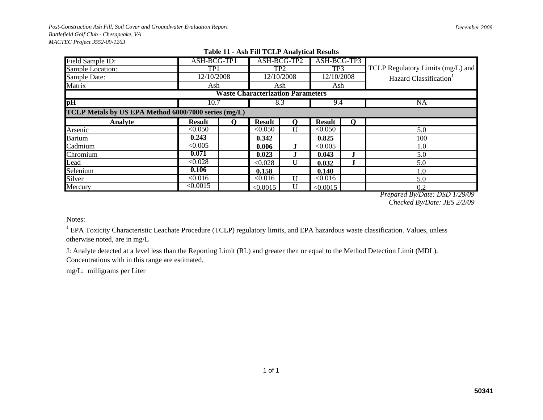| Field Sample ID:                                     | ASH-BCG-TP1   |    | ASH-BCG-TP2                              |                   | ASH-BCG-TP3   |   |                                   |
|------------------------------------------------------|---------------|----|------------------------------------------|-------------------|---------------|---|-----------------------------------|
| Sample Location:                                     | TP1           |    | TP <sub>2</sub>                          |                   | TP3           |   | TCLP Regulatory Limits (mg/L) and |
| Sample Date:                                         | 12/10/2008    |    | 12/10/2008                               |                   | 12/10/2008    |   | Hazard Classification             |
| Matrix                                               | Ash           |    | Ash                                      |                   | Ash           |   |                                   |
|                                                      |               |    | <b>Waste Characterization Parameters</b> |                   |               |   |                                   |
| $\overline{pH}$                                      | 10.7          |    | 8.3                                      |                   | 9.4           |   | <b>NA</b>                         |
| TCLP Metals by US EPA Method 6000/7000 series (mg/L) |               |    |                                          |                   |               |   |                                   |
| Analyte                                              | <b>Result</b> | O) | <b>Result</b>                            | $\mathbf{\Omega}$ | <b>Result</b> | O |                                   |
| Arsenic                                              | < 0.050       |    | < 0.050                                  | U                 | < 0.050       |   | 5.0                               |
| <b>Barium</b>                                        | 0.243         |    | 0.342                                    |                   | 0.825         |   | 100                               |
| Cadmium                                              | < 0.005       |    | 0.006                                    |                   | < 0.005       |   | 1.0                               |
| Chromium                                             | 0.071         |    | 0.023                                    |                   | 0.043         |   | 5.0                               |
| Lead                                                 | < 0.028       |    | < 0.028                                  | U                 | 0.032         |   | 5.0                               |
| Selenium                                             | 0.106         |    | 0.158                                    |                   | 0.140         |   | 1.0                               |
| Silver                                               | < 0.016       |    | < 0.016                                  | $\mathbf{I}$      | < 0.016       |   | 5.0                               |
| Mercury                                              | $\leq 0.0015$ |    | < 0.0015                                 | U                 | < 0.0015      |   | 0.2                               |

## **Table 11 - Ash Fill TCLP Analytical Results**

*Prepared By/Date: DSD 1/29/09 Checked By/Date: JES 2/2/09*

## Notes:

 $1$  EPA Toxicity Characteristic Leachate Procedure (TCLP) regulatory limits, and EPA hazardous waste classification. Values, unless otherwise noted, are in mg/L

J: Analyte detected at a level less than the Reporting Limit (RL) and greater then or equal to the Method Detection Limit (MDL). Concentrations with in this range are estimated.

mg/L: milligrams per Liter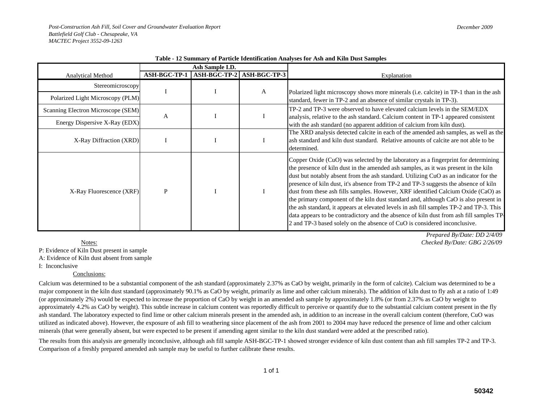|                                    |                     | Ash Sample I.D. |                           |                                                                                                                                                                                                                                                                                                                                                                                                                                                                                                                                                                                                                                                                                                                                                                                                          |
|------------------------------------|---------------------|-----------------|---------------------------|----------------------------------------------------------------------------------------------------------------------------------------------------------------------------------------------------------------------------------------------------------------------------------------------------------------------------------------------------------------------------------------------------------------------------------------------------------------------------------------------------------------------------------------------------------------------------------------------------------------------------------------------------------------------------------------------------------------------------------------------------------------------------------------------------------|
| <b>Analytical Method</b>           | <b>ASH-BGC-TP-1</b> |                 | ASH-BGC-TP-2 ASH-BGC-TP-3 | Explanation                                                                                                                                                                                                                                                                                                                                                                                                                                                                                                                                                                                                                                                                                                                                                                                              |
| Stereomicroscopy                   |                     |                 |                           |                                                                                                                                                                                                                                                                                                                                                                                                                                                                                                                                                                                                                                                                                                                                                                                                          |
| Polarized Light Microscopy (PLM)   |                     |                 | A                         | Polarized light microscopy shows more minerals (i.e. calcite) in TP-1 than in the ash<br>standard, fewer in TP-2 and an absence of similar crystals in TP-3).                                                                                                                                                                                                                                                                                                                                                                                                                                                                                                                                                                                                                                            |
| Scanning Electron Microscope (SEM) | A                   |                 |                           | TP-2 and TP-3 were observed to have elevated calcium levels in the SEM/EDX                                                                                                                                                                                                                                                                                                                                                                                                                                                                                                                                                                                                                                                                                                                               |
| Energy Dispersive X-Ray (EDX)      |                     |                 |                           | analysis, relative to the ash standard. Calcium content in TP-1 appeared consistent<br>with the ash standard (no apparent addition of calcium from kiln dust).                                                                                                                                                                                                                                                                                                                                                                                                                                                                                                                                                                                                                                           |
| X-Ray Diffraction (XRD)            |                     |                 |                           | The XRD analysis detected calcite in each of the amended ash samples, as well as the<br>ash standard and kiln dust standard. Relative amounts of calcite are not able to be<br>determined.                                                                                                                                                                                                                                                                                                                                                                                                                                                                                                                                                                                                               |
| X-Ray Fluorescence (XRF)           | P                   |                 |                           | Copper Oxide (CuO) was selected by the laboratory as a fingerprint for determining<br>the presence of kiln dust in the amended ash samples, as it was present in the kiln<br>dust but notably absent from the ash standard. Utilizing CuO as an indicator for the<br>presence of kiln dust, it's absence from TP-2 and TP-3 suggests the absence of kiln<br>dust from these ash fills samples. However, XRF identified Calcium Oxide (CaO) as<br>the primary component of the kiln dust standard and, although CaO is also present in<br>the ash standard, it appears at elevated levels in ash fill samples TP-2 and TP-3. This<br>data appears to be contradictory and the absence of kiln dust from ash fill samples TP-<br>2 and TP-3 based solely on the absence of CuO is considered inconclusive. |

**Table - 12 Summary of Particle Identification Analyses for Ash and Kiln Dust Samples** 

P: Evidence of Kiln Dust present in sample

A: Evidence of Kiln dust absent from sample

I: Inconclusive

## Conclusions:

Calcium was determined to be a substantial component of the ash standard (approximately 2.37% as CaO by weight, primarily in the form of calcite). Calcium was determined to be a major component in the kiln dust standard (approximately 90.1% as CaO by weight, primarily as lime and other calcium minerals). The addition of kiln dust to fly ash at a ratio of 1:49 (or approximately 2%) would be expected to increase the proportion of CaO by weight in an amended ash sample by approximately 1.8% (or from 2.37% as CaO by weight to approximately 4.2% as CaO by weight). This subtle increase in calcium content was reportedly difficult to perceive or quantify due to the substantial calcium content present in the fly ash standard. The laboratory expected to find lime or other calcium minerals present in the amended ash, in addition to an increase in the overall calcium content (therefore, CuO was utilized as indicated above). However, the exposure of ash fill to weathering since placement of the ash from 2001 to 2004 may have reduced the presence of lime and other calcium minerals (that were generally absent, but were expected to be present if amending agent similar to the kiln dust standard were added at the prescribed ratio).

The results from this analysis are generally inconclusive, although ash fill sample ASH-BGC-TP-1 showed stronger evidence of kiln dust content than ash fill samples TP-2 and TP-3. Comparison of a freshly prepared amended ash sample may be useful to further calibrate these results.

*Prepared By/Date: DD 2/4/09 Checked By/Date: GBG 2/26/09*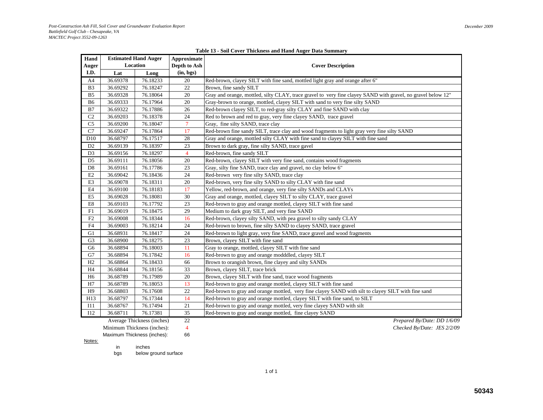|  | Table 13 - Soil Cover Thickness and Hand Auger Data Summary |  |  |
|--|-------------------------------------------------------------|--|--|
|  |                                                             |  |  |

| Hand                      | <b>Estimated Hand Auger</b> |          | Approximate    |                                                                                                              |
|---------------------------|-----------------------------|----------|----------------|--------------------------------------------------------------------------------------------------------------|
| <b>Auger</b>              | Location                    |          | Depth to Ash   | <b>Cover Description</b>                                                                                     |
| I.D.                      | Lat                         | Long     | (in, bgs)      |                                                                                                              |
| A4                        | 36.69378                    | 76.18233 | 20             | Red-brown, clayey SILT with fine sand, mottled light gray and orange after 6"                                |
| B <sub>3</sub>            | 36.69292                    | 76.18247 | 22             | Brown, fine sandy SILT                                                                                       |
| B <sub>5</sub>            | 36.69328                    | 76.18064 | 20             | Gray and orange, mottled, silty CLAY, trace gravel to very fine clayey SAND with gravel, no gravel below 12" |
| B <sub>6</sub>            | 36.69333                    | 76.17964 | 20             | Gray-brown to orange, mottled, clayey SILT with sand to very fine silty SAND                                 |
| $\mathbf{B}7$             | 36.69322                    | 76.17886 | 26             | Red-brown clayey SILT, to red-gray silty CLAY and fine SAND with clay                                        |
| C2                        | 36.69203                    | 76.18378 | 24             | Red to brown and red to gray, very fine clayey SAND, trace gravel                                            |
| C <sub>5</sub>            | 36.69200                    | 76.18047 | $\overline{7}$ | Gray, fine silty SAND, trace clay                                                                            |
| $\mathbf{C}7$             | 36.69247                    | 76.17864 | 17             | Red-brown fine sandy SILT, trace clay and wood fragments to light gray very fine silty SAND                  |
| D10                       | 36.68797                    | 76.17517 | 28             | Gray and orange, mottled silty CLAY with fine sand to clayey SILT with fine sand                             |
| D2                        | 36.69139                    | 76.18397 | 23             | Brown to dark gray, fine silty SAND, trace gavel                                                             |
| D <sub>3</sub>            | 36.69156                    | 76.18297 | $\overline{4}$ | Red-brown, fine sandy SILT                                                                                   |
| D <sub>5</sub>            | 36.69111                    | 76.18056 | 20             | Red-brown, clayey SILT with very fine sand, contains wood fragments                                          |
| D <sub>8</sub>            | 36.69161                    | 76.17786 | 23             | Gray, silty fine SAND, trace clay and gravel, no clay below 6"                                               |
| E2                        | 36.69042                    | 76.18436 | 24             | Red-brown very fine silty SAND, trace clay                                                                   |
| E3                        | 36.69078                    | 76.18311 | 20             | Red-brown, very fine silty SAND to silty CLAY with fine sand                                                 |
| $\rm E4$                  | 36.69100                    | 76.18183 | 17             | Yellow, red-brown, and orange, very fine silty SANDs and CLAYs                                               |
| ${\rm E}5$                | 36.69028                    | 76.18081 | 30             | Gray and orange, mottled, clayey SILT to silty CLAY, trace gravel                                            |
| $\mathop{\hbox{\rm E}} 8$ | 36.69103                    | 76.17792 | 23             | Red-brown to gray and orange mottled, clayey SILT with fine sand                                             |
| F1                        | 36.69019                    | 76.18475 | 29             | Medium to dark gray SILT, and very fine SAND                                                                 |
| F2                        | 36.69008                    | 76.18344 | 16             | Red-brown, clayey silty SAND, with pea gravel to silty sandy CLAY                                            |
| F4                        | 36.69003                    | 76.18214 | 24             | Red-brown to brown, fine silty SAND to clayey SAND, trace gravel                                             |
| G1                        | 36.68931                    | 76.18417 | 24             | Red-brown to light gray, very fine SAND, trace gravel and wood fragments                                     |
| G <sub>3</sub>            | 36.68900                    | 76.18275 | $23\,$         | Brown, clayey SILT with fine sand                                                                            |
| G <sub>6</sub>            | 36.68894                    | 76.18003 | 11             | Gray to orange, mottled, clayey SILT with fine sand                                                          |
| G7                        | 36.68894                    | 76.17842 | 16             | Red-brown to gray and orange modddled, clayey SILT                                                           |
| H2                        | 36.68864                    | 76.18433 | 66             | Brown to orangish brown, fine clayey and silty SANDs                                                         |
| H <sub>4</sub>            | 36.68844                    | 76.18156 | 33             | Brown, clayey SILT, trace brick                                                                              |
| H <sub>6</sub>            | 36.68789                    | 76.17989 | 20             | Brown, clayey SILT with fine sand, trace wood fragments                                                      |
| H7                        | 36.68789                    | 76.18053 | 13             | Red-brown to gray and orange mottled, clayey SILT with fine sand                                             |
| H <sub>9</sub>            | 36.68803                    | 76.17608 | 22             | Red-brown to gray and orange mottled, very fine clayey SAND with silt to clayey SILT with fine sand          |
| H13                       | 36.68797                    | 76.17344 | 14             | Red-brown to gray and orange mottled, clayey SILT with fine sand, to SILT                                    |
| I11                       | 36.68767                    | 76.17494 | 21             | Red-brown to gray and orange mottled, very fine clayey SAND with silt                                        |
| I12                       | 36.68711                    | 76.17381 | 35             | Red-brown to gray and orange mottled, fine clayey SAND                                                       |

Average Thickness (inches) 22 *Prepared By/Date: DD 1/6/09*

Minimum Thickness (inches): 4 *Checked By/Date: JES 2/2/09*

Maximum Thickness (inches): 66

<u>Notes:</u>

in inches

bgs below ground surface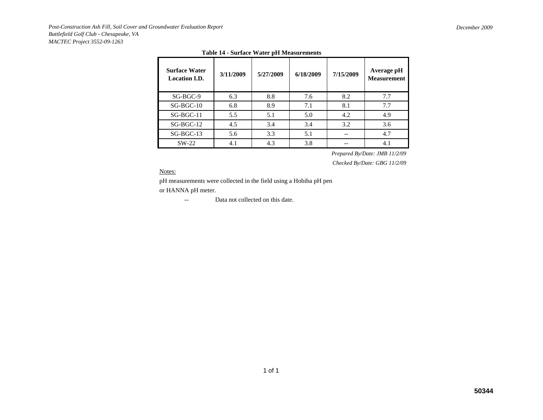| <b>Surface Water</b><br><b>Location I.D.</b> | 3/11/2009 | 5/27/2009 | 6/18/2009 | 7/15/2009 | Average pH<br><b>Measurement</b> |
|----------------------------------------------|-----------|-----------|-----------|-----------|----------------------------------|
| SG-BGC-9                                     | 6.3       | 8.8       | 7.6       | 8.2       | 7.7                              |
| $SG-BGC-10$                                  | 6.8       | 8.9       | 7.1       | 8.1       | 7.7                              |
| $SG-BGC-11$                                  | 5.5       | 5.1       | 5.0       | 4.2       | 4.9                              |
| $SG-BGC-12$                                  | 4.5       | 3.4       | 3.4       | 3.2       | 3.6                              |
| $SG-BGC-13$                                  | 5.6       | 3.3       | 5.1       |           | 4.7                              |
| $SW-22$                                      | 4.1       | 4.3       | 3.8       |           | 4.1                              |

## **Table 14 - Surface Water pH Measurements**

*Prepared By/Date: JMB 11/2/09*

*Checked By/Date: GBG 11/2/09*

Notes:

pH measurements were collected in the field using a Hobiba pH pen or HANNA pH meter.

> --Data not collected on this date.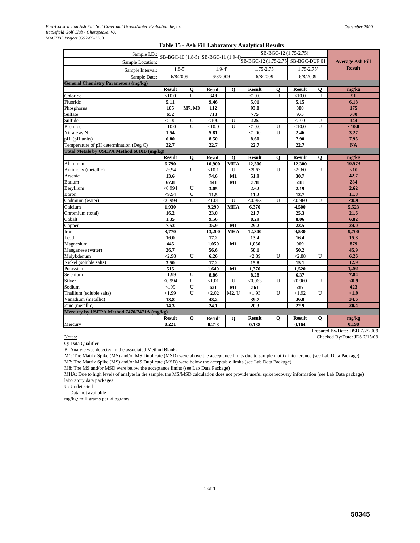|                                             |               |                |               |              | Table 15 - Ash Fill Laboratory Analytical Results                       |          |                       |              |                         |
|---------------------------------------------|---------------|----------------|---------------|--------------|-------------------------------------------------------------------------|----------|-----------------------|--------------|-------------------------|
| Sample I.D.                                 |               |                |               |              |                                                                         |          | SB-BGC-12 (1.75-2.75) |              |                         |
| Sample Location:                            |               |                |               |              | SB-BGC-10 (1.8-5) SB-BGC-11 (1.9-4) BB-BGC-12 (1.75-2.75) SB-BGC-DUP 01 |          |                       |              | <b>Average Ash Fill</b> |
| Sample Interval:                            | $1.8 - 5'$    |                | $1.9 - 4'$    |              | 1.75-2.75'                                                              |          | 1.75-2.75'            |              | <b>Result</b>           |
| Sample Date:                                | 6/8/2009      |                | 6/8/2009      |              | 6/8/2009                                                                |          | 6/8/2009              |              |                         |
| <b>General Chemistry Parameters (mg/kg)</b> |               |                |               |              |                                                                         |          |                       |              |                         |
|                                             | <b>Result</b> | 0              | <b>Result</b> | 0            | <b>Result</b>                                                           | 0        | <b>Result</b>         | $\mathbf 0$  | mg/kg                   |
| Chloride                                    | < 10.0        | U              | 348           |              | < 10.0                                                                  | U        | < 10.0                | $\mathbf{U}$ | 91                      |
| Fluoride                                    | 5.11          |                | 9.46          |              | 5.01                                                                    |          | 5.15                  |              | 6.18                    |
| Phosphorus                                  | 105           | M7, M8         | 112           |              | 93.0                                                                    |          | 388                   |              | 175                     |
| Sulfate                                     | 652           |                | 718           |              | 775                                                                     |          | 975                   |              | 780                     |
| Sulfide                                     | < 100         | U              | < 100         | U            | 425                                                                     |          | < 100                 | U            | 144                     |
| Bromide                                     | < 10.0        | U              | $<$ 10.0      | U            | < 10.0                                                                  | U        | < 10.0                | U            | $10.0$                  |
| Nitrate as N                                | 1.54          |                | 5.81          |              | ${<}1.00$                                                               | U        | 2.46                  |              | 3.27                    |
| pH (pH units)                               | 6.80          |                | 8.50          |              | 8.60                                                                    |          | 7.90                  |              | 7.95                    |
| Temperature of pH determination (Deg C)     | 22.7          |                | 22.7          |              | 22.7                                                                    |          | 22.7                  |              | <b>NA</b>               |
| Total Metals by USEPA Method 6010B (mg/kg)  |               |                |               |              |                                                                         |          |                       |              |                         |
|                                             | <b>Result</b> | 0              | <b>Result</b> | $\mathbf{o}$ | <b>Result</b>                                                           | $\bf{0}$ | <b>Result</b>         | $\mathbf 0$  | mg/kg                   |
| Aluminum                                    | 6,790         |                | 10.900        | <b>MHA</b>   | 12,300                                                                  |          | 12,300                |              | 10,573                  |
| Antimony (metallic)                         | < 9.94        | U              | <10.1         | U            | < 9.63                                                                  | U        | < 9.60                | U            | <10                     |
| Arsenic                                     | 13.6          |                | 74.6          | M1           | 51.9                                                                    |          | 30.7                  |              | 42.7                    |
| Barium                                      | 67.8          |                | 441           | M1           | 378                                                                     |          | 248                   |              | 284                     |
| Beryllium                                   | < 0.994       | U              | 3.05          |              | 2.62                                                                    |          | 2.19                  |              | 2.62                    |
| Boron                                       | <9.94         | U              | 11.5          |              | 11.2                                                                    |          | 12.7                  |              | 11.8                    |
| Cadmium (water)                             | < 0.994       | U              | < 1.01        | U            | < 0.963                                                                 | U        | < 0.960               | U            | $0.9$                   |
| Calcium                                     | 1,930         |                | 9.290         | <b>MHA</b>   | 6,370                                                                   |          | 4.500                 |              | 5,523                   |
| Chromium (total)                            | 16.2          |                | 23.0          |              | 21.7                                                                    |          | 25.3                  |              | 21.6                    |
| Cobalt                                      | 1.35          |                | 9.56          |              | 8.29                                                                    |          | 8.06                  |              | 6.82                    |
| Copper                                      | 7.53          |                | 35.9          | M1           | 29.2                                                                    |          | 23.5                  |              | 24.0                    |
| Iron                                        | 3,770         |                | 13,200        | <b>MHA</b>   | 12,300                                                                  |          | 9,530                 |              | 9.700                   |
| Lead                                        | 16.0          |                | 17.2          |              | 13.4                                                                    |          | 16.4                  |              | 15.8                    |
| Magnesium                                   | 445           |                | 1,050         | M1           | 1,050                                                                   |          | 969                   |              | 879                     |
| Manganese (water)                           | 26.7          |                | 56.6          |              | 50.1                                                                    |          | 50.2                  |              | 45.9                    |
| Molvbdenum                                  | < 2.98        | U              | 6.26          |              | < 2.89                                                                  | U        | < 2.88                | U            | 6.26                    |
| Nickel (soluble salts)                      | 3.50          |                | 17.2          |              | 15.8                                                                    |          | 15.1                  |              | 12.9                    |
| Potassium                                   | 515           |                | 1,640         | M1           | 1,370                                                                   |          | 1,520                 |              | 1,261                   |
| Selenium                                    | < 1.99        | U              | 8.86          |              | 8.28                                                                    |          | 6.37                  |              | 7.84                    |
| Silver                                      | < 0.994       | $\overline{U}$ | < 1.01        | U            | < 0.963                                                                 | U        | < 0.960               | U            | $0.9$                   |
| Sodium                                      | < 199         | U              | 621           | M1           | 361                                                                     |          | 287                   |              | 423                     |
| Thallium (soluble salts)                    | < 1.99        | U              | < 2.02        | M2, U        | < 1.93                                                                  | U        | < 1.92                | U            | <1.9                    |
| Vanadium (metallic)                         | 13.8          |                | 48.2          |              | 39.7                                                                    |          | 36.8                  |              | 34.6                    |
| Zinc (metallic)                             | 14.3          |                | 24.1          |              | 20.3                                                                    |          | 22.9                  |              | 20.4                    |
| Mercury by USEPA Method 7470/7471A (mg/kg)  |               |                |               |              |                                                                         |          |                       |              |                         |
|                                             | <b>Result</b> | Q              | <b>Result</b> | 0            | <b>Result</b>                                                           | 0        | <b>Result</b>         | $\mathbf{o}$ | mg/kg                   |

# **Table 15 - Ash Fill Laboratory Analytical Results**

Notes:<br>
Checked By/Date: JES 7/15/09 Q: Data Qualifier

B: Analyte was detected in the associated Method Blank.

M1: The Matrix Spike (MS) and/or MS Duplicate (MSD) were above the acceptance limits due to sample matrix interference (see Lab Data Package) M7: The Matrix Spike (MS) and/or MS Duplicate (MSD) were below the acceptable limits (see Lab Data Package)

Mercury **0.221 0.218 0.188 0.164 0.198**

M8: The MS and/or MSD were below the acceptance limits (see Lab Data Package)

MHA: Due to high levels of analyte in the sample, the MS/MSD calculation does not provide useful spike recovery information (see Lab Data package) laboratory data packages

U: Undetected

--: Data not available

mg/kg: milligrams per kilograms

Prepared By/Date: DSD 7/2/2009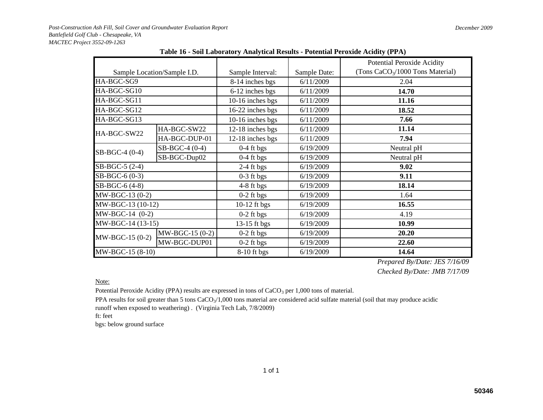|                   |                             |                  |              | Potential Peroxide Acidity                   |  |  |  |  |
|-------------------|-----------------------------|------------------|--------------|----------------------------------------------|--|--|--|--|
|                   | Sample Location/Sample I.D. | Sample Interval: | Sample Date: | (Tons CaCO <sub>3</sub> /1000 Tons Material) |  |  |  |  |
| HA-BGC-SG9        |                             | 8-14 inches bgs  | 6/11/2009    | 2.04                                         |  |  |  |  |
| HA-BGC-SG10       |                             | 6-12 inches bgs  | 6/11/2009    | 14.70                                        |  |  |  |  |
| HA-BGC-SG11       |                             | 10-16 inches bgs | 6/11/2009    | 11.16                                        |  |  |  |  |
| HA-BGC-SG12       |                             | 16-22 inches bgs | 6/11/2009    | 18.52                                        |  |  |  |  |
| HA-BGC-SG13       |                             | 10-16 inches bgs | 6/11/2009    | 7.66                                         |  |  |  |  |
| HA-BGC-SW22       | HA-BGC-SW22                 | 12-18 inches bgs | 6/11/2009    | 11.14                                        |  |  |  |  |
|                   | HA-BGC-DUP-01               | 12-18 inches bgs | 6/11/2009    | 7.94                                         |  |  |  |  |
| SB-BGC-4 (0-4)    | SB-BGC-4 (0-4)              | $0-4$ ft bgs     | 6/19/2009    | Neutral pH                                   |  |  |  |  |
|                   | SB-BGC-Dup02                | $0-4$ ft bgs     | 6/19/2009    | Neutral pH                                   |  |  |  |  |
| SB-BGC-5 (2-4)    |                             | $2-4$ ft bgs     | 6/19/2009    | 9.02                                         |  |  |  |  |
| SB-BGC-6 (0-3)    |                             | $0-3$ ft bgs     | 6/19/2009    | 9.11                                         |  |  |  |  |
| SB-BGC-6 (4-8)    |                             | $4-8$ ft bgs     | 6/19/2009    | 18.14                                        |  |  |  |  |
| MW-BGC-13 (0-2)   |                             | $0-2$ ft bgs     | 6/19/2009    | 1.64                                         |  |  |  |  |
| MW-BGC-13 (10-12) |                             | 10-12 ft bgs     | 6/19/2009    | 16.55                                        |  |  |  |  |
| $MW-BGC-14 (0-2)$ |                             | $0-2$ ft bgs     | 6/19/2009    | 4.19                                         |  |  |  |  |
| MW-BGC-14 (13-15) |                             | 13-15 ft bgs     | 6/19/2009    | 10.99                                        |  |  |  |  |
| MW-BGC-15 (0-2)   | MW-BGC-15 (0-2)             | $0-2$ ft bgs     | 6/19/2009    | 20.20                                        |  |  |  |  |
|                   | MW-BGC-DUP01                | $0-2$ ft bgs     | 6/19/2009    | 22.60                                        |  |  |  |  |
| MW-BGC-15 (8-10)  |                             | $8-10$ ft bgs    | 6/19/2009    | 14.64                                        |  |  |  |  |

**Table 16 - Soil Laboratory Analytical Results - Potential Peroxide Acidity (PPA)**

*Prepared By/Date: JES 7/16/09 Checked By/Date: JMB 7/17/09*

Note:

Potential Peroxide Acidity (PPA) results are expressed in tons of  $CaCO<sub>3</sub>$  per 1,000 tons of material.

PPA results for soil greater than 5 tons  $CaCO<sub>3</sub>/1,000$  tons material are considered acid sulfate material (soil that may produce acidic runoff when exposed to weathering) . (Virginia Tech Lab, 7/8/2009)

1 of 1

ft: feet

bgs: below ground surface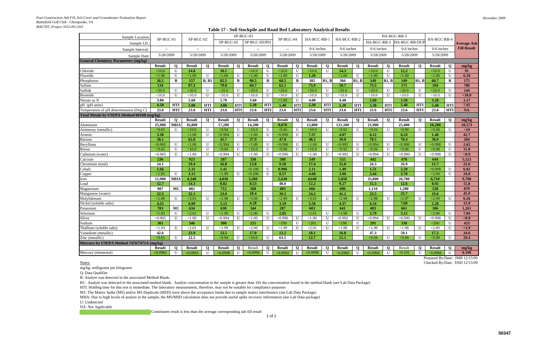*December 2009*

| Sample Location                             | SP-BGC-01                |                 | $SP-BGC-02$       |              | SP-BGC-03         |              |                    |              |                          |              |                    |              |                   | HA-BGC-RB-3    |                   |              |                   |              |                   |              |                    |
|---------------------------------------------|--------------------------|-----------------|-------------------|--------------|-------------------|--------------|--------------------|--------------|--------------------------|--------------|--------------------|--------------|-------------------|----------------|-------------------|--------------|-------------------|--------------|-------------------|--------------|--------------------|
| Sample I.D.                                 |                          |                 |                   |              | $SP-BGC-03$       |              | SP-BGC-DUP01       |              | SP-BGC-04                |              | HA-BGC-RB-1        |              | HA-BGC-RB-2       |                | HA-BGC-RB-3       |              | HA-BGC-RB-DUP     |              | HA-BGC-RB-4       |              | <b>Average Ash</b> |
| Sample Interval                             | $\overline{\phantom{a}}$ |                 | $-$               |              |                   |              | $-$                |              | $\overline{\phantom{a}}$ |              | 0-6 inches         |              | 0-6 inches        |                | 0-6 inches        |              | 0-6 inches        |              | $0-6$ inches      |              | <b>Fill Result</b> |
| Sample Date                                 | 5/28/2009                |                 | 5/28/2009         |              |                   | 5/28/2009    |                    | 5/28/2009    |                          | 5/28/2009    |                    | 5/28/2009    |                   | 5/28/2009      |                   | 5/28/2009    |                   | 5/28/2009    |                   | 5/28/2009    |                    |
| <b>General Chemistry Parameters (mg/kg)</b> |                          |                 |                   |              |                   |              |                    |              |                          |              |                    |              |                   |                |                   |              |                   |              |                   |              |                    |
|                                             | <b>Result</b>            | $\mathbf Q$     | <b>Result</b>     | $\mathbf{o}$ | <b>Result</b>     | $\mathbf 0$  | <b>Result</b>      | $\mathbf 0$  | <b>Result</b>            | $\mathbf{o}$ | <b>Result</b>      | $\mathbf Q$  | <b>Result</b>     | $\mathbf 0$    | <b>Result</b>     | Q            | <b>Result</b>     | $\mathbf{O}$ | <b>Result</b>     | $\mathbf{o}$ | mg/kg              |
| Chloride                                    | < 10.0                   | $\mathbf U$     | 14.8              |              | 10.1              |              | < 10.0             | $\mathbf U$  | <10.0                    | $\mathbf U$  | <10.0              | $\mathbf U$  | 14.3              |                | <10.0             | $\mathbf U$  | 12.2              |              | <10.0             | $\mathbf{U}$ | 91                 |
| Fluoride                                    | < 1.00                   | $\mathbf U$     | < 1.00            | $\mathbf{U}$ | < 1.00            | $\mathbf{U}$ | < 1.00             | $\mathbf{U}$ | < 1.00                   | U            | 1.20               |              | ${<}1.00$         | $\mathbf U$    | ${<}1.00$         | $\mathbf U$  | < 1.00            |              | < 1.00            | $\mathbf{U}$ | 6.18               |
| <b>Phosphorus</b>                           | 26.5                     | B               | 157               | B, B1        | 82.5              | $\mathbf{B}$ | 90.5               | B            | 68.5                     | B            | 385                | B1, B        | 304               | B1, B          | <b>149</b>        | B1, B        | 149               | B1, B        | 60.7              | B            | 175                |
| Sulfate                                     | 134                      |                 | 87.3              |              | 79.0              |              | 84.7               |              | 62.1                     |              | 75.9               |              | 50.7              |                | 73.5              |              | 171               |              | <b>104</b>        |              | 780                |
| Sulfide                                     | < 20.0                   | U               | $\overline{20.0}$ | $\mathbf U$  | $\overline{20.0}$ | $\bf{U}$     | $\overline{20.0}$  | U            | $\overline{20.0}$        | U            | $\overline{20.0}$  | U            | $\overline{20.0}$ | $\overline{U}$ | $\overline{20.0}$ | U            | $\overline{20.0}$ | U            | < 20.0            | $\bf{U}$     | 144                |
| <b>Bromide</b>                              | < 10.0                   | $\mathbf U$     | < 10.0            | $\mathbf U$  | < 10.0            | $\mathbf{U}$ | < 10.0             | $\mathbf U$  | < 10.0                   | U            | $<\!\!10.0$        | U            | < 10.0            | $\mathbf U$    | < 10.0            | U            | < 10.0            | $\mathbf U$  | < 10.0            | U            | $10.0$             |
| Nitrate as N                                | 3.80                     |                 | 5.60              |              | 5.70              |              | 3.60               |              | < 1.00                   | U            | 4.00               |              | 4.40              |                | 1.60              |              | 1.50              |              | 3.20              |              | 3.27               |
| pH (pH units)                               | 4.50                     | <b>HTI</b>      | 5.00              | <b>HTI</b>   | 4.80              | HTI          | 5.30               | <b>HTI</b>   | 5.40                     | HTI          | 5.30               | <b>HTI</b>   | 5.20              | <b>HTI</b>     | 5.30              | HTI          | 5.40              | <b>HTI</b>   | 5.40              | <b>HTI</b>   | 7.95               |
| Temperature of pH determination (Deg C)     | 23.6                     | <b>HTI</b>      | 23.6              | <b>HTI</b>   | 23.6              | <b>HTI</b>   | 23.6               | <b>HTI</b>   | 23.6                     | <b>HTI</b>   | 23.6               | <b>HTI</b>   | 23.6              | <b>HTI</b>     | 23.6              | <b>HTI</b>   | 23.6              | <b>HTI</b>   | 23.6              | <b>HTI</b>   | <b>NA</b>          |
| Total Metals by USEPA Method 6010B (mg/kg)  |                          |                 |                   |              |                   |              |                    |              |                          |              |                    |              |                   |                |                   |              |                   |              |                   |              |                    |
|                                             | <b>Result</b>            | $\mathbf Q$     | <b>Result</b>     | $\mathbf{O}$ | <b>Result</b>     | $\mathbf 0$  | <b>Result</b>      | $\mathbf 0$  | <b>Result</b>            | $\mathbf{o}$ | <b>Result</b>      | $\mathbf 0$  | <b>Result</b>     | $\mathbf 0$    | <b>Result</b>     | $\mathbf{o}$ | <b>Result</b>     | $\mathbf{O}$ | <b>Result</b>     | $\mathbf{o}$ | mg/kg              |
| Aluminum                                    | 25,900                   | <b>MHA</b>      | 16,800            |              | 17,200            |              | 14,200             |              | 9.070                    |              | 12,800             |              | 121,100           |                | 21,900            |              | 25,400            |              | 10.200            |              | 10,573             |
| Antimony (metallic)                         | < 9.65                   | $\mathbf U$     | <10.0             | $\mathbf{U}$ | < 9.94            | $\mathbf{U}$ | < 10.0             | $\mathbf{U}$ | $\sqrt{9.96}$            | U            | $\overline{<}10.0$ | $\mathbf{U}$ | $\sqrt{9.92}$     | $\mathbf U$    | $\sqrt{9.94}$     | $\mathbf{U}$ | 5,90              | $\mathbf{U}$ | $\sqrt{9.98}$     | $\mathbf{U}$ | $\overline{<}10$   |
| Arsenic                                     | 3.30                     |                 | < 1.00            | $\mathbf U$  | < 0.994           | $\mathbf{U}$ | ${<}1.00$          | $\mathbf{U}$ | < 0.996                  | $\mathbf U$  | 7.37               |              | 4.07              |                | 6.12              |              | 6.24              |              | 1.46              |              | 42.7               |
| Barium                                      | 58.1                     |                 | 62.8              |              | 45.7              |              | 37.9               |              | 47.8                     |              | 48.2               |              | 39.0              |                | 78.5              |              | 78.4              |              | 38.0              |              | 284                |
| Beryllium                                   | < 0.965                  | $\mathbf U$     | < 1.00            | $\mathbf U$  | < 0.994           | $\mathbf U$  | < 1.00             | $\mathbf{U}$ | < 0.996                  | U            | < 1.00             | $\mathbf U$  | < 0.992           | $\mathbf U$    | < 0.994           | $\mathbf{U}$ | < 0.990           | U            | < 0.998           | $\mathbf{U}$ | 2.62               |
| <b>Boron</b>                                | < 9.65                   | U               | <10.0             | U            | < 9.94            | $\mathbf U$  | < 10.0             | U            | < 9.96                   | U            | $\overline{<}10.0$ | U            | <9.92             | U              | < 9.94            | U            | <9.90             | U            | < 9.98            | U            | 11.8               |
| Cadmium (water)                             | < 0.965                  | $\mathbf U$     | < 1.00            | $\mathbf{U}$ | < 0.994           | $\mathbf U$  | < 1.00             | $\mathbf{U}$ | < 0.996                  | U            | < 1.00             | $\mathbf{U}$ | $\sqrt{0.992}$    | $\mathbf U$    | < 0.994           | $\mathbf U$  | $\sqrt{0.990}$    | $\mathbf U$  | < 0.998           | U            | $\overline{<}0.9$  |
| Calcium                                     | 236                      |                 | 923               |              | 207               |              | 338                |              | 588                      |              | 549                |              | 555               |                | 442               |              | 478               |              | 644               |              | 5,523              |
| Chromium (total)                            | 24.1                     |                 | 19.4              |              | 16.8              |              | 13.8               |              | 9.58                     |              | 17.4               |              | 15.0              |                | $\overline{24.3}$ |              | 26.9              |              | 11.7              |              | 21.6               |
| Cobalt                                      | 1.66                     |                 | 2.31              |              | 1.41              |              | $\overline{0.100}$ | $\mathbf{U}$ | 0.996                    |              | 2.11               |              | 1.49              |                | 1.51              |              | 2,20              |              | $\sqrt{0.998}$    | $\mathbf U$  | 6.82               |
| Copper                                      | 1.93                     | $\mathbf U$     | 3.15              |              | < 1.99            | $\mathbf U$  | $\overline{0.200}$ | $\mathbf U$  | 8.57                     |              | 4.68               |              | 3.06              |                | 3.44              |              | 3.70              |              | < 2.00            | $\mathbf U$  | 24.0               |
| Iron                                        | 11.900                   | <b>MHA</b>      | 6,340             |              | 4.030             |              | 3,260              |              | 5,630                    |              | 4.640              |              | 5,050             |                | 35,800            |              | 26,700            |              | 6,710             |              | 9,700              |
| ead                                         | 12.7                     |                 | 14.3              |              | 8.82              |              | 8.53               |              | 48.0                     |              | 12.2               |              | 9.27              |                | 15.3              |              | 12.6              |              | 8.92              |              | 15.8               |
| Magnesium                                   | 907                      | $\overline{M1}$ | 882               |              | $\overline{712}$  |              | 568                |              | 483                      |              | 666                |              | 696               |                | 1,110             |              | 1,200             |              | 520               |              | 879                |
| Manganese (water)                           | 22.5                     |                 | 32.1              |              | 23.0              |              | 18.4               |              | 39.5                     |              | 24.2               |              | 41.2              |                | 23.5              |              | 25.7              |              | 19.6              |              | 45.9               |
| Molybdenum                                  | < 2.90                   | $\mathbf U$     | < 3.01            | $\mathbf{U}$ | < 2.98            | $\mathbf{U}$ | < 3.00             | $\mathbf{U}$ | < 2.99                   | $\mathbf{U}$ | < 3.01             | $\mathbf{U}$ | < 2.98            | $\mathbf{U}$   | < 2.98            | $\mathbf{U}$ | < 2.97            | $\mathbf{U}$ | < 2.99            | $\mathbf{U}$ | 6.26               |
| Nickel (soluble salts)                      | 4.25                     |                 | 6.00              |              | 5.13              |              | 4.28               |              | 3.19                     |              | 5.58               |              | 4.37              |                | 6.54              |              | 7.60              |              | 2.28              |              | 12.9               |
| Potassium                                   | 703                      | M1              | 634               |              | 638               |              | 344                |              | 287                      |              | 603                |              | 641               |                | 483               |              | 661               |              | 306               |              | 1,261              |
| Selenium                                    | < 1.93                   | U               | <2.01             | U            | < 1.99            | U            | $\overline{2.00}$  | $\mathbf{U}$ | 2.05                     |              | $\overline{<}2.01$ | U            | 1.98              | $\mathbf{U}$   | 3.79              |              | 3.15              |              | $\overline{2.00}$ | $\mathbf U$  | 7.84               |
| Silver                                      | < 0.965                  | $\mathbf U$     | < 1.00            | U            | < 0.994           | $\mathbf U$  | < 1.00             | U            | < 0.996                  | U            | < 1.00             | U            | < 0.992           | $\mathbf U$    | < 0.994           | U            | < 0.990           | $\mathbf U$  | < 0.998           | $\mathbf U$  | < 0.9              |
| Sodium                                      | 361                      |                 | 346               |              | 300               |              | 215                |              | $<$ 199                  | U            | $\overline{201}$   | U            | < 198             | $\mathbf U$    | 291               |              | 330               |              | $<$ 200           | $\mathbf U$  | 423                |
| Thallium (soluble salts)                    | < 1.93                   | $\mathbf U$     | < 2.01            | $\mathbf{U}$ | < 1.99            | $\mathbf U$  | < 2.00             | $\mathbf U$  | < 1.99                   | $\mathbf U$  | < 2.01             | $\mathbf{U}$ | < 1.98            | $\mathbf U$    | < 1.99            | $\mathbf U$  | < 1.98            | U            | < 2.00            | $\mathbf U$  | <1.9               |
| Vanadium (metallic)                         | 42.6                     |                 | 23.9              |              | 23.5              |              | 17.0               |              | 13.2                     |              | 18.1               |              | 16.8              |                | 47.3              |              | 50.1              |              | 17.2              |              | 34.6               |
| Zinc (metallic)                             | < 9.65                   | $\mathbf U$     | 22.5              |              | <9.94             | $\mathbf U$  | < 10.0             | U            | 63.5                     |              | 12.7               |              | 15.1              |                | < 9.94            | U            | < 9.90            | U            | < 9.98            | $\bf{U}$     | 20.4               |
| Mercury by USEPA Method 7470/7471A (mg/kg)  |                          |                 |                   |              |                   |              |                    |              |                          |              |                    |              |                   |                |                   |              |                   |              |                   |              |                    |
|                                             | <b>Result</b>            | $\mathbf 0$     | <b>Result</b>     | $\mathbf{O}$ | <b>Result</b>     | $\Omega$     | Result             | $\mathbf{O}$ | <b>Result</b>            | $\Omega$     | <b>Result</b>      | $\mathbf 0$  | <b>Result</b>     | $\mathbf{O}$   | <b>Result</b>     | $\mathbf{o}$ | Result            | $\Omega$     | <b>Result</b>     | $\Omega$     | mg/kg              |
| Mercury (elemental)                         | < 0.0982                 | $\mathbf U$     | < 0.0993          | $\mathbf{U}$ | < 0.0998          | $\mathbf{U}$ | < 0.0990           | $\mathbf{U}$ | < 0.0992                 | $\mathbf U$  | < 0.0998           | $\mathbf{U}$ | < 0.0980          | $\mathbf{U}$   | < 0.0968          | $\mathbf U$  | < 0.101           | $\mathbf U$  | < 0.0966          | $\mathbf{U}$ | 0.198              |

Notes:

Prepared By/Date: JMB 12/15/09 Checked By/Date: DSD 12/15/09

mg/kg: milligrams per kilograms

Q: Data Qualifier

B: Analyte was detected in the associated Method Blank.

B1: Analyte was detected in the associated method blank. Analyte concentration in the sample is greater than 10x the concentration found in the method blank (see Lab Data Package)

HTI: Holding time for this test is immediate. The laboratory measurement, therefore, may not be suitable for compliance purposes

M1: The Matrix Spike (MS) and/or MS Duplicate (MSD) were above the acceptance limits due to sample matrix interference (see Lab Data Package)

MHA: Due to high levels of analyte in the sample, the MS/MSD calculation does not provide useful spike recovery information (see Lab Data package)

U: Undetected

NA: Not Applicable

Constituent result is less than the average corresponding ash fill result

# **Table 17 - Soil Stockpile and Road Bed Laboratory Analytical Results**